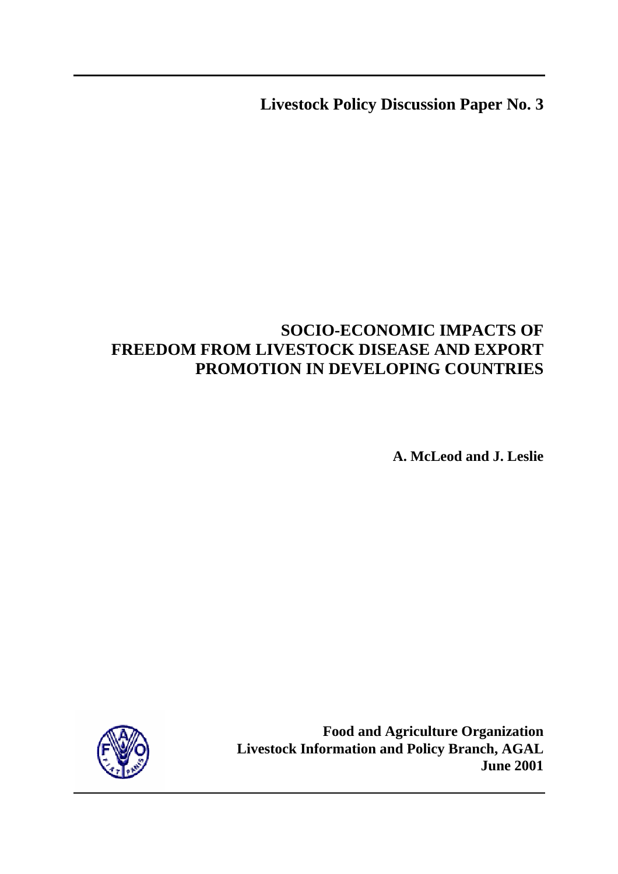**Livestock Policy Discussion Paper No. 3** 

# **SOCIO-ECONOMIC IMPACTS OF FREEDOM FROM LIVESTOCK DISEASE AND EXPORT PROMOTION IN DEVELOPING COUNTRIES**

**A. McLeod and J. Leslie** 



**Food and Agriculture Organization Livestock Information and Policy Branch, AGAL June 2001**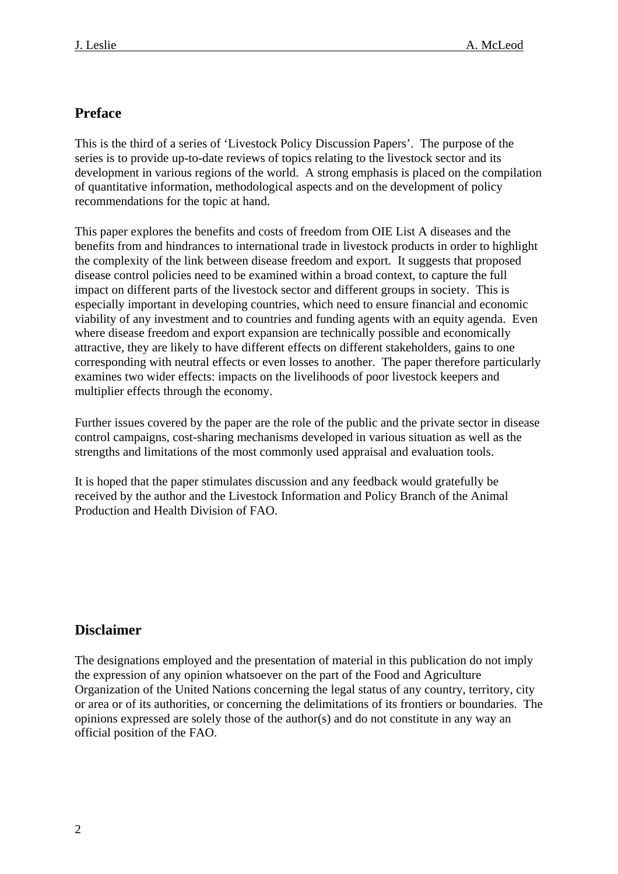## **Preface**

This is the third of a series of 'Livestock Policy Discussion Papers'. The purpose of the series is to provide up-to-date reviews of topics relating to the livestock sector and its development in various regions of the world. A strong emphasis is placed on the compilation of quantitative information, methodological aspects and on the development of policy recommendations for the topic at hand.

This paper explores the benefits and costs of freedom from OIE List A diseases and the benefits from and hindrances to international trade in livestock products in order to highlight the complexity of the link between disease freedom and export. It suggests that proposed disease control policies need to be examined within a broad context, to capture the full impact on different parts of the livestock sector and different groups in society. This is especially important in developing countries, which need to ensure financial and economic viability of any investment and to countries and funding agents with an equity agenda. Even where disease freedom and export expansion are technically possible and economically attractive, they are likely to have different effects on different stakeholders, gains to one corresponding with neutral effects or even losses to another. The paper therefore particularly examines two wider effects: impacts on the livelihoods of poor livestock keepers and multiplier effects through the economy.

Further issues covered by the paper are the role of the public and the private sector in disease control campaigns, cost-sharing mechanisms developed in various situation as well as the strengths and limitations of the most commonly used appraisal and evaluation tools.

It is hoped that the paper stimulates discussion and any feedback would gratefully be received by the author and the Livestock Information and Policy Branch of the Animal Production and Health Division of FAO.

## **Disclaimer**

The designations employed and the presentation of material in this publication do not imply the expression of any opinion whatsoever on the part of the Food and Agriculture Organization of the United Nations concerning the legal status of any country, territory, city or area or of its authorities, or concerning the delimitations of its frontiers or boundaries. The opinions expressed are solely those of the author(s) and do not constitute in any way an official position of the FAO.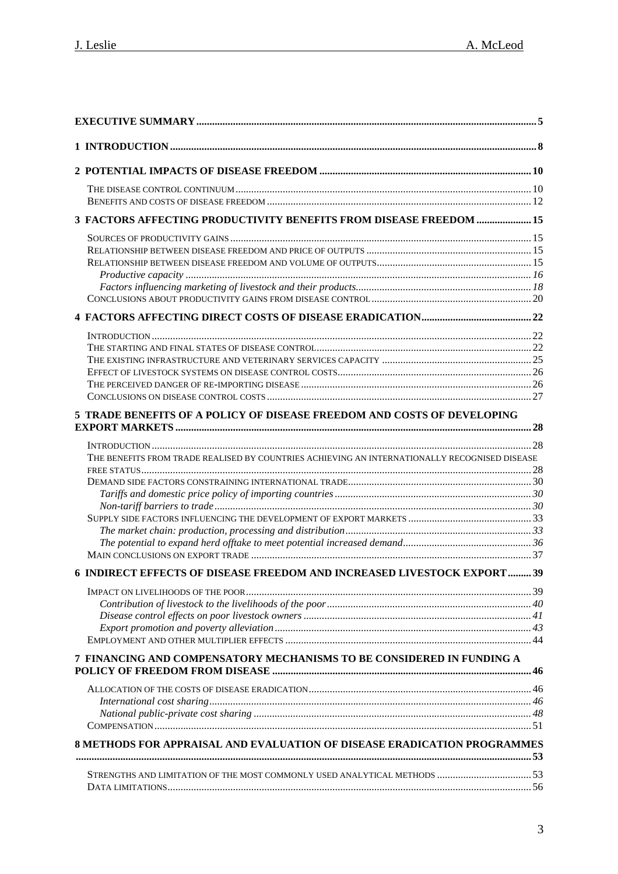| 3 FACTORS AFFECTING PRODUCTIVITY BENEFITS FROM DISEASE FREEDOM  15                            |  |
|-----------------------------------------------------------------------------------------------|--|
|                                                                                               |  |
|                                                                                               |  |
| 5 TRADE BENEFITS OF A POLICY OF DISEASE FREEDOM AND COSTS OF DEVELOPING                       |  |
| THE BENEFITS FROM TRADE REALISED BY COUNTRIES ACHIEVING AN INTERNATIONALLY RECOGNISED DISEASE |  |
| 6 INDIRECT EFFECTS OF DISEASE FREEDOM AND INCREASED LIVESTOCK EXPORT  39                      |  |
|                                                                                               |  |
| 7 FINANCING AND COMPENSATORY MECHANISMS TO BE CONSIDERED IN FUNDING A                         |  |
|                                                                                               |  |
| 8 METHODS FOR APPRAISAL AND EVALUATION OF DISEASE ERADICATION PROGRAMMES                      |  |
|                                                                                               |  |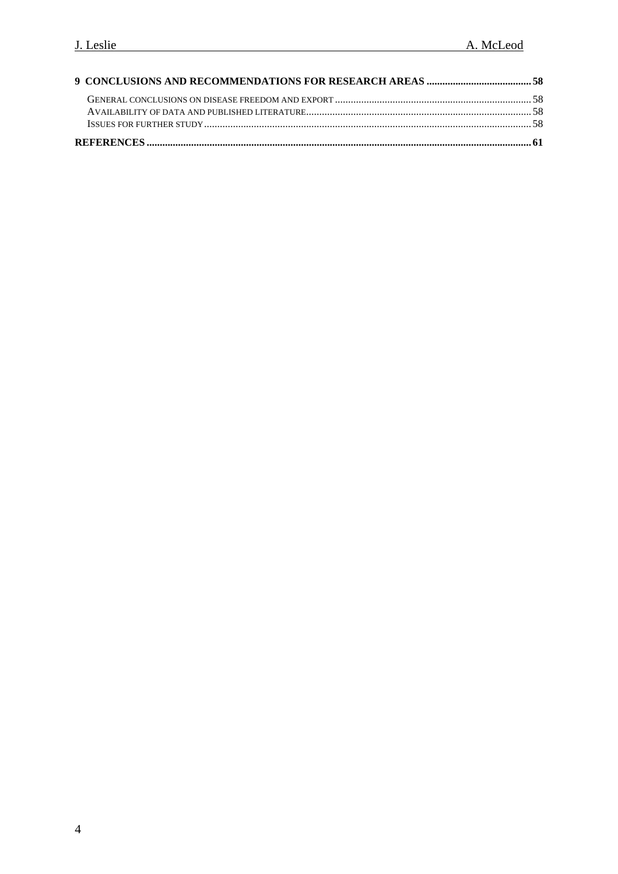| ISSUES FOR FURTHER STUDY COMMISSION CONTROL CONTROL CONTROL CONTROL CONTROL CONTROL CONTROL CONTROL CONTROL CO |  |
|----------------------------------------------------------------------------------------------------------------|--|
|                                                                                                                |  |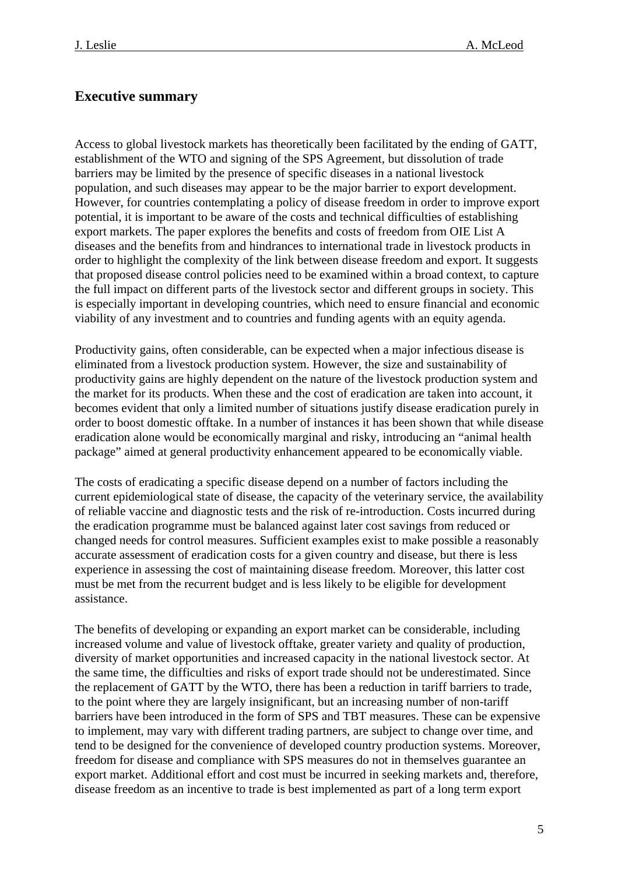## <span id="page-4-0"></span>**Executive summary**

Access to global livestock markets has theoretically been facilitated by the ending of GATT, establishment of the WTO and signing of the SPS Agreement, but dissolution of trade barriers may be limited by the presence of specific diseases in a national livestock population, and such diseases may appear to be the major barrier to export development. However, for countries contemplating a policy of disease freedom in order to improve export potential, it is important to be aware of the costs and technical difficulties of establishing export markets. The paper explores the benefits and costs of freedom from OIE List A diseases and the benefits from and hindrances to international trade in livestock products in order to highlight the complexity of the link between disease freedom and export. It suggests that proposed disease control policies need to be examined within a broad context, to capture the full impact on different parts of the livestock sector and different groups in society. This is especially important in developing countries, which need to ensure financial and economic viability of any investment and to countries and funding agents with an equity agenda.

Productivity gains, often considerable, can be expected when a major infectious disease is eliminated from a livestock production system. However, the size and sustainability of productivity gains are highly dependent on the nature of the livestock production system and the market for its products. When these and the cost of eradication are taken into account, it becomes evident that only a limited number of situations justify disease eradication purely in order to boost domestic offtake. In a number of instances it has been shown that while disease eradication alone would be economically marginal and risky, introducing an "animal health package" aimed at general productivity enhancement appeared to be economically viable.

The costs of eradicating a specific disease depend on a number of factors including the current epidemiological state of disease, the capacity of the veterinary service, the availability of reliable vaccine and diagnostic tests and the risk of re-introduction. Costs incurred during the eradication programme must be balanced against later cost savings from reduced or changed needs for control measures. Sufficient examples exist to make possible a reasonably accurate assessment of eradication costs for a given country and disease, but there is less experience in assessing the cost of maintaining disease freedom. Moreover, this latter cost must be met from the recurrent budget and is less likely to be eligible for development assistance.

The benefits of developing or expanding an export market can be considerable, including increased volume and value of livestock offtake, greater variety and quality of production, diversity of market opportunities and increased capacity in the national livestock sector. At the same time, the difficulties and risks of export trade should not be underestimated. Since the replacement of GATT by the WTO, there has been a reduction in tariff barriers to trade, to the point where they are largely insignificant, but an increasing number of non-tariff barriers have been introduced in the form of SPS and TBT measures. These can be expensive to implement, may vary with different trading partners, are subject to change over time, and tend to be designed for the convenience of developed country production systems. Moreover, freedom for disease and compliance with SPS measures do not in themselves guarantee an export market. Additional effort and cost must be incurred in seeking markets and, therefore, disease freedom as an incentive to trade is best implemented as part of a long term export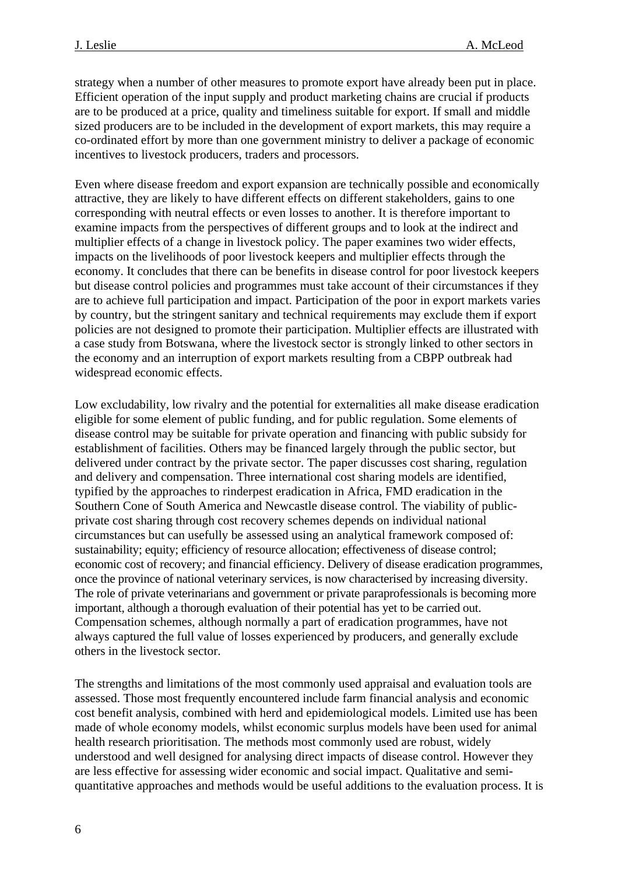strategy when a number of other measures to promote export have already been put in place. Efficient operation of the input supply and product marketing chains are crucial if products are to be produced at a price, quality and timeliness suitable for export. If small and middle sized producers are to be included in the development of export markets, this may require a co-ordinated effort by more than one government ministry to deliver a package of economic incentives to livestock producers, traders and processors.

Even where disease freedom and export expansion are technically possible and economically attractive, they are likely to have different effects on different stakeholders, gains to one corresponding with neutral effects or even losses to another. It is therefore important to examine impacts from the perspectives of different groups and to look at the indirect and multiplier effects of a change in livestock policy. The paper examines two wider effects, impacts on the livelihoods of poor livestock keepers and multiplier effects through the economy. It concludes that there can be benefits in disease control for poor livestock keepers but disease control policies and programmes must take account of their circumstances if they are to achieve full participation and impact. Participation of the poor in export markets varies by country, but the stringent sanitary and technical requirements may exclude them if export policies are not designed to promote their participation. Multiplier effects are illustrated with a case study from Botswana, where the livestock sector is strongly linked to other sectors in the economy and an interruption of export markets resulting from a CBPP outbreak had widespread economic effects.

Low excludability, low rivalry and the potential for externalities all make disease eradication eligible for some element of public funding, and for public regulation. Some elements of disease control may be suitable for private operation and financing with public subsidy for establishment of facilities. Others may be financed largely through the public sector, but delivered under contract by the private sector. The paper discusses cost sharing, regulation and delivery and compensation. Three international cost sharing models are identified, typified by the approaches to rinderpest eradication in Africa, FMD eradication in the Southern Cone of South America and Newcastle disease control. The viability of publicprivate cost sharing through cost recovery schemes depends on individual national circumstances but can usefully be assessed using an analytical framework composed of: sustainability; equity; efficiency of resource allocation; effectiveness of disease control; economic cost of recovery; and financial efficiency. Delivery of disease eradication programmes, once the province of national veterinary services, is now characterised by increasing diversity. The role of private veterinarians and government or private paraprofessionals is becoming more important, although a thorough evaluation of their potential has yet to be carried out. Compensation schemes, although normally a part of eradication programmes, have not always captured the full value of losses experienced by producers, and generally exclude others in the livestock sector.

The strengths and limitations of the most commonly used appraisal and evaluation tools are assessed. Those most frequently encountered include farm financial analysis and economic cost benefit analysis, combined with herd and epidemiological models. Limited use has been made of whole economy models, whilst economic surplus models have been used for animal health research prioritisation. The methods most commonly used are robust, widely understood and well designed for analysing direct impacts of disease control. However they are less effective for assessing wider economic and social impact. Qualitative and semiquantitative approaches and methods would be useful additions to the evaluation process. It is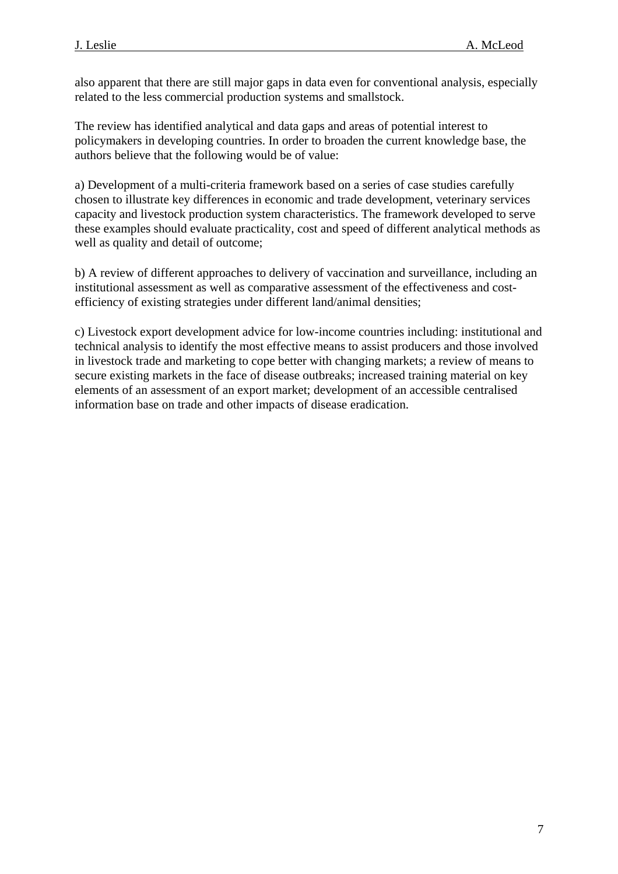also apparent that there are still major gaps in data even for conventional analysis, especially related to the less commercial production systems and smallstock.

The review has identified analytical and data gaps and areas of potential interest to policymakers in developing countries. In order to broaden the current knowledge base, the authors believe that the following would be of value:

a) Development of a multi-criteria framework based on a series of case studies carefully chosen to illustrate key differences in economic and trade development, veterinary services capacity and livestock production system characteristics. The framework developed to serve these examples should evaluate practicality, cost and speed of different analytical methods as well as quality and detail of outcome;

b) A review of different approaches to delivery of vaccination and surveillance, including an institutional assessment as well as comparative assessment of the effectiveness and costefficiency of existing strategies under different land/animal densities;

c) Livestock export development advice for low-income countries including: institutional and technical analysis to identify the most effective means to assist producers and those involved in livestock trade and marketing to cope better with changing markets; a review of means to secure existing markets in the face of disease outbreaks; increased training material on key elements of an assessment of an export market; development of an accessible centralised information base on trade and other impacts of disease eradication.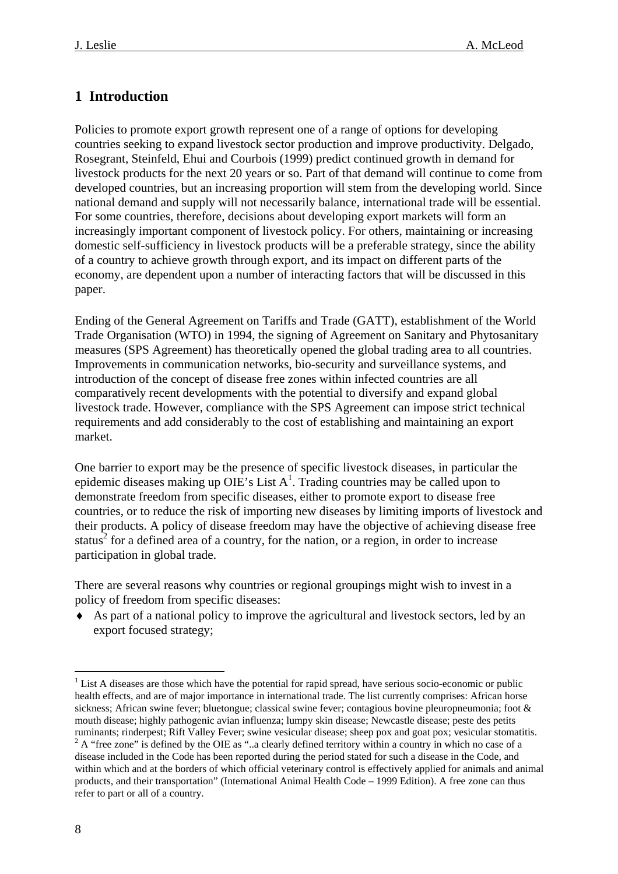## <span id="page-7-0"></span>**1 Introduction**

Policies to promote export growth represent one of a range of options for developing countries seeking to expand livestock sector production and improve productivity. Delgado, Rosegrant, Steinfeld, Ehui and Courbois (1999) predict continued growth in demand for livestock products for the next 20 years or so. Part of that demand will continue to come from developed countries, but an increasing proportion will stem from the developing world. Since national demand and supply will not necessarily balance, international trade will be essential. For some countries, therefore, decisions about developing export markets will form an increasingly important component of livestock policy. For others, maintaining or increasing domestic self-sufficiency in livestock products will be a preferable strategy, since the ability of a country to achieve growth through export, and its impact on different parts of the economy, are dependent upon a number of interacting factors that will be discussed in this paper.

Ending of the General Agreement on Tariffs and Trade (GATT), establishment of the World Trade Organisation (WTO) in 1994, the signing of Agreement on Sanitary and Phytosanitary measures (SPS Agreement) has theoretically opened the global trading area to all countries. Improvements in communication networks, bio-security and surveillance systems, and introduction of the concept of disease free zones within infected countries are all comparatively recent developments with the potential to diversify and expand global livestock trade. However, compliance with the SPS Agreement can impose strict technical requirements and add considerably to the cost of establishing and maintaining an export market.

One barrier to export may be the presence [of](#page-7-1) specific livestock diseases, in particular the epidemic diseases making up OIE's List  $A<sup>1</sup>$ . Trading countries may be called upon to demonstrate freedom from specific diseases, either to promote export to disease free countries, or to reduce the risk of importing new diseases by limiting imports of livestock and their [pr](#page-7-2)oducts. A policy of disease freedom may have the objective of achieving disease free status<sup>2</sup> for a defined area of a country, for the nation, or a region, in order to increase participation in global trade.

There are several reasons why countries or regional groupings might wish to invest in a policy of freedom from specific diseases:

♦ As part of a national policy to improve the agricultural and livestock sectors, led by an export focused strategy;

 $\overline{a}$ 

<span id="page-7-2"></span><span id="page-7-1"></span> $<sup>1</sup>$  List A diseases are those which have the potential for rapid spread, have serious socio-economic or public</sup> health effects, and are of major importance in international trade. The list currently comprises: African horse sickness; African swine fever; bluetongue; classical swine fever; contagious bovine pleuropneumonia; foot & mouth disease; highly pathogenic avian influenza; lumpy skin disease; Newcastle disease; peste des petits ruminants; rinderpest; Rift Valley Fever; swine vesicular disease; sheep pox and goat pox; vesicular stomatitis. 2 <sup>2</sup> A "free zone" is defined by the OIE as "..a clearly defined territory within a country in which no case of a disease included in the Code has been reported during the period stated for such a disease in the Code, and within which and at the borders of which official veterinary control is effectively applied for animals and animal products, and their transportation" (International Animal Health Code – 1999 Edition). A free zone can thus refer to part or all of a country.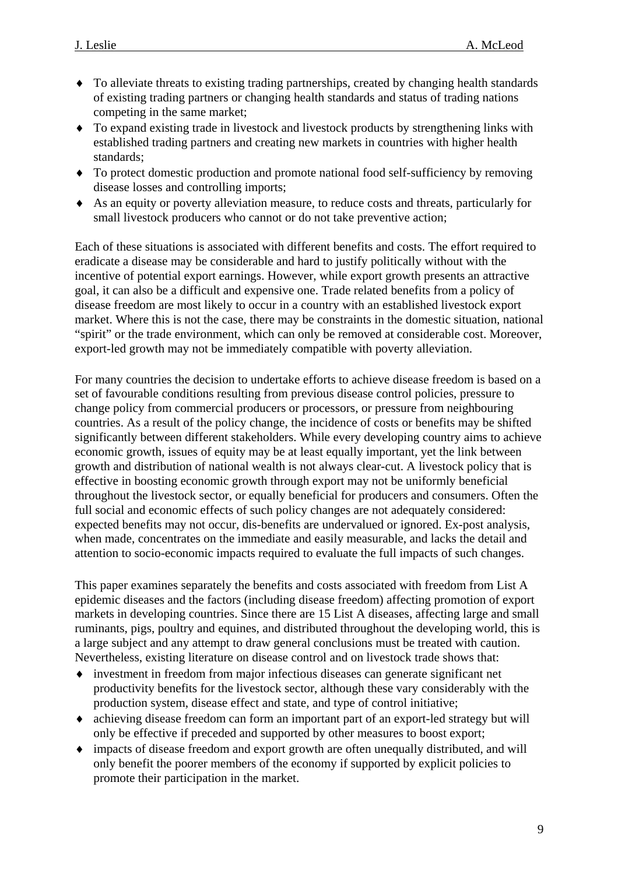- ♦ To alleviate threats to existing trading partnerships, created by changing health standards of existing trading partners or changing health standards and status of trading nations competing in the same market;
- ♦ To expand existing trade in livestock and livestock products by strengthening links with established trading partners and creating new markets in countries with higher health standards;
- ♦ To protect domestic production and promote national food self-sufficiency by removing disease losses and controlling imports;
- ♦ As an equity or poverty alleviation measure, to reduce costs and threats, particularly for small livestock producers who cannot or do not take preventive action;

Each of these situations is associated with different benefits and costs. The effort required to eradicate a disease may be considerable and hard to justify politically without with the incentive of potential export earnings. However, while export growth presents an attractive goal, it can also be a difficult and expensive one. Trade related benefits from a policy of disease freedom are most likely to occur in a country with an established livestock export market. Where this is not the case, there may be constraints in the domestic situation, national "spirit" or the trade environment, which can only be removed at considerable cost. Moreover, export-led growth may not be immediately compatible with poverty alleviation.

For many countries the decision to undertake efforts to achieve disease freedom is based on a set of favourable conditions resulting from previous disease control policies, pressure to change policy from commercial producers or processors, or pressure from neighbouring countries. As a result of the policy change, the incidence of costs or benefits may be shifted significantly between different stakeholders. While every developing country aims to achieve economic growth, issues of equity may be at least equally important, yet the link between growth and distribution of national wealth is not always clear-cut. A livestock policy that is effective in boosting economic growth through export may not be uniformly beneficial throughout the livestock sector, or equally beneficial for producers and consumers. Often the full social and economic effects of such policy changes are not adequately considered: expected benefits may not occur, dis-benefits are undervalued or ignored. Ex-post analysis, when made, concentrates on the immediate and easily measurable, and lacks the detail and attention to socio-economic impacts required to evaluate the full impacts of such changes.

This paper examines separately the benefits and costs associated with freedom from List A epidemic diseases and the factors (including disease freedom) affecting promotion of export markets in developing countries. Since there are 15 List A diseases, affecting large and small ruminants, pigs, poultry and equines, and distributed throughout the developing world, this is a large subject and any attempt to draw general conclusions must be treated with caution. Nevertheless, existing literature on disease control and on livestock trade shows that:

- ♦ investment in freedom from major infectious diseases can generate significant net productivity benefits for the livestock sector, although these vary considerably with the production system, disease effect and state, and type of control initiative;
- ♦ achieving disease freedom can form an important part of an export-led strategy but will only be effective if preceded and supported by other measures to boost export;
- ♦ impacts of disease freedom and export growth are often unequally distributed, and will only benefit the poorer members of the economy if supported by explicit policies to promote their participation in the market.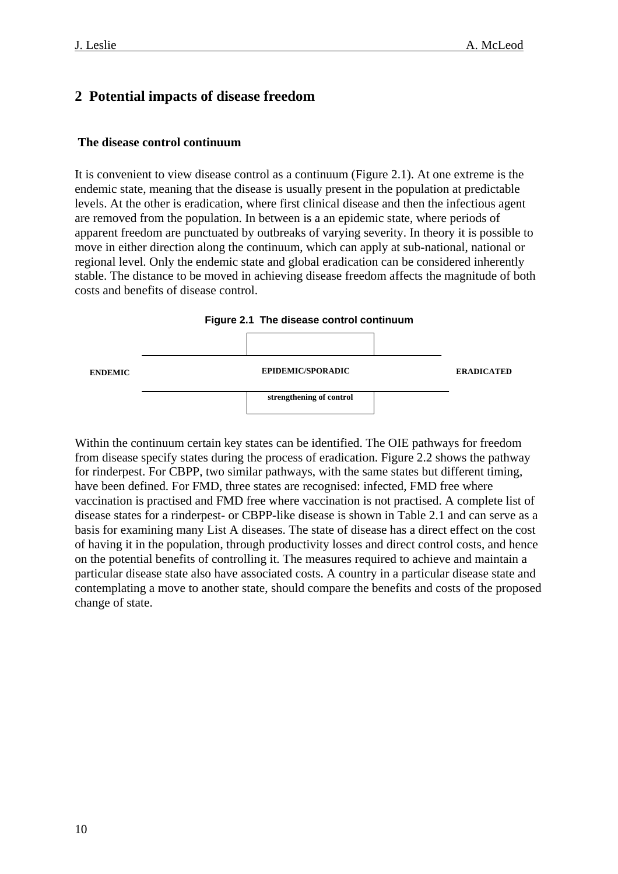## <span id="page-9-0"></span>**2 Potential impacts of disease freedom**

#### **The disease control continuum**

It is convenient to view disease control as a continuum (Figure 2.1). At one extreme is the endemic state, meaning that the disease is usually present in the population at predictable levels. At the other is eradication, where first clinical disease and then the infectious agent are removed from the population. In between is a an epidemic state, where periods of apparent freedom are punctuated by outbreaks of varying severity. In theory it is possible to move in either direction along the continuum, which can apply at sub-national, national or regional level. Only the endemic state and global eradication can be considered inherently stable. The distance to be moved in achieving disease freedom affects the magnitude of both costs and benefits of disease control.



Within the continuum certain key states can be identified. The OIE pathways for freedom from disease specify states during the process of eradication. Figure 2.2 shows the pathway for rinderpest. For CBPP, two similar pathways, with the same states but different timing, have been defined. For FMD, three states are recognised: infected, FMD free where vaccination is practised and FMD free where vaccination is not practised. A complete list of disease states for a rinderpest- or CBPP-like disease is shown in Table 2.1 and can serve as a basis for examining many List A diseases. The state of disease has a direct effect on the cost of having it in the population, through productivity losses and direct control costs, and hence on the potential benefits of controlling it. The measures required to achieve and maintain a particular disease state also have associated costs. A country in a particular disease state and contemplating a move to another state, should compare the benefits and costs of the proposed change of state.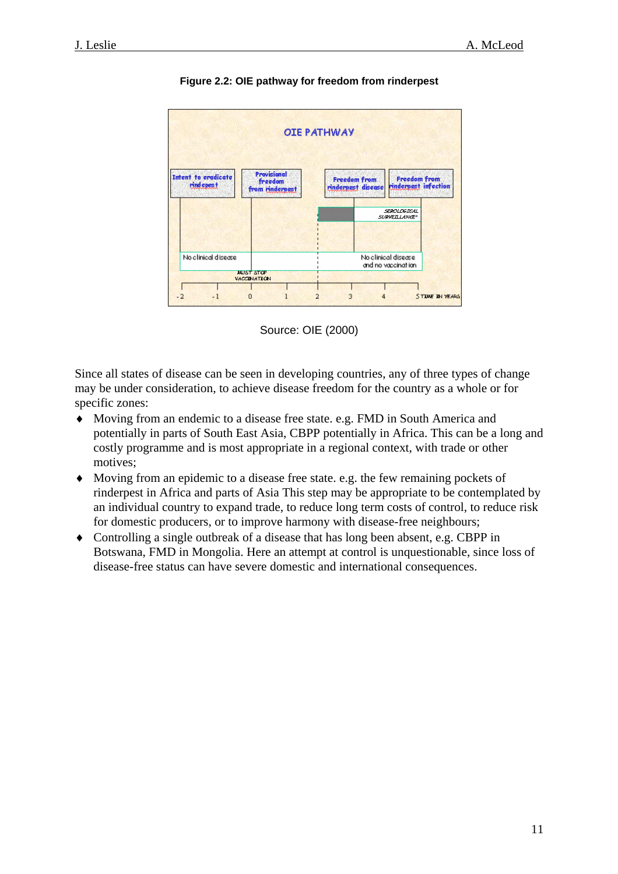

**Figure 2.2: OIE pathway for freedom from rinderpest** 



Since all states of disease can be seen in developing countries, any of three types of change may be under consideration, to achieve disease freedom for the country as a whole or for specific zones:

- ♦ Moving from an endemic to a disease free state. e.g. FMD in South America and potentially in parts of South East Asia, CBPP potentially in Africa. This can be a long and costly programme and is most appropriate in a regional context, with trade or other motives;
- ♦ Moving from an epidemic to a disease free state. e.g. the few remaining pockets of rinderpest in Africa and parts of Asia This step may be appropriate to be contemplated by an individual country to expand trade, to reduce long term costs of control, to reduce risk for domestic producers, or to improve harmony with disease-free neighbours;
- ♦ Controlling a single outbreak of a disease that has long been absent, e.g. CBPP in Botswana, FMD in Mongolia. Here an attempt at control is unquestionable, since loss of disease-free status can have severe domestic and international consequences.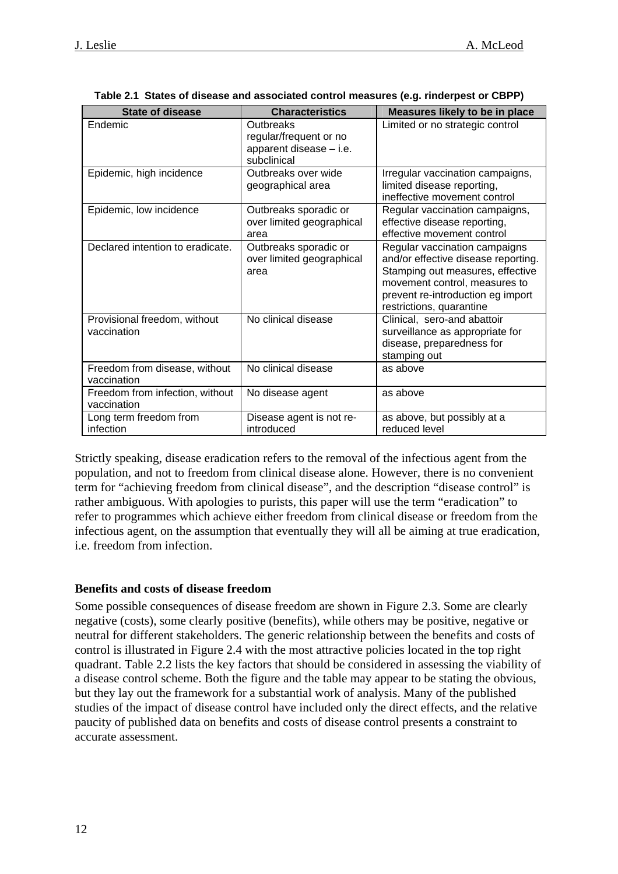<span id="page-11-0"></span>

| <b>State of disease</b>                        | <b>Characteristics</b>                                                        | Measures likely to be in place                                                                                                                                                                             |
|------------------------------------------------|-------------------------------------------------------------------------------|------------------------------------------------------------------------------------------------------------------------------------------------------------------------------------------------------------|
| Endemic                                        | Outbreaks<br>regular/frequent or no<br>apparent disease - i.e.<br>subclinical | Limited or no strategic control                                                                                                                                                                            |
| Epidemic, high incidence                       | Outbreaks over wide<br>geographical area                                      | Irregular vaccination campaigns,<br>limited disease reporting,<br>ineffective movement control                                                                                                             |
| Epidemic, low incidence                        | Outbreaks sporadic or<br>over limited geographical<br>area                    | Regular vaccination campaigns,<br>effective disease reporting,<br>effective movement control                                                                                                               |
| Declared intention to eradicate.               | Outbreaks sporadic or<br>over limited geographical<br>area                    | Regular vaccination campaigns<br>and/or effective disease reporting.<br>Stamping out measures, effective<br>movement control, measures to<br>prevent re-introduction eg import<br>restrictions, quarantine |
| Provisional freedom, without<br>vaccination    | No clinical disease                                                           | Clinical, sero-and abattoir<br>surveillance as appropriate for<br>disease, preparedness for<br>stamping out                                                                                                |
| Freedom from disease, without<br>vaccination   | No clinical disease                                                           | as above                                                                                                                                                                                                   |
| Freedom from infection, without<br>vaccination | No disease agent                                                              | as above                                                                                                                                                                                                   |
| Long term freedom from<br>infection            | Disease agent is not re-<br>introduced                                        | as above, but possibly at a<br>reduced level                                                                                                                                                               |

| Table 2.1 States of disease and associated control measures (e.g. rinderpest or CBPP) |  |  |
|---------------------------------------------------------------------------------------|--|--|
|                                                                                       |  |  |

Strictly speaking, disease eradication refers to the removal of the infectious agent from the population, and not to freedom from clinical disease alone. However, there is no convenient term for "achieving freedom from clinical disease", and the description "disease control" is rather ambiguous. With apologies to purists, this paper will use the term "eradication" to refer to programmes which achieve either freedom from clinical disease or freedom from the infectious agent, on the assumption that eventually they will all be aiming at true eradication, i.e. freedom from infection.

#### **Benefits and costs of disease freedom**

Some possible consequences of disease freedom are shown in Figure 2.3. Some are clearly negative (costs), some clearly positive (benefits), while others may be positive, negative or neutral for different stakeholders. The generic relationship between the benefits and costs of control is illustrated in Figure 2.4 with the most attractive policies located in the top right quadrant. Table 2.2 lists the key factors that should be considered in assessing the viability of a disease control scheme. Both the figure and the table may appear to be stating the obvious, but they lay out the framework for a substantial work of analysis. Many of the published studies of the impact of disease control have included only the direct effects, and the relative paucity of published data on benefits and costs of disease control presents a constraint to accurate assessment.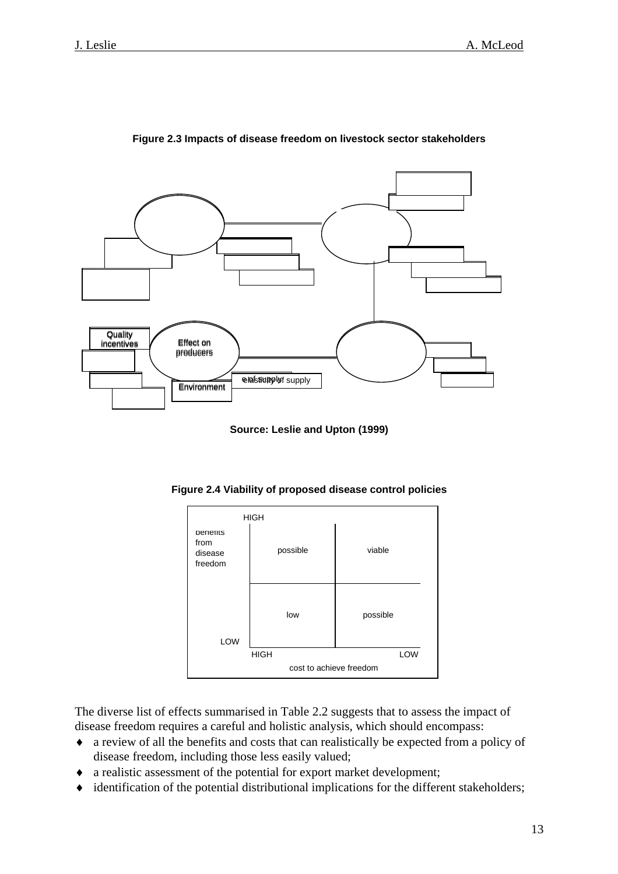

**Figure 2.3 Impacts of disease freedom on livestock sector stakeholders** 

**Source: Leslie and Upton (1999)** 

**Figure 2.4 Viability of proposed disease control policies** 

| <b>HIGH</b>                            |                         |          |  |
|----------------------------------------|-------------------------|----------|--|
| penerits<br>from<br>disease<br>freedom | possible                | viable   |  |
| LOW                                    | low                     | possible |  |
|                                        | <b>HIGH</b>             | LOW      |  |
|                                        | cost to achieve freedom |          |  |

The diverse list of effects summarised in Table 2.2 suggests that to assess the impact of disease freedom requires a careful and holistic analysis, which should encompass:

- ♦ a review of all the benefits and costs that can realistically be expected from a policy of disease freedom, including those less easily valued;
- ♦ a realistic assessment of the potential for export market development;
- ♦ identification of the potential distributional implications for the different stakeholders;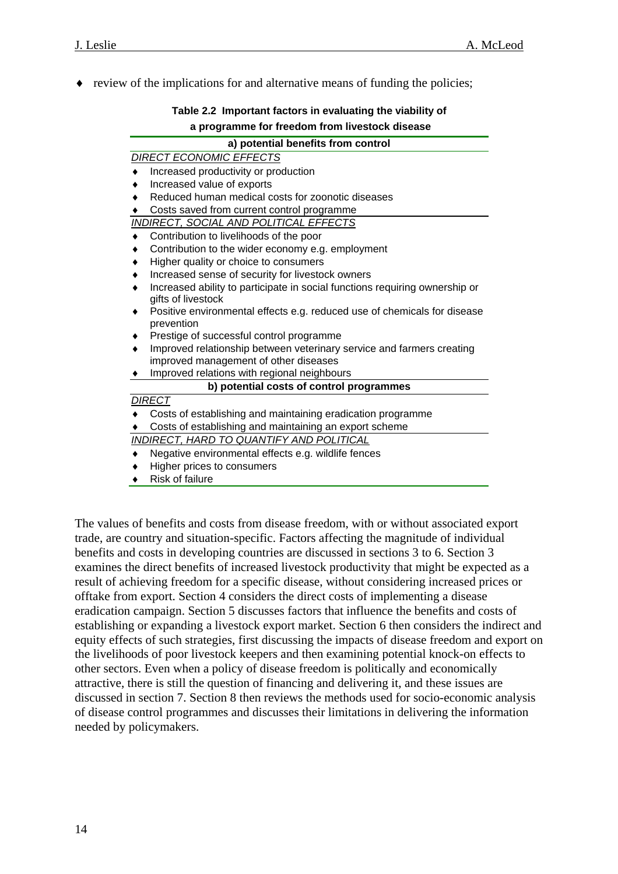$\bullet$  review of the implications for and alternative means of funding the policies;

| Table 2.2 Important factors in evaluating the viability of |  |  |
|------------------------------------------------------------|--|--|
| a programme for freedom from livestock disease             |  |  |

| a) potential benefits from control                                                                |  |  |  |  |
|---------------------------------------------------------------------------------------------------|--|--|--|--|
| <b>DIRECT ECONOMIC EFFECTS</b>                                                                    |  |  |  |  |
| Increased productivity or production                                                              |  |  |  |  |
| Increased value of exports                                                                        |  |  |  |  |
| Reduced human medical costs for zoonotic diseases                                                 |  |  |  |  |
| Costs saved from current control programme                                                        |  |  |  |  |
| <b>INDIRECT, SOCIAL AND POLITICAL EFFECTS</b>                                                     |  |  |  |  |
| Contribution to livelihoods of the poor                                                           |  |  |  |  |
| Contribution to the wider economy e.g. employment                                                 |  |  |  |  |
| Higher quality or choice to consumers                                                             |  |  |  |  |
| Increased sense of security for livestock owners                                                  |  |  |  |  |
| Increased ability to participate in social functions requiring ownership or<br>gifts of livestock |  |  |  |  |
| Positive environmental effects e.g. reduced use of chemicals for disease                          |  |  |  |  |
| prevention                                                                                        |  |  |  |  |
| Prestige of successful control programme                                                          |  |  |  |  |
| Improved relationship between veterinary service and farmers creating                             |  |  |  |  |
| improved management of other diseases                                                             |  |  |  |  |
| Improved relations with regional neighbours                                                       |  |  |  |  |
| b) potential costs of control programmes                                                          |  |  |  |  |
| <b>DIRECT</b>                                                                                     |  |  |  |  |
| Costs of establishing and maintaining eradication programme                                       |  |  |  |  |
| Costs of establishing and maintaining an export scheme                                            |  |  |  |  |
| INDIRECT, HARD TO QUANTIFY AND POLITICAL                                                          |  |  |  |  |
| Negative environmental effects e.g. wildlife fences                                               |  |  |  |  |
| Higher prices to consumers<br>٠                                                                   |  |  |  |  |

**Risk of failure** 

The values of benefits and costs from disease freedom, with or without associated export trade, are country and situation-specific. Factors affecting the magnitude of individual benefits and costs in developing countries are discussed in sections 3 to 6. Section 3 examines the direct benefits of increased livestock productivity that might be expected as a result of achieving freedom for a specific disease, without considering increased prices or offtake from export. Section 4 considers the direct costs of implementing a disease eradication campaign. Section 5 discusses factors that influence the benefits and costs of establishing or expanding a livestock export market. Section 6 then considers the indirect and equity effects of such strategies, first discussing the impacts of disease freedom and export on the livelihoods of poor livestock keepers and then examining potential knock-on effects to other sectors. Even when a policy of disease freedom is politically and economically attractive, there is still the question of financing and delivering it, and these issues are discussed in section 7. Section 8 then reviews the methods used for socio-economic analysis of disease control programmes and discusses their limitations in delivering the information needed by policymakers.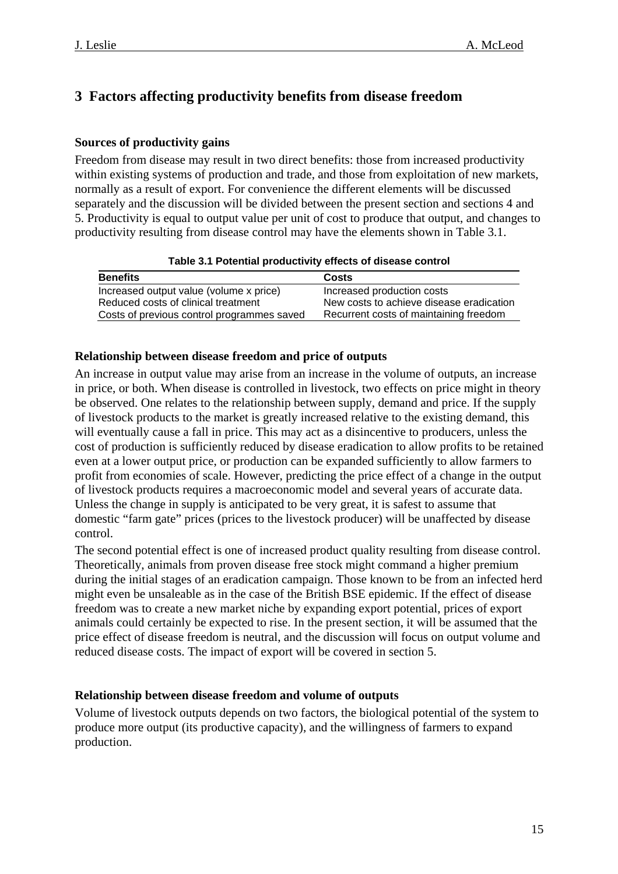## <span id="page-14-0"></span>**3 Factors affecting productivity benefits from disease freedom**

## **Sources of productivity gains**

Freedom from disease may result in two direct benefits: those from increased productivity within existing systems of production and trade, and those from exploitation of new markets, normally as a result of export. For convenience the different elements will be discussed separately and the discussion will be divided between the present section and sections 4 and 5. Productivity is equal to output value per unit of cost to produce that output, and changes to productivity resulting from disease control may have the elements shown in Table 3.1.

|  | Table 3.1 Potential productivity effects of disease control |  |  |
|--|-------------------------------------------------------------|--|--|
|--|-------------------------------------------------------------|--|--|

| <b>Benefits</b>                            | Costs                                    |
|--------------------------------------------|------------------------------------------|
| Increased output value (volume x price)    | Increased production costs               |
| Reduced costs of clinical treatment        | New costs to achieve disease eradication |
| Costs of previous control programmes saved | Recurrent costs of maintaining freedom   |

### **Relationship between disease freedom and price of outputs**

An increase in output value may arise from an increase in the volume of outputs, an increase in price, or both. When disease is controlled in livestock, two effects on price might in theory be observed. One relates to the relationship between supply, demand and price. If the supply of livestock products to the market is greatly increased relative to the existing demand, this will eventually cause a fall in price. This may act as a disincentive to producers, unless the cost of production is sufficiently reduced by disease eradication to allow profits to be retained even at a lower output price, or production can be expanded sufficiently to allow farmers to profit from economies of scale. However, predicting the price effect of a change in the output of livestock products requires a macroeconomic model and several years of accurate data. Unless the change in supply is anticipated to be very great, it is safest to assume that domestic "farm gate" prices (prices to the livestock producer) will be unaffected by disease control.

The second potential effect is one of increased product quality resulting from disease control. during the initial stages of an eradication campaign. Those known to be from an infected herd animals could certainly be expected to rise. In the present section, it will be assumed that the Theoretically, animals from proven disease free stock might command a higher premium might even be unsaleable as in the case of the British BSE epidemic. If the effect of disease freedom was to create a new market niche by expanding export potential, prices of export price effect of disease freedom is neutral, and the discussion will focus on output volume and reduced disease costs. The impact of export will be covered in section 5.

## **Relationship between disease freedom and volume of outputs**

Volume of livestock outputs depends on two factors, the biological potential of the system to produce more output (its productive capacity), and the willingness of farmers to expand production.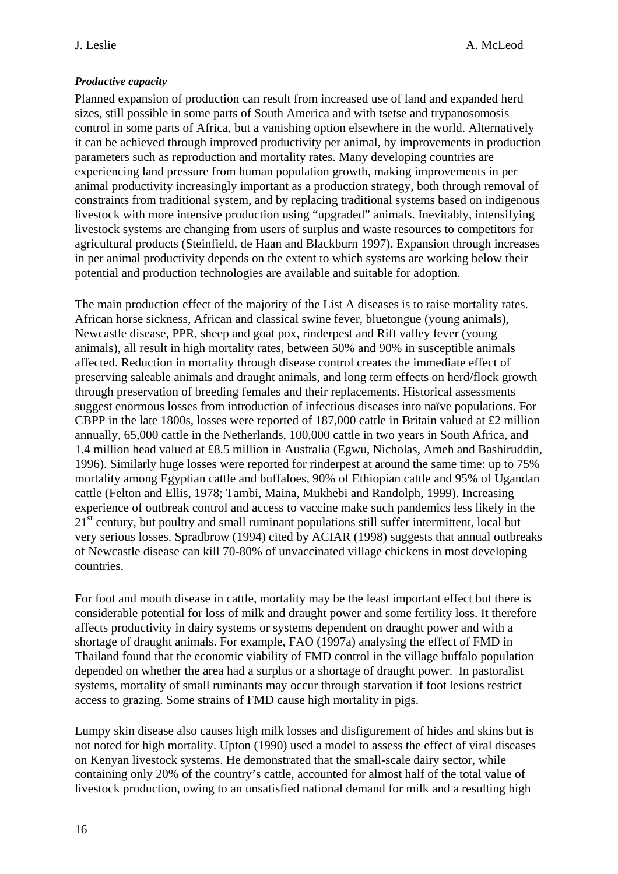### <span id="page-15-0"></span>*Productive capacity*

Planned expansion of production can result from increased use of land and expanded herd sizes, still possible in some parts of South America and with tsetse and trypanosomosis control in some parts of Africa, but a vanishing option elsewhere in the world. Alternatively it can be achieved through improved productivity per animal, by improvements in production parameters such as reproduction and mortality rates. Many developing countries are experiencing land pressure from human population growth, making improvements in per animal productivity increasingly important as a production strategy, both through removal of constraints from traditional system, and by replacing traditional systems based on indigenous livestock with more intensive production using "upgraded" animals. Inevitably, intensifying livestock systems are changing from users of surplus and waste resources to competitors for agricultural products (Steinfield, de Haan and Blackburn 1997). Expansion through increases in per animal productivity depends on the extent to which systems are working below their potential and production technologies are available and suitable for adoption.

The main production effect of the majority of the List A diseases is to raise mortality rates. African horse sickness, African and classical swine fever, bluetongue (young animals), Newcastle disease, PPR, sheep and goat pox, rinderpest and Rift valley fever (young animals), all result in high mortality rates, between 50% and 90% in susceptible animals affected. Reduction in mortality through disease control creates the immediate effect of preserving saleable animals and draught animals, and long term effects on herd/flock growth through preservation of breeding females and their replacements. Historical assessments suggest enormous losses from introduction of infectious diseases into naïve populations. For CBPP in the late 1800s, losses were reported of 187,000 cattle in Britain valued at £2 million annually, 65,000 cattle in the Netherlands, 100,000 cattle in two years in South Africa, and 1.4 million head valued at £8.5 million in Australia (Egwu, Nicholas, Ameh and Bashiruddin, 1996). Similarly huge losses were reported for rinderpest at around the same time: up to 75% mortality among Egyptian cattle and buffaloes, 90% of Ethiopian cattle and 95% of Ugandan cattle (Felton and Ellis, 1978; Tambi, Maina, Mukhebi and Randolph, 1999). Increasing experience of outbreak control and access to vaccine make such pandemics less likely in the 21<sup>st</sup> century, but poultry and small ruminant populations still suffer intermittent, local but very serious losses. Spradbrow (1994) cited by ACIAR (1998) suggests that annual outbreaks of Newcastle disease can kill 70-80% of unvaccinated village chickens in most developing countries.

For foot and mouth disease in cattle, mortality may be the least important effect but there is considerable potential for loss of milk and draught power and some fertility loss. It therefore affects productivity in dairy systems or systems dependent on draught power and with a shortage of draught animals. For example, FAO (1997a) analysing the effect of FMD in Thailand found that the economic viability of FMD control in the village buffalo population depended on whether the area had a surplus or a shortage of draught power. In pastoralist systems, mortality of small ruminants may occur through starvation if foot lesions restrict access to grazing. Some strains of FMD cause high mortality in pigs.

Lumpy skin disease also causes high milk losses and disfigurement of hides and skins but is not noted for high mortality. Upton (1990) used a model to assess the effect of viral diseases on Kenyan livestock systems. He demonstrated that the small-scale dairy sector, while containing only 20% of the country's cattle, accounted for almost half of the total value of livestock production, owing to an unsatisfied national demand for milk and a resulting high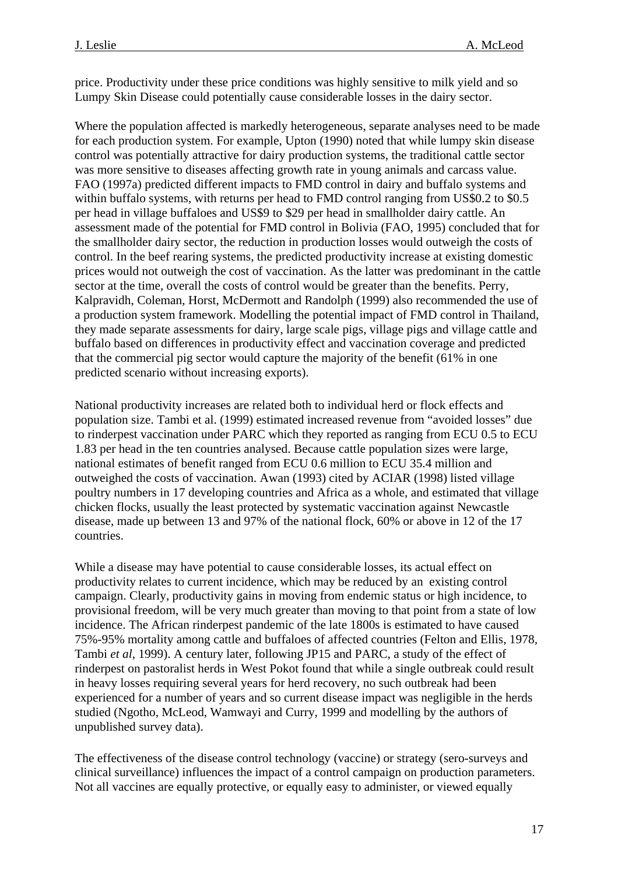price. Productivity under these price conditions was highly sensitive to milk yield and so Lumpy Skin Disease could potentially cause considerable losses in the dairy sector.

Where the population affected is markedly heterogeneous, separate analyses need to be made for each production system. For example, Upton (1990) noted that while lumpy skin disease control was potentially attractive for dairy production systems, the traditional cattle sector was more sensitive to diseases affecting growth rate in young animals and carcass value. FAO (1997a) predicted different impacts to FMD control in dairy and buffalo systems and within buffalo systems, with returns per head to FMD control ranging from US\$0.2 to \$0.5 per head in village buffaloes and US\$9 to \$29 per head in smallholder dairy cattle. An assessment made of the potential for FMD control in Bolivia (FAO, 1995) concluded that for the smallholder dairy sector, the reduction in production losses would outweigh the costs of control. In the beef rearing systems, the predicted productivity increase at existing domestic prices would not outweigh the cost of vaccination. As the latter was predominant in the cattle sector at the time, overall the costs of control would be greater than the benefits. Perry, Kalpravidh, Coleman, Horst, McDermott and Randolph (1999) also recommended the use of a production system framework. Modelling the potential impact of FMD control in Thailand, they made separate assessments for dairy, large scale pigs, village pigs and village cattle and buffalo based on differences in productivity effect and vaccination coverage and predicted that the commercial pig sector would capture the majority of the benefit (61% in one predicted scenario without increasing exports).

National productivity increases are related both to individual herd or flock effects and population size. Tambi et al. (1999) estimated increased revenue from "avoided losses" due to rinderpest vaccination under PARC which they reported as ranging from ECU 0.5 to ECU 1.83 per head in the ten countries analysed. Because cattle population sizes were large, national estimates of benefit ranged from ECU 0.6 million to ECU 35.4 million and outweighed the costs of vaccination. Awan (1993) cited by ACIAR (1998) listed village poultry numbers in 17 developing countries and Africa as a whole, and estimated that village chicken flocks, usually the least protected by systematic vaccination against Newcastle disease, made up between 13 and 97% of the national flock, 60% or above in 12 of the 17 countries.

While a disease may have potential to cause considerable losses, its actual effect on productivity relates to current incidence, which may be reduced by an existing control campaign. Clearly, productivity gains in moving from endemic status or high incidence, to provisional freedom, will be very much greater than moving to that point from a state of low incidence. The African rinderpest pandemic of the late 1800s is estimated to have caused 75%-95% mortality among cattle and buffaloes of affected countries (Felton and Ellis, 1978*,*  Tambi *et al*, 1999). A century later, following JP15 and PARC, a study of the effect of rinderpest on pastoralist herds in West Pokot found that while a single outbreak could result in heavy losses requiring several years for herd recovery, no such outbreak had been experienced for a number of years and so current disease impact was negligible in the herds studied (Ngotho, McLeod, Wamwayi and Curry, 1999 and modelling by the authors of unpublished survey data).

The effectiveness of the disease control technology (vaccine) or strategy (sero-surveys and clinical surveillance) influences the impact of a control campaign on production parameters. Not all vaccines are equally protective, or equally easy to administer, or viewed equally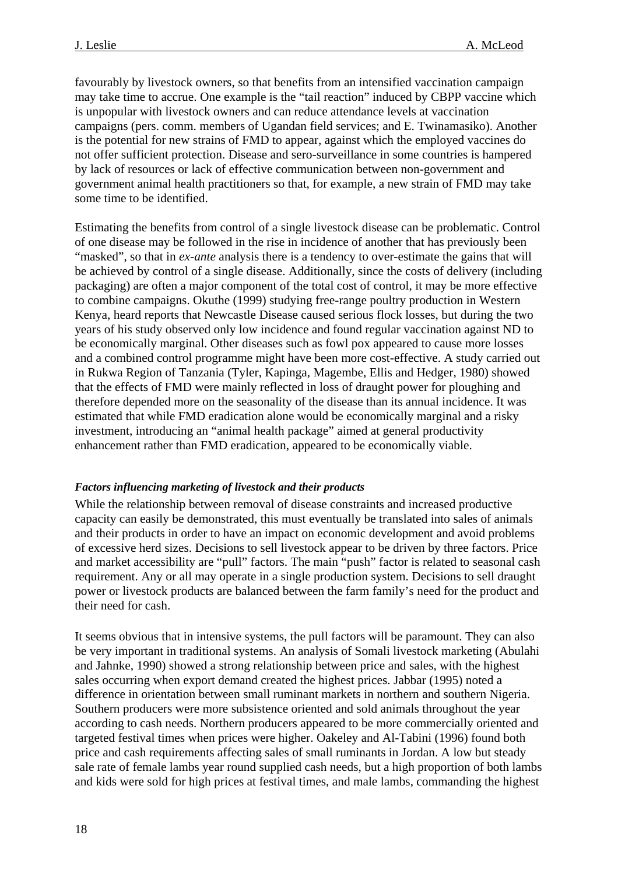<span id="page-17-0"></span>favourably by livestock owners, so that benefits from an intensified vaccination campaign may take time to accrue. One example is the "tail reaction" induced by CBPP vaccine which is unpopular with livestock owners and can reduce attendance levels at vaccination campaigns (pers. comm. members of Ugandan field services; and E. Twinamasiko). Another is the potential for new strains of FMD to appear, against which the employed vaccines do not offer sufficient protection. Disease and sero-surveillance in some countries is hampered by lack of resources or lack of effective communication between non-government and government animal health practitioners so that, for example, a new strain of FMD may take some time to be identified.

Estimating the benefits from control of a single livestock disease can be problematic. Control of one disease may be followed in the rise in incidence of another that has previously been "masked", so that in *ex-ante* analysis there is a tendency to over-estimate the gains that will be achieved by control of a single disease. Additionally, since the costs of delivery (including packaging) are often a major component of the total cost of control, it may be more effective to combine campaigns. Okuthe (1999) studying free-range poultry production in Western Kenya, heard reports that Newcastle Disease caused serious flock losses, but during the two years of his study observed only low incidence and found regular vaccination against ND to be economically marginal. Other diseases such as fowl pox appeared to cause more losses and a combined control programme might have been more cost-effective. A study carried out in Rukwa Region of Tanzania (Tyler, Kapinga, Magembe, Ellis and Hedger, 1980) showed that the effects of FMD were mainly reflected in loss of draught power for ploughing and therefore depended more on the seasonality of the disease than its annual incidence. It was estimated that while FMD eradication alone would be economically marginal and a risky investment, introducing an "animal health package" aimed at general productivity enhancement rather than FMD eradication, appeared to be economically viable.

#### *Factors influencing marketing of livestock and their products*

While the relationship between removal of disease constraints and increased productive capacity can easily be demonstrated, this must eventually be translated into sales of animals and their products in order to have an impact on economic development and avoid problems of excessive herd sizes. Decisions to sell livestock appear to be driven by three factors. Price and market accessibility are "pull" factors. The main "push" factor is related to seasonal cash requirement. Any or all may operate in a single production system. Decisions to sell draught power or livestock products are balanced between the farm family's need for the product and their need for cash.

It seems obvious that in intensive systems, the pull factors will be paramount. They can also be very important in traditional systems. An analysis of Somali livestock marketing (Abulahi and Jahnke, 1990) showed a strong relationship between price and sales, with the highest sales occurring when export demand created the highest prices. Jabbar (1995) noted a difference in orientation between small ruminant markets in northern and southern Nigeria. Southern producers were more subsistence oriented and sold animals throughout the year according to cash needs. Northern producers appeared to be more commercially oriented and targeted festival times when prices were higher. Oakeley and Al-Tabini (1996) found both price and cash requirements affecting sales of small ruminants in Jordan. A low but steady sale rate of female lambs year round supplied cash needs, but a high proportion of both lambs and kids were sold for high prices at festival times, and male lambs, commanding the highest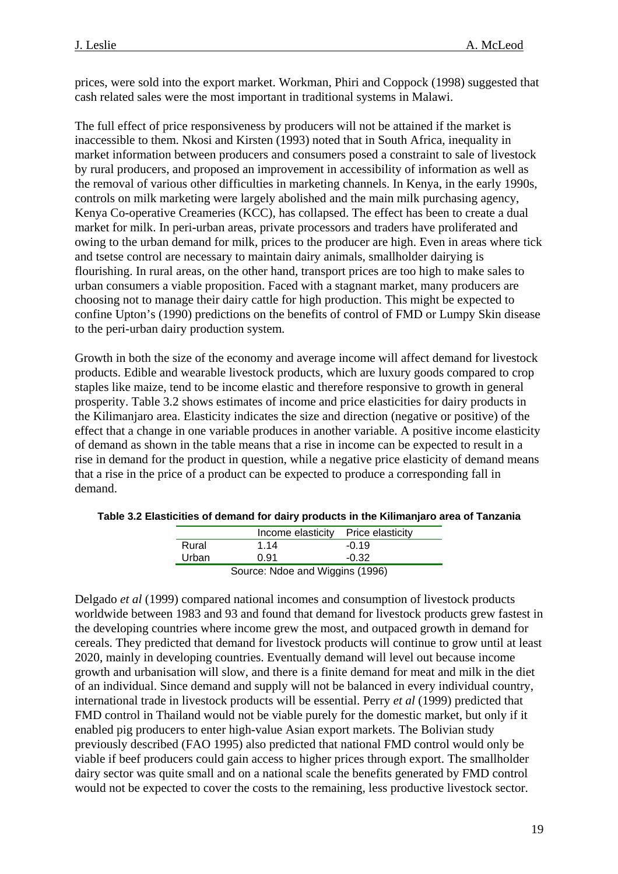prices, were sold into the export market. Workman, Phiri and Coppock (1998) suggested that cash related sales were the most important in traditional systems in Malawi.

The full effect of price responsiveness by producers will not be attained if the market is inaccessible to them. Nkosi and Kirsten (1993) noted that in South Africa, inequality in market information between producers and consumers posed a constraint to sale of livestock by rural producers, and proposed an improvement in accessibility of information as well as the removal of various other difficulties in marketing channels. In Kenya, in the early 1990s, controls on milk marketing were largely abolished and the main milk purchasing agency, Kenya Co-operative Creameries (KCC), has collapsed. The effect has been to create a dual market for milk. In peri-urban areas, private processors and traders have proliferated and owing to the urban demand for milk, prices to the producer are high. Even in areas where tick and tsetse control are necessary to maintain dairy animals, smallholder dairying is flourishing. In rural areas, on the other hand, transport prices are too high to make sales to urban consumers a viable proposition. Faced with a stagnant market, many producers are choosing not to manage their dairy cattle for high production. This might be expected to confine Upton's (1990) predictions on the benefits of control of FMD or Lumpy Skin disease to the peri-urban dairy production system.

Growth in both the size of the economy and average income will affect demand for livestock products. Edible and wearable livestock products, which are luxury goods compared to crop staples like maize, tend to be income elastic and therefore responsive to growth in general prosperity. Table 3.2 shows estimates of income and price elasticities for dairy products in the Kilimanjaro area. Elasticity indicates the size and direction (negative or positive) of the effect that a change in one variable produces in another variable. A positive income elasticity of demand as shown in the table means that a rise in income can be expected to result in a rise in demand for the product in question, while a negative price elasticity of demand means that a rise in the price of a product can be expected to produce a corresponding fall in demand.

|                                 | Income elasticity Price elasticity |         |
|---------------------------------|------------------------------------|---------|
| Rural                           | 1 14                               | $-0.19$ |
| Urban                           | 0.91                               | $-0.32$ |
| Source: Ndoe and Wiggins (1996) |                                    |         |

**Table 3.2 Elasticities of demand for dairy products in the Kilimanjaro area of Tanzania** 

Delgado *et al* (1999) compared national incomes and consumption of livestock products worldwide between 1983 and 93 and found that demand for livestock products grew fastest in the developing countries where income grew the most, and outpaced growth in demand for cereals. They predicted that demand for livestock products will continue to grow until at least 2020, mainly in developing countries. Eventually demand will level out because income growth and urbanisation will slow, and there is a finite demand for meat and milk in the diet of an individual. Since demand and supply will not be balanced in every individual country, international trade in livestock products will be essential. Perry *et al* (1999) predicted that FMD control in Thailand would not be viable purely for the domestic market, but only if it enabled pig producers to enter high-value Asian export markets. The Bolivian study previously described (FAO 1995) also predicted that national FMD control would only be viable if beef producers could gain access to higher prices through export. The smallholder dairy sector was quite small and on a national scale the benefits generated by FMD control would not be expected to cover the costs to the remaining, less productive livestock sector.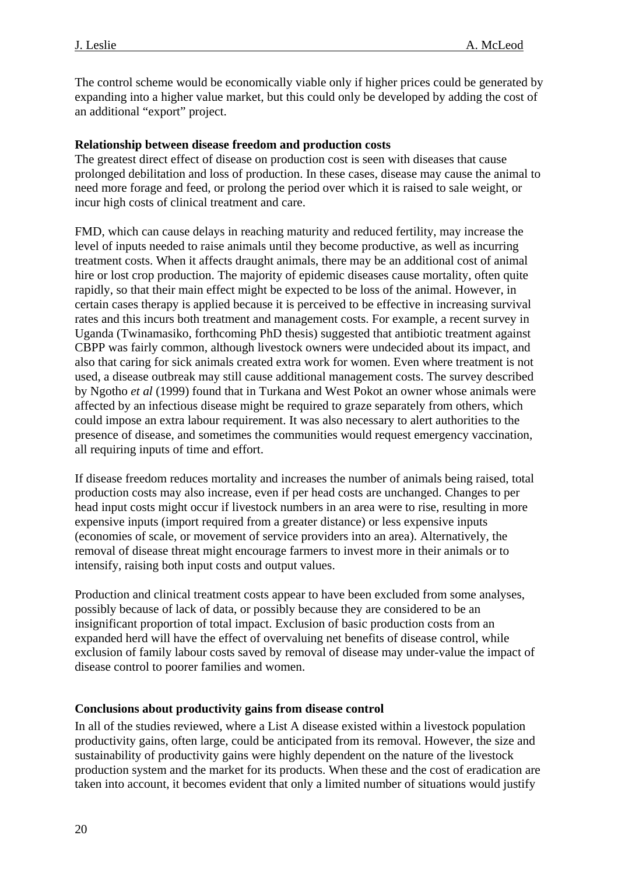<span id="page-19-0"></span>The control scheme would be economically viable only if higher prices could be generated by expanding into a higher value market, but this could only be developed by adding the cost of an additional "export" project.

### **Relationship between disease freedom and production costs**

The greatest direct effect of disease on production cost is seen with diseases that cause prolonged debilitation and loss of production. In these cases, disease may cause the animal to need more forage and feed, or prolong the period over which it is raised to sale weight, or incur high costs of clinical treatment and care.

FMD, which can cause delays in reaching maturity and reduced fertility, may increase the level of inputs needed to raise animals until they become productive, as well as incurring treatment costs. When it affects draught animals, there may be an additional cost of animal hire or lost crop production. The majority of epidemic diseases cause mortality, often quite rapidly, so that their main effect might be expected to be loss of the animal. However, in certain cases therapy is applied because it is perceived to be effective in increasing survival rates and this incurs both treatment and management costs. For example, a recent survey in Uganda (Twinamasiko, forthcoming PhD thesis) suggested that antibiotic treatment against CBPP was fairly common, although livestock owners were undecided about its impact, and also that caring for sick animals created extra work for women. Even where treatment is not used, a disease outbreak may still cause additional management costs. The survey described by Ngotho *et al* (1999) found that in Turkana and West Pokot an owner whose animals were affected by an infectious disease might be required to graze separately from others, which could impose an extra labour requirement. It was also necessary to alert authorities to the presence of disease, and sometimes the communities would request emergency vaccination, all requiring inputs of time and effort.

If disease freedom reduces mortality and increases the number of animals being raised, total production costs may also increase, even if per head costs are unchanged. Changes to per head input costs might occur if livestock numbers in an area were to rise, resulting in more expensive inputs (import required from a greater distance) or less expensive inputs (economies of scale, or movement of service providers into an area). Alternatively, the removal of disease threat might encourage farmers to invest more in their animals or to intensify, raising both input costs and output values.

Production and clinical treatment costs appear to have been excluded from some analyses, possibly because of lack of data, or possibly because they are considered to be an insignificant proportion of total impact. Exclusion of basic production costs from an expanded herd will have the effect of overvaluing net benefits of disease control, while exclusion of family labour costs saved by removal of disease may under-value the impact of disease control to poorer families and women.

#### **Conclusions about productivity gains from disease control**

In all of the studies reviewed, where a List A disease existed within a livestock population productivity gains, often large, could be anticipated from its removal. However, the size and sustainability of productivity gains were highly dependent on the nature of the livestock production system and the market for its products. When these and the cost of eradication are taken into account, it becomes evident that only a limited number of situations would justify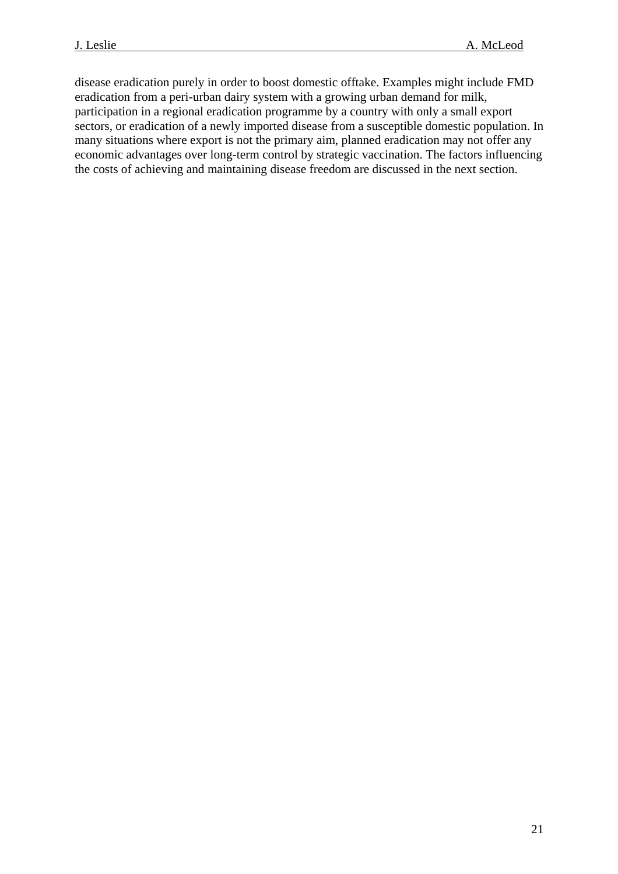disease eradication purely in order to boost domestic offtake. Examples might include FMD eradication from a peri-urban dairy system with a growing urban demand for milk, participation in a regional eradication programme by a country with only a small export sectors, or eradication of a newly imported disease from a susceptible domestic population. In many situations where export is not the primary aim, planned eradication may not offer any economic advantages over long-term control by strategic vaccination. The factors influencing the costs of achieving and maintaining disease freedom are discussed in the next section.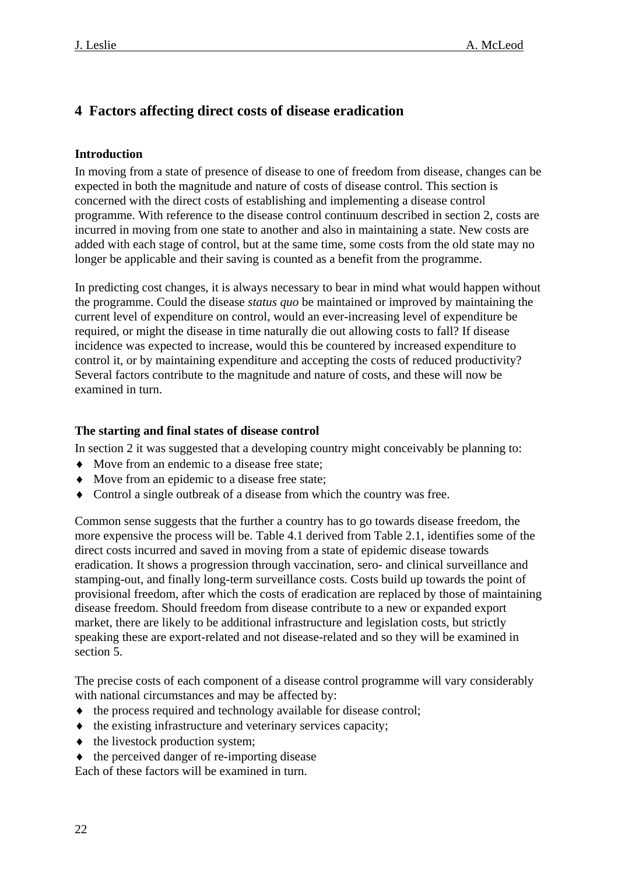## <span id="page-21-0"></span>**4 Factors affecting direct costs of disease eradication**

## **Introduction**

In moving from a state of presence of disease to one of freedom from disease, changes can be expected in both the magnitude and nature of costs of disease control. This section is concerned with the direct costs of establishing and implementing a disease control programme. With reference to the disease control continuum described in section 2, costs are incurred in moving from one state to another and also in maintaining a state. New costs are added with each stage of control, but at the same time, some costs from the old state may no longer be applicable and their saving is counted as a benefit from the programme.

In predicting cost changes, it is always necessary to bear in mind what would happen without the programme. Could the disease *status quo* be maintained or improved by maintaining the current level of expenditure on control, would an ever-increasing level of expenditure be required, or might the disease in time naturally die out allowing costs to fall? If disease incidence was expected to increase, would this be countered by increased expenditure to control it, or by maintaining expenditure and accepting the costs of reduced productivity? Several factors contribute to the magnitude and nature of costs, and these will now be examined in turn.

### **The starting and final states of disease control**

In section 2 it was suggested that a developing country might conceivably be planning to:

- ♦ Move from an endemic to a disease free state;
- ♦ Move from an epidemic to a disease free state;
- ♦ Control a single outbreak of a disease from which the country was free.

Common sense suggests that the further a country has to go towards disease freedom, the more expensive the process will be. Table 4.1 derived from Table 2.1, identifies some of the direct costs incurred and saved in moving from a state of epidemic disease towards eradication. It shows a progression through vaccination, sero- and clinical surveillance and stamping-out, and finally long-term surveillance costs. Costs build up towards the point of provisional freedom, after which the costs of eradication are replaced by those of maintaining disease freedom. Should freedom from disease contribute to a new or expanded export market, there are likely to be additional infrastructure and legislation costs, but strictly speaking these are export-related and not disease-related and so they will be examined in section 5.

The precise costs of each component of a disease control programme will vary considerably with national circumstances and may be affected by:

- ♦ the process required and technology available for disease control;
- ♦ the existing infrastructure and veterinary services capacity;
- ♦ the livestock production system;
- ♦ the perceived danger of re-importing disease

Each of these factors will be examined in turn.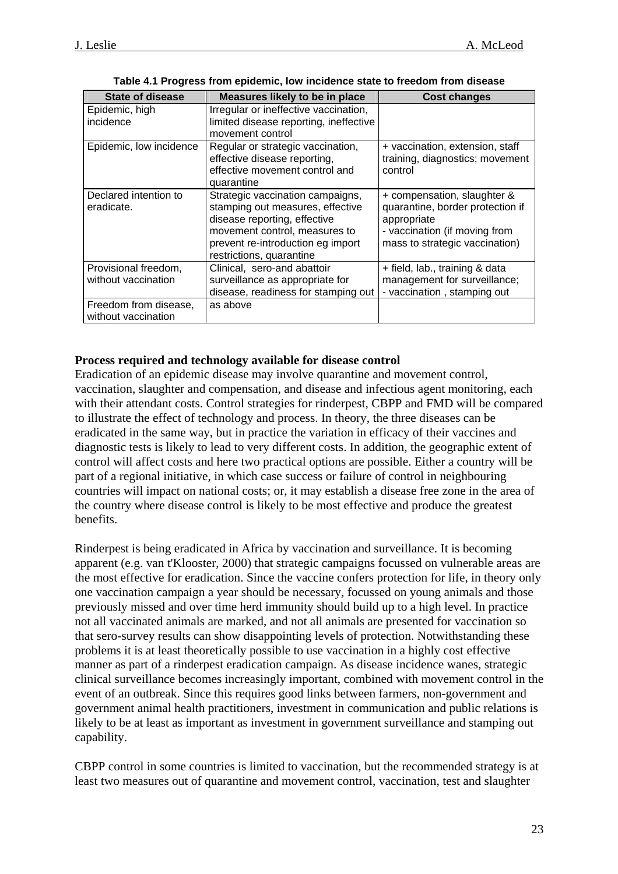| <b>State of disease</b>                      | Measures likely to be in place                                                                                                                                                                         | <b>Cost changes</b>                                                                                                                               |
|----------------------------------------------|--------------------------------------------------------------------------------------------------------------------------------------------------------------------------------------------------------|---------------------------------------------------------------------------------------------------------------------------------------------------|
| Epidemic, high<br>incidence                  | Irregular or ineffective vaccination,<br>limited disease reporting, ineffective<br>movement control                                                                                                    |                                                                                                                                                   |
| Epidemic, low incidence                      | Regular or strategic vaccination,<br>effective disease reporting,<br>effective movement control and<br>quarantine                                                                                      | + vaccination, extension, staff<br>training, diagnostics; movement<br>control                                                                     |
| Declared intention to<br>eradicate.          | Strategic vaccination campaigns,<br>stamping out measures, effective<br>disease reporting, effective<br>movement control, measures to<br>prevent re-introduction eg import<br>restrictions, quarantine | + compensation, slaughter &<br>quarantine, border protection if<br>appropriate<br>- vaccination (if moving from<br>mass to strategic vaccination) |
| Provisional freedom,<br>without vaccination  | Clinical, sero-and abattoir<br>surveillance as appropriate for<br>disease, readiness for stamping out                                                                                                  | + field, lab., training & data<br>management for surveillance;<br>- vaccination, stamping out                                                     |
| Freedom from disease,<br>without vaccination | as above                                                                                                                                                                                               |                                                                                                                                                   |

**Table 4.1 Progress from epidemic, low incidence state to freedom from disease** 

#### **Process required and technology available for disease control**

Eradication of an epidemic disease may involve quarantine and movement control, vaccination, slaughter and compensation, and disease and infectious agent monitoring, each with their attendant costs. Control strategies for rinderpest, CBPP and FMD will be compared to illustrate the effect of technology and process. In theory, the three diseases can be eradicated in the same way, but in practice the variation in efficacy of their vaccines and diagnostic tests is likely to lead to very different costs. In addition, the geographic extent of control will affect costs and here two practical options are possible. Either a country will be part of a regional initiative, in which case success or failure of control in neighbouring countries will impact on national costs; or, it may establish a disease free zone in the area of the country where disease control is likely to be most effective and produce the greatest benefits.

Rinderpest is being eradicated in Africa by vaccination and surveillance. It is becoming apparent (e.g. van t'Klooster, 2000) that strategic campaigns focussed on vulnerable areas are the most effective for eradication. Since the vaccine confers protection for life, in theory only one vaccination campaign a year should be necessary, focussed on young animals and those previously missed and over time herd immunity should build up to a high level. In practice not all vaccinated animals are marked, and not all animals are presented for vaccination so that sero-survey results can show disappointing levels of protection. Notwithstanding these problems it is at least theoretically possible to use vaccination in a highly cost effective manner as part of a rinderpest eradication campaign. As disease incidence wanes, strategic clinical surveillance becomes increasingly important, combined with movement control in the event of an outbreak. Since this requires good links between farmers, non-government and government animal health practitioners, investment in communication and public relations is likely to be at least as important as investment in government surveillance and stamping out capability.

CBPP control in some countries is limited to vaccination, but the recommended strategy is at least two measures out of quarantine and movement control, vaccination, test and slaughter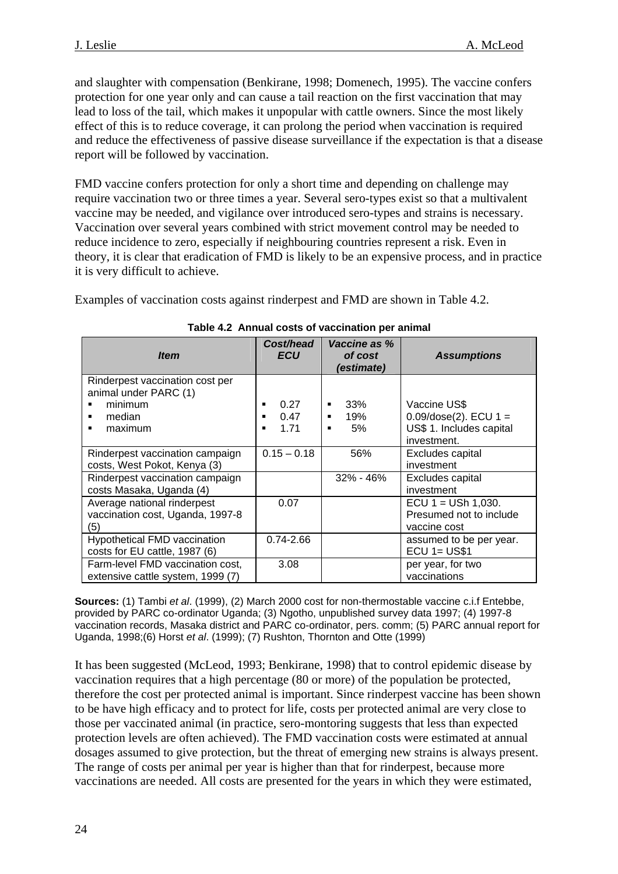and slaughter with compensation (Benkirane, 1998; Domenech, 1995). The vaccine confers protection for one year only and can cause a tail reaction on the first vaccination that may lead to loss of the tail, which makes it unpopular with cattle owners. Since the most likely effect of this is to reduce coverage, it can prolong the period when vaccination is required and reduce the effectiveness of passive disease surveillance if the expectation is that a disease report will be followed by vaccination.

FMD vaccine confers protection for only a short time and depending on challenge may require vaccination two or three times a year. Several sero-types exist so that a multivalent vaccine may be needed, and vigilance over introduced sero-types and strains is necessary. Vaccination over several years combined with strict movement control may be needed to reduce incidence to zero, especially if neighbouring countries represent a risk. Even in theory, it is clear that eradication of FMD is likely to be an expensive process, and in practice it is very difficult to achieve.

Examples of vaccination costs against rinderpest and FMD are shown in Table 4.2.

| <b>Item</b>                                                                                        | Cost/head<br><b>ECU</b>             | Vaccine as %<br>of cost<br>(estimate) | <b>Assumptions</b>                                                                  |
|----------------------------------------------------------------------------------------------------|-------------------------------------|---------------------------------------|-------------------------------------------------------------------------------------|
| Rinderpest vaccination cost per<br>animal under PARC (1)<br>minimum<br>median<br>п<br>maximum<br>п | 0.27<br>п<br>0.47<br>п<br>1.71<br>п | 33%<br>19%<br>٠<br>5%<br>п            | Vaccine US\$<br>$0.09/dose(2)$ . ECU 1 =<br>US\$ 1. Includes capital<br>investment. |
| Rinderpest vaccination campaign<br>costs, West Pokot, Kenya (3)                                    | $0.15 - 0.18$                       | 56%                                   | Excludes capital<br>investment                                                      |
| Rinderpest vaccination campaign<br>costs Masaka, Uganda (4)                                        |                                     | $32\% - 46\%$                         | Excludes capital<br>investment                                                      |
| Average national rinderpest<br>vaccination cost, Uganda, 1997-8<br>(5)                             | 0.07                                |                                       | ECU $1 =$ USh 1,030.<br>Presumed not to include<br>vaccine cost                     |
| <b>Hypothetical FMD vaccination</b><br>costs for EU cattle, 1987 (6)                               | $0.74 - 2.66$                       |                                       | assumed to be per year.<br>$ECU$ 1= US\$1                                           |
| Farm-level FMD vaccination cost,<br>extensive cattle system, 1999 (7)                              | 3.08                                |                                       | per year, for two<br>vaccinations                                                   |

#### **Table 4.2 Annual costs of vaccination per animal**

**Sources:** (1) Tambi *et al*. (1999), (2) March 2000 cost for non-thermostable vaccine c.i.f Entebbe, provided by PARC co-ordinator Uganda; (3) Ngotho, unpublished survey data 1997; (4) 1997-8 vaccination records, Masaka district and PARC co-ordinator, pers. comm; (5) PARC annual report for Uganda, 1998;(6) Horst *et al*. (1999); (7) Rushton, Thornton and Otte (1999)

It has been suggested (McLeod, 1993; Benkirane, 1998) that to control epidemic disease by vaccination requires that a high percentage (80 or more) of the population be protected, therefore the cost per protected animal is important. Since rinderpest vaccine has been shown to be have high efficacy and to protect for life, costs per protected animal are very close to those per vaccinated animal (in practice, sero-montoring suggests that less than expected protection levels are often achieved). The FMD vaccination costs were estimated at annual dosages assumed to give protection, but the threat of emerging new strains is always present. The range of costs per animal per year is higher than that for rinderpest, because more vaccinations are needed. All costs are presented for the years in which they were estimated,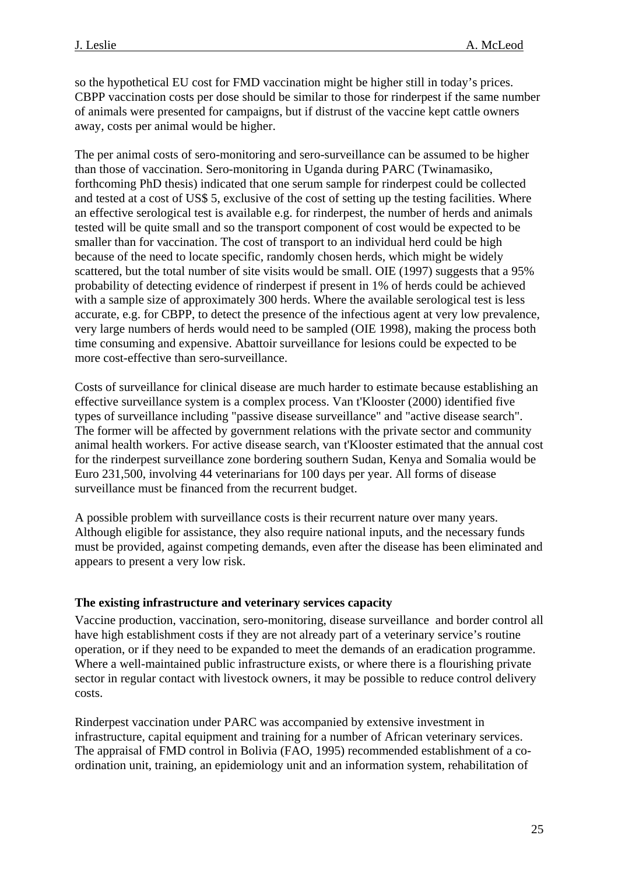<span id="page-24-0"></span>so the hypothetical EU cost for FMD vaccination might be higher still in today's prices. CBPP vaccination costs per dose should be similar to those for rinderpest if the same number of animals were presented for campaigns, but if distrust of the vaccine kept cattle owners away, costs per animal would be higher.

The per animal costs of sero-monitoring and sero-surveillance can be assumed to be higher than those of vaccination. Sero-monitoring in Uganda during PARC (Twinamasiko, forthcoming PhD thesis) indicated that one serum sample for rinderpest could be collected and tested at a cost of US\$ 5, exclusive of the cost of setting up the testing facilities. Where an effective serological test is available e.g. for rinderpest, the number of herds and animals tested will be quite small and so the transport component of cost would be expected to be smaller than for vaccination. The cost of transport to an individual herd could be high because of the need to locate specific, randomly chosen herds, which might be widely scattered, but the total number of site visits would be small. OIE (1997) suggests that a 95% probability of detecting evidence of rinderpest if present in 1% of herds could be achieved with a sample size of approximately 300 herds. Where the available serological test is less accurate, e.g. for CBPP, to detect the presence of the infectious agent at very low prevalence, very large numbers of herds would need to be sampled (OIE 1998), making the process both time consuming and expensive. Abattoir surveillance for lesions could be expected to be more cost-effective than sero-surveillance.

Costs of surveillance for clinical disease are much harder to estimate because establishing an effective surveillance system is a complex process. Van t'Klooster (2000) identified five types of surveillance including "passive disease surveillance" and "active disease search". The former will be affected by government relations with the private sector and community animal health workers. For active disease search, van t'Klooster estimated that the annual cost for the rinderpest surveillance zone bordering southern Sudan, Kenya and Somalia would be Euro 231,500, involving 44 veterinarians for 100 days per year. All forms of disease surveillance must be financed from the recurrent budget.

A possible problem with surveillance costs is their recurrent nature over many years. Although eligible for assistance, they also require national inputs, and the necessary funds must be provided, against competing demands, even after the disease has been eliminated and appears to present a very low risk.

## **The existing infrastructure and veterinary services capacity**

Vaccine production, vaccination, sero-monitoring, disease surveillance and border control all have high establishment costs if they are not already part of a veterinary service's routine operation, or if they need to be expanded to meet the demands of an eradication programme. Where a well-maintained public infrastructure exists, or where there is a flourishing private sector in regular contact with livestock owners, it may be possible to reduce control delivery costs.

Rinderpest vaccination under PARC was accompanied by extensive investment in infrastructure, capital equipment and training for a number of African veterinary services. The appraisal of FMD control in Bolivia (FAO, 1995) recommended establishment of a coordination unit, training, an epidemiology unit and an information system, rehabilitation of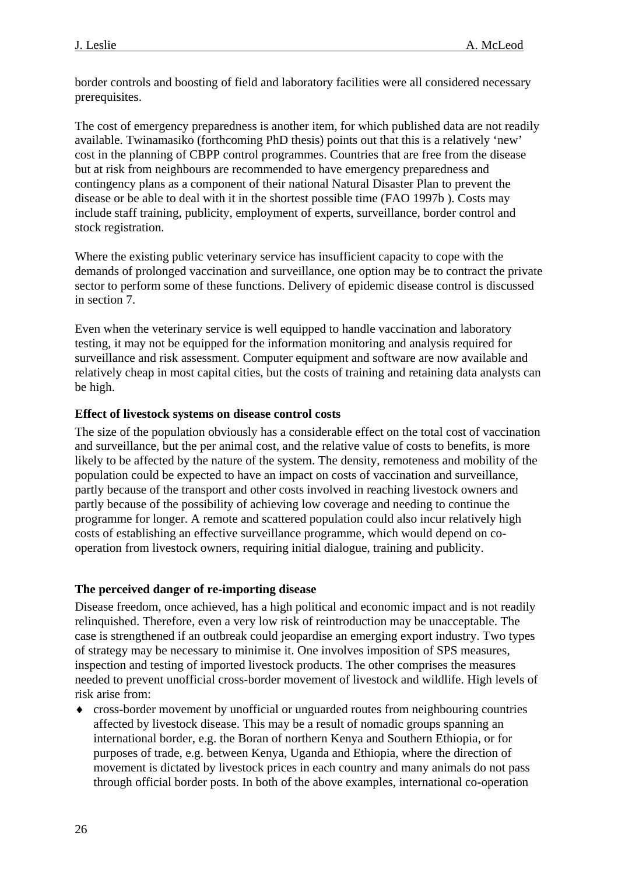<span id="page-25-0"></span>border controls and boosting of field and laboratory facilities were all considered necessary prerequisites.

The cost of emergency preparedness is another item, for which published data are not readily available. Twinamasiko (forthcoming PhD thesis) points out that this is a relatively 'new' cost in the planning of CBPP control programmes. Countries that are free from the disease but at risk from neighbours are recommended to have emergency preparedness and contingency plans as a component of their national Natural Disaster Plan to prevent the disease or be able to deal with it in the shortest possible time (FAO 1997b ). Costs may include staff training, publicity, employment of experts, surveillance, border control and stock registration.

Where the existing public veterinary service has insufficient capacity to cope with the demands of prolonged vaccination and surveillance, one option may be to contract the private sector to perform some of these functions. Delivery of epidemic disease control is discussed in section 7.

Even when the veterinary service is well equipped to handle vaccination and laboratory testing, it may not be equipped for the information monitoring and analysis required for surveillance and risk assessment. Computer equipment and software are now available and relatively cheap in most capital cities, but the costs of training and retaining data analysts can be high.

### **Effect of livestock systems on disease control costs**

The size of the population obviously has a considerable effect on the total cost of vaccination and surveillance, but the per animal cost, and the relative value of costs to benefits, is more likely to be affected by the nature of the system. The density, remoteness and mobility of the population could be expected to have an impact on costs of vaccination and surveillance, partly because of the transport and other costs involved in reaching livestock owners and partly because of the possibility of achieving low coverage and needing to continue the programme for longer. A remote and scattered population could also incur relatively high costs of establishing an effective surveillance programme, which would depend on cooperation from livestock owners, requiring initial dialogue, training and publicity.

## **The perceived danger of re-importing disease**

Disease freedom, once achieved, has a high political and economic impact and is not readily relinquished. Therefore, even a very low risk of reintroduction may be unacceptable. The case is strengthened if an outbreak could jeopardise an emerging export industry. Two types of strategy may be necessary to minimise it. One involves imposition of SPS measures, inspection and testing of imported livestock products. The other comprises the measures needed to prevent unofficial cross-border movement of livestock and wildlife. High levels of risk arise from:

cross-border movement by unofficial or unguarded routes from neighbouring countries affected by livestock disease. This may be a result of nomadic groups spanning an international border, e.g. the Boran of northern Kenya and Southern Ethiopia, or for purposes of trade, e.g. between Kenya, Uganda and Ethiopia, where the direction of movement is dictated by livestock prices in each country and many animals do not pass through official border posts. In both of the above examples, international co-operation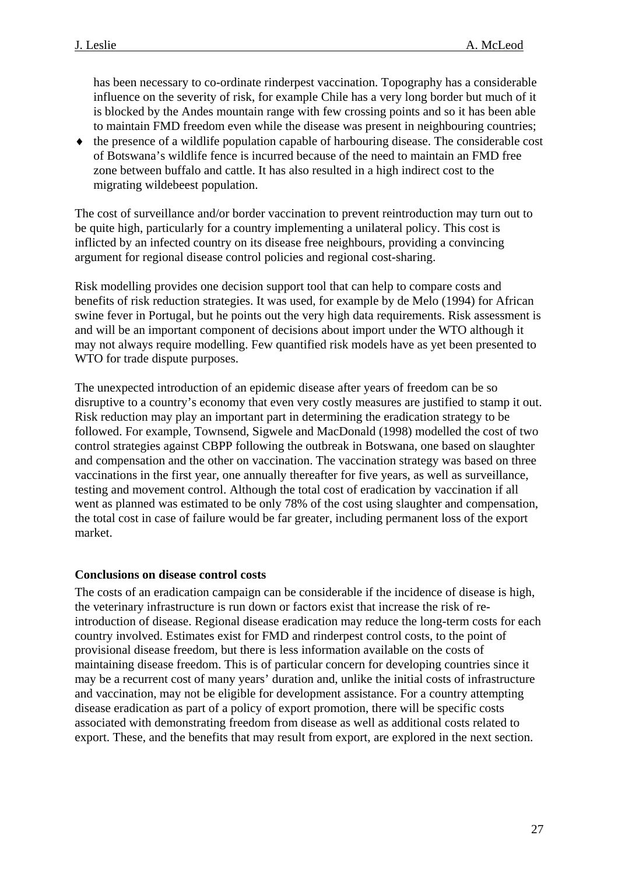<span id="page-26-0"></span>has been necessary to co-ordinate rinderpest vaccination. Topography has a considerable influence on the severity of risk, for example Chile has a very long border but much of it is blocked by the Andes mountain range with few crossing points and so it has been able to maintain FMD freedom even while the disease was present in neighbouring countries;

♦ the presence of a wildlife population capable of harbouring disease. The considerable cost of Botswana's wildlife fence is incurred because of the need to maintain an FMD free zone between buffalo and cattle. It has also resulted in a high indirect cost to the migrating wildebeest population.

The cost of surveillance and/or border vaccination to prevent reintroduction may turn out to be quite high, particularly for a country implementing a unilateral policy. This cost is inflicted by an infected country on its disease free neighbours, providing a convincing argument for regional disease control policies and regional cost-sharing.

Risk modelling provides one decision support tool that can help to compare costs and benefits of risk reduction strategies. It was used, for example by de Melo (1994) for African swine fever in Portugal, but he points out the very high data requirements. Risk assessment is and will be an important component of decisions about import under the WTO although it may not always require modelling. Few quantified risk models have as yet been presented to WTO for trade dispute purposes.

The unexpected introduction of an epidemic disease after years of freedom can be so disruptive to a country's economy that even very costly measures are justified to stamp it out. Risk reduction may play an important part in determining the eradication strategy to be followed. For example, Townsend, Sigwele and MacDonald (1998) modelled the cost of two control strategies against CBPP following the outbreak in Botswana, one based on slaughter and compensation and the other on vaccination. The vaccination strategy was based on three vaccinations in the first year, one annually thereafter for five years, as well as surveillance, testing and movement control. Although the total cost of eradication by vaccination if all went as planned was estimated to be only 78% of the cost using slaughter and compensation, the total cost in case of failure would be far greater, including permanent loss of the export market.

#### **Conclusions on disease control costs**

The costs of an eradication campaign can be considerable if the incidence of disease is high, the veterinary infrastructure is run down or factors exist that increase the risk of reintroduction of disease. Regional disease eradication may reduce the long-term costs for each country involved. Estimates exist for FMD and rinderpest control costs, to the point of provisional disease freedom, but there is less information available on the costs of maintaining disease freedom. This is of particular concern for developing countries since it may be a recurrent cost of many years' duration and, unlike the initial costs of infrastructure and vaccination, may not be eligible for development assistance. For a country attempting disease eradication as part of a policy of export promotion, there will be specific costs associated with demonstrating freedom from disease as well as additional costs related to export. These, and the benefits that may result from export, are explored in the next section.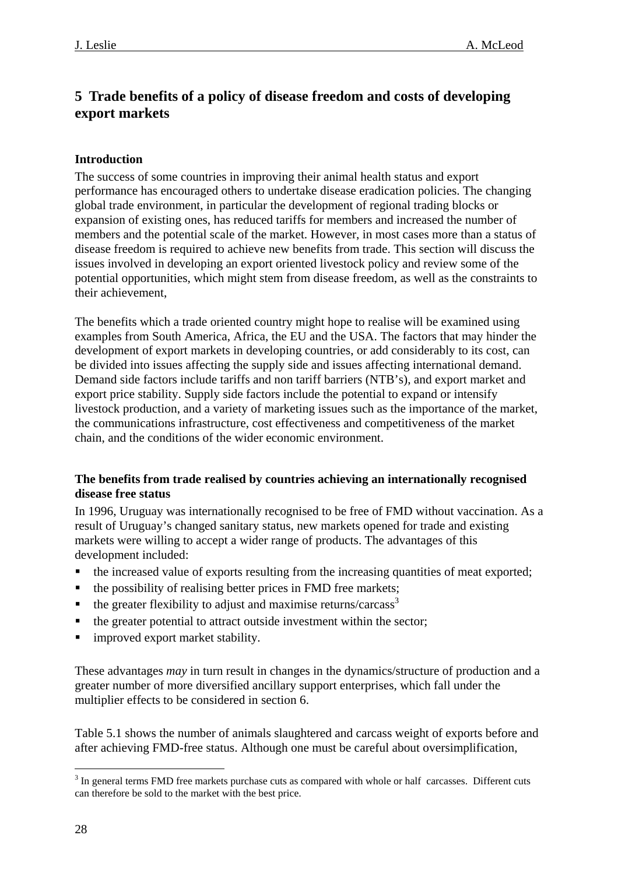## <span id="page-27-0"></span>**5 Trade benefits of a policy of disease freedom and costs of developing export markets**

## **Introduction**

The success of some countries in improving their animal health status and export performance has encouraged others to undertake disease eradication policies. The changing global trade environment, in particular the development of regional trading blocks or expansion of existing ones, has reduced tariffs for members and increased the number of members and the potential scale of the market. However, in most cases more than a status of disease freedom is required to achieve new benefits from trade. This section will discuss the issues involved in developing an export oriented livestock policy and review some of the potential opportunities, which might stem from disease freedom, as well as the constraints to their achievement,

The benefits which a trade oriented country might hope to realise will be examined using examples from South America, Africa, the EU and the USA. The factors that may hinder the development of export markets in developing countries, or add considerably to its cost, can be divided into issues affecting the supply side and issues affecting international demand. Demand side factors include tariffs and non tariff barriers (NTB's), and export market and export price stability. Supply side factors include the potential to expand or intensify livestock production, and a variety of marketing issues such as the importance of the market, the communications infrastructure, cost effectiveness and competitiveness of the market chain, and the conditions of the wider economic environment.

### **The benefits from trade realised by countries achieving an internationally recognised disease free status**

In 1996, Uruguay was internationally recognised to be free of FMD without vaccination. As a result of Uruguay's changed sanitary status, new markets opened for trade and existing markets were willing to accept a wider range of products. The advantages of this development included:

- the increased value of exports resulting from the increasing quantities of meat exported;
- the possibility of realising better prices in FMD free markets;
- $\bullet$  the greater flexibility to adjust and maximise returns/carcass<sup>[3](#page-27-1)</sup>
- the greater potential to attract outside investment within the sector;
- **I** improved export market stability.

These advantages *may* in turn result in changes in the dynamics/structure of production and a greater number of more diversified ancillary support enterprises, which fall under the multiplier effects to be considered in section 6.

Table 5.1 shows the number of animals slaughtered and carcass weight of exports before and after achieving FMD-free status. Although one must be careful about oversimplification,

<span id="page-27-1"></span> $\overline{a}$  $3$  In general terms FMD free markets purchase cuts as compared with whole or half carcasses. Different cuts can therefore be sold to the market with the best price.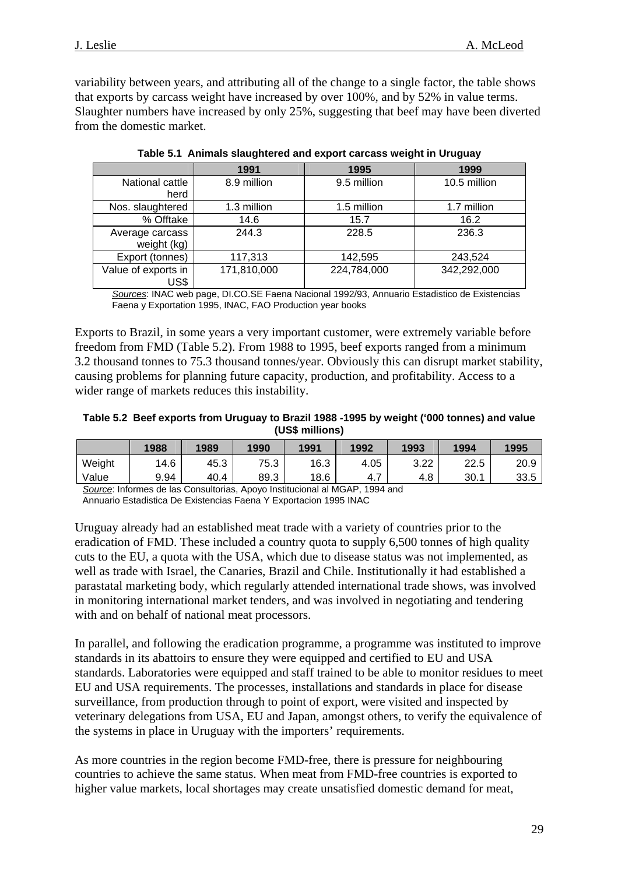variability between years, and attributing all of the change to a single factor, the table shows that exports by carcass weight have increased by over 100%, and by 52% in value terms. Slaughter numbers have increased by only 25%, suggesting that beef may have been diverted from the domestic market.

|                     | 1991        | 1995        | 1999         |
|---------------------|-------------|-------------|--------------|
| National cattle     | 8.9 million | 9.5 million | 10.5 million |
| herd                |             |             |              |
| Nos. slaughtered    | 1.3 million | 1.5 million | 1.7 million  |
| % Offtake           | 14.6        | 15.7        | 16.2         |
| Average carcass     | 244.3       | 228.5       | 236.3        |
| weight (kg)         |             |             |              |
| Export (tonnes)     | 117,313     | 142,595     | 243,524      |
| Value of exports in | 171,810,000 | 224,784,000 | 342,292,000  |
| US\$                |             |             |              |

|  |  |  | Table 5.1 Animals slaughtered and export carcass weight in Uruguay |  |  |  |  |
|--|--|--|--------------------------------------------------------------------|--|--|--|--|
|--|--|--|--------------------------------------------------------------------|--|--|--|--|

*Sources*: INAC web page, DI.CO.SE Faena Nacional 1992/93, Annuario Estadistico de Existencias Faena y Exportation 1995, INAC, FAO Production year books

Exports to Brazil, in some years a very important customer, were extremely variable before freedom from FMD (Table 5.2). From 1988 to 1995, beef exports ranged from a minimum 3.2 thousand tonnes to 75.3 thousand tonnes/year. Obviously this can disrupt market stability, causing problems for planning future capacity, production, and profitability. Access to a wider range of markets reduces this instability.

**Table 5.2 Beef exports from Uruguay to Brazil 1988 -1995 by weight ('000 tonnes) and value (US\$ millions)** 

|        | 1988 | 1989 | 1990 | 1991 | 1992     | 1993        | 1994 | 1995 |
|--------|------|------|------|------|----------|-------------|------|------|
| Weight | 14.6 | 45.3 | 75.3 | 16.3 | 4.05     | ר ר<br>ے۔ ت | 22.5 | 20.9 |
| Value  | 9.94 | 40.4 | 89.3 | 18.6 | -<br>4.1 | 4.8         | 30.1 | 33.5 |

*Source*: Informes de las Consultorias, Apoyo Institucional al MGAP, 1994 and

Annuario Estadistica De Existencias Faena Y Exportacion 1995 INAC

Uruguay already had an established meat trade with a variety of countries prior to the eradication of FMD. These included a country quota to supply 6,500 tonnes of high quality cuts to the EU, a quota with the USA, which due to disease status was not implemented, as well as trade with Israel, the Canaries, Brazil and Chile. Institutionally it had established a parastatal marketing body, which regularly attended international trade shows, was involved in monitoring international market tenders, and was involved in negotiating and tendering with and on behalf of national meat processors.

In parallel, and following the eradication programme, a programme was instituted to improve standards in its abattoirs to ensure they were equipped and certified to EU and USA standards. Laboratories were equipped and staff trained to be able to monitor residues to meet EU and USA requirements. The processes, installations and standards in place for disease surveillance, from production through to point of export, were visited and inspected by veterinary delegations from USA, EU and Japan, amongst others, to verify the equivalence of the systems in place in Uruguay with the importers' requirements.

As more countries in the region become FMD-free, there is pressure for neighbouring countries to achieve the same status. When meat from FMD-free countries is exported to higher value markets, local shortages may create unsatisfied domestic demand for meat,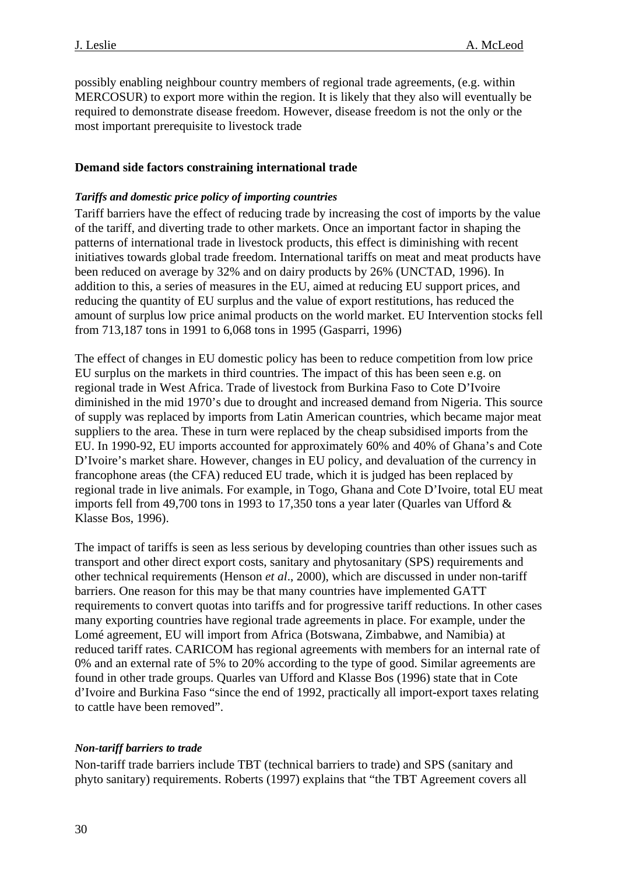<span id="page-29-0"></span>possibly enabling neighbour country members of regional trade agreements, (e.g. within MERCOSUR) to export more within the region. It is likely that they also will eventually be required to demonstrate disease freedom. However, disease freedom is not the only or the most important prerequisite to livestock trade

## **Demand side factors constraining international trade**

#### *Tariffs and domestic price policy of importing countries*

Tariff barriers have the effect of reducing trade by increasing the cost of imports by the value of the tariff, and diverting trade to other markets. Once an important factor in shaping the patterns of international trade in livestock products, this effect is diminishing with recent initiatives towards global trade freedom. International tariffs on meat and meat products have been reduced on average by 32% and on dairy products by 26% (UNCTAD, 1996). In addition to this, a series of measures in the EU, aimed at reducing EU support prices, and reducing the quantity of EU surplus and the value of export restitutions, has reduced the amount of surplus low price animal products on the world market. EU Intervention stocks fell from 713,187 tons in 1991 to 6,068 tons in 1995 (Gasparri, 1996)

The effect of changes in EU domestic policy has been to reduce competition from low price EU surplus on the markets in third countries. The impact of this has been seen e.g. on regional trade in West Africa. Trade of livestock from Burkina Faso to Cote D'Ivoire diminished in the mid 1970's due to drought and increased demand from Nigeria. This source of supply was replaced by imports from Latin American countries, which became major meat suppliers to the area. These in turn were replaced by the cheap subsidised imports from the EU. In 1990-92, EU imports accounted for approximately 60% and 40% of Ghana's and Cote D'Ivoire's market share. However, changes in EU policy, and devaluation of the currency in francophone areas (the CFA) reduced EU trade, which it is judged has been replaced by regional trade in live animals. For example, in Togo, Ghana and Cote D'Ivoire, total EU meat imports fell from 49,700 tons in 1993 to 17,350 tons a year later (Quarles van Ufford & Klasse Bos, 1996).

The impact of tariffs is seen as less serious by developing countries than other issues such as transport and other direct export costs, sanitary and phytosanitary (SPS) requirements and other technical requirements (Henson *et al*., 2000), which are discussed in under non-tariff barriers. One reason for this may be that many countries have implemented GATT requirements to convert quotas into tariffs and for progressive tariff reductions. In other cases many exporting countries have regional trade agreements in place. For example, under the Lomé agreement, EU will import from Africa (Botswana, Zimbabwe, and Namibia) at reduced tariff rates. CARICOM has regional agreements with members for an internal rate of 0% and an external rate of 5% to 20% according to the type of good. Similar agreements are found in other trade groups. Quarles van Ufford and Klasse Bos (1996) state that in Cote d'Ivoire and Burkina Faso "since the end of 1992, practically all import-export taxes relating to cattle have been removed".

#### *Non-tariff barriers to trade*

Non-tariff trade barriers include TBT (technical barriers to trade) and SPS (sanitary and phyto sanitary) requirements. Roberts (1997) explains that "the TBT Agreement covers all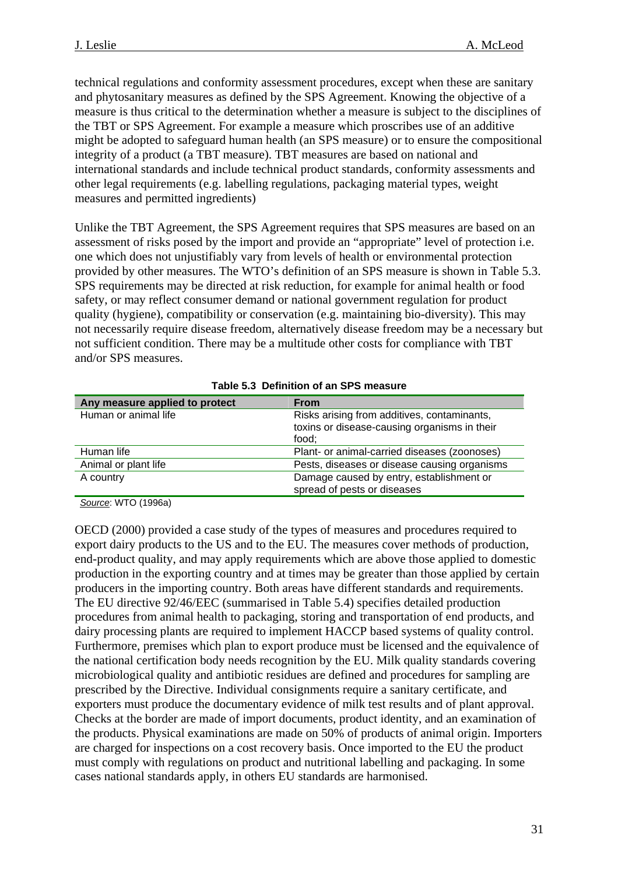technical regulations and conformity assessment procedures, except when these are sanitary and phytosanitary measures as defined by the SPS Agreement. Knowing the objective of a measure is thus critical to the determination whether a measure is subject to the disciplines of the TBT or SPS Agreement. For example a measure which proscribes use of an additive might be adopted to safeguard human health (an SPS measure) or to ensure the compositional integrity of a product (a TBT measure). TBT measures are based on national and international standards and include technical product standards, conformity assessments and other legal requirements (e.g. labelling regulations, packaging material types, weight measures and permitted ingredients)

Unlike the TBT Agreement, the SPS Agreement requires that SPS measures are based on an assessment of risks posed by the import and provide an "appropriate" level of protection i.e. one which does not unjustifiably vary from levels of health or environmental protection provided by other measures. The WTO's definition of an SPS measure is shown in Table 5.3. SPS requirements may be directed at risk reduction, for example for animal health or food safety, or may reflect consumer demand or national government regulation for product quality (hygiene), compatibility or conservation (e.g. maintaining bio-diversity). This may not necessarily require disease freedom, alternatively disease freedom may be a necessary but not sufficient condition. There may be a multitude other costs for compliance with TBT and/or SPS measures.

| Any measure applied to protect | <b>From</b>                                                                                          |
|--------------------------------|------------------------------------------------------------------------------------------------------|
| Human or animal life           | Risks arising from additives, contaminants,<br>toxins or disease-causing organisms in their<br>food; |
| Human life                     | Plant- or animal-carried diseases (zoonoses)                                                         |
| Animal or plant life           | Pests, diseases or disease causing organisms                                                         |
| A country                      | Damage caused by entry, establishment or<br>spread of pests or diseases                              |

#### **Table 5.3 Definition of an SPS measure**

*Source*: WTO (1996a)

OECD (2000) provided a case study of the types of measures and procedures required to export dairy products to the US and to the EU. The measures cover methods of production, end-product quality, and may apply requirements which are above those applied to domestic production in the exporting country and at times may be greater than those applied by certain producers in the importing country. Both areas have different standards and requirements. The EU directive 92/46/EEC (summarised in Table 5.4) specifies detailed production procedures from animal health to packaging, storing and transportation of end products, and dairy processing plants are required to implement HACCP based systems of quality control. Furthermore, premises which plan to export produce must be licensed and the equivalence of the national certification body needs recognition by the EU. Milk quality standards covering microbiological quality and antibiotic residues are defined and procedures for sampling are prescribed by the Directive. Individual consignments require a sanitary certificate, and exporters must produce the documentary evidence of milk test results and of plant approval. Checks at the border are made of import documents, product identity, and an examination of the products. Physical examinations are made on 50% of products of animal origin. Importers are charged for inspections on a cost recovery basis. Once imported to the EU the product must comply with regulations on product and nutritional labelling and packaging. In some cases national standards apply, in others EU standards are harmonised.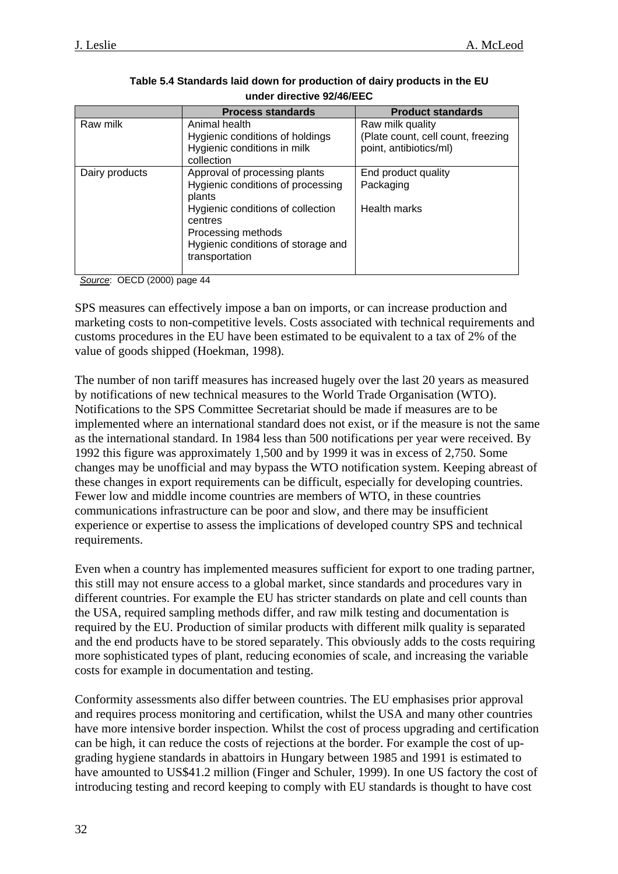|                | <b>Process standards</b>                                                                                                                                                                                   | <b>Product standards</b>                                                         |
|----------------|------------------------------------------------------------------------------------------------------------------------------------------------------------------------------------------------------------|----------------------------------------------------------------------------------|
| Raw milk       | Animal health<br>Hygienic conditions of holdings<br>Hygienic conditions in milk<br>collection                                                                                                              | Raw milk quality<br>(Plate count, cell count, freezing<br>point, antibiotics/ml) |
| Dairy products | Approval of processing plants<br>Hygienic conditions of processing<br>plants<br>Hygienic conditions of collection<br>centres<br>Processing methods<br>Hygienic conditions of storage and<br>transportation | End product quality<br>Packaging<br>Health marks                                 |

#### **Table 5.4 Standards laid down for production of dairy products in the EU under directive 92/46/EEC**

*Source*: OECD (2000) page 44

SPS measures can effectively impose a ban on imports, or can increase production and marketing costs to non-competitive levels. Costs associated with technical requirements and customs procedures in the EU have been estimated to be equivalent to a tax of 2% of the value of goods shipped (Hoekman, 1998).

The number of non tariff measures has increased hugely over the last 20 years as measured by notifications of new technical measures to the World Trade Organisation (WTO). Notifications to the SPS Committee Secretariat should be made if measures are to be implemented where an international standard does not exist, or if the measure is not the same as the international standard. In 1984 less than 500 notifications per year were received. By 1992 this figure was approximately 1,500 and by 1999 it was in excess of 2,750. Some changes may be unofficial and may bypass the WTO notification system. Keeping abreast of these changes in export requirements can be difficult, especially for developing countries. Fewer low and middle income countries are members of WTO, in these countries communications infrastructure can be poor and slow, and there may be insufficient experience or expertise to assess the implications of developed country SPS and technical requirements.

Even when a country has implemented measures sufficient for export to one trading partner, this still may not ensure access to a global market, since standards and procedures vary in different countries. For example the EU has stricter standards on plate and cell counts than the USA, required sampling methods differ, and raw milk testing and documentation is required by the EU. Production of similar products with different milk quality is separated and the end products have to be stored separately. This obviously adds to the costs requiring more sophisticated types of plant, reducing economies of scale, and increasing the variable costs for example in documentation and testing.

Conformity assessments also differ between countries. The EU emphasises prior approval and requires process monitoring and certification, whilst the USA and many other countries have more intensive border inspection. Whilst the cost of process upgrading and certification can be high, it can reduce the costs of rejections at the border. For example the cost of upgrading hygiene standards in abattoirs in Hungary between 1985 and 1991 is estimated to have amounted to US\$41.2 million (Finger and Schuler, 1999). In one US factory the cost of introducing testing and record keeping to comply with EU standards is thought to have cost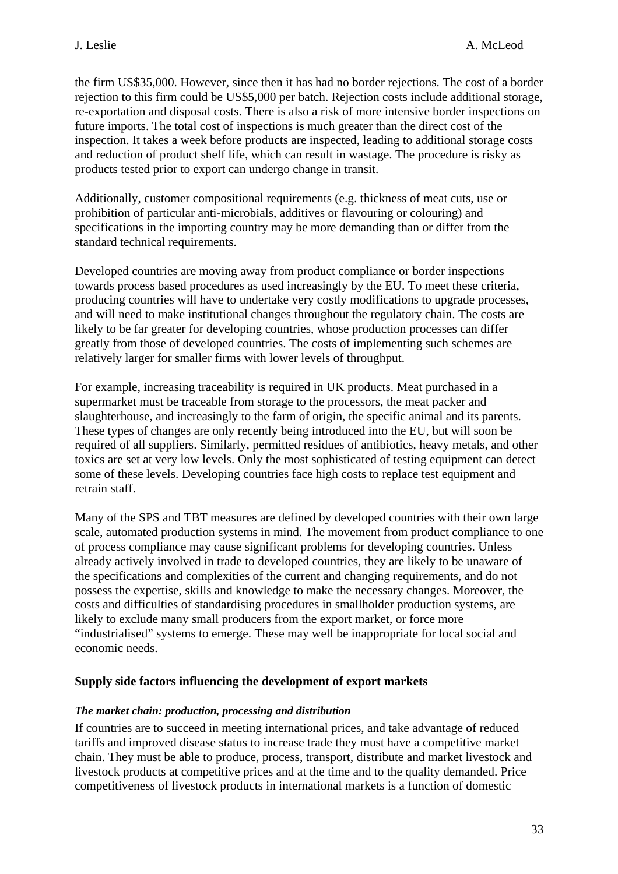<span id="page-32-0"></span>the firm US\$35,000. However, since then it has had no border rejections. The cost of a border rejection to this firm could be US\$5,000 per batch. Rejection costs include additional storage, re-exportation and disposal costs. There is also a risk of more intensive border inspections on future imports. The total cost of inspections is much greater than the direct cost of the inspection. It takes a week before products are inspected, leading to additional storage costs and reduction of product shelf life, which can result in wastage. The procedure is risky as products tested prior to export can undergo change in transit.

Additionally, customer compositional requirements (e.g. thickness of meat cuts, use or prohibition of particular anti-microbials, additives or flavouring or colouring) and specifications in the importing country may be more demanding than or differ from the standard technical requirements.

Developed countries are moving away from product compliance or border inspections towards process based procedures as used increasingly by the EU. To meet these criteria, producing countries will have to undertake very costly modifications to upgrade processes, and will need to make institutional changes throughout the regulatory chain. The costs are likely to be far greater for developing countries, whose production processes can differ greatly from those of developed countries. The costs of implementing such schemes are relatively larger for smaller firms with lower levels of throughput.

For example, increasing traceability is required in UK products. Meat purchased in a supermarket must be traceable from storage to the processors, the meat packer and slaughterhouse, and increasingly to the farm of origin, the specific animal and its parents. These types of changes are only recently being introduced into the EU, but will soon be required of all suppliers. Similarly, permitted residues of antibiotics, heavy metals, and other toxics are set at very low levels. Only the most sophisticated of testing equipment can detect some of these levels. Developing countries face high costs to replace test equipment and retrain staff.

Many of the SPS and TBT measures are defined by developed countries with their own large scale, automated production systems in mind. The movement from product compliance to one of process compliance may cause significant problems for developing countries. Unless already actively involved in trade to developed countries, they are likely to be unaware of the specifications and complexities of the current and changing requirements, and do not possess the expertise, skills and knowledge to make the necessary changes. Moreover, the costs and difficulties of standardising procedures in smallholder production systems, are likely to exclude many small producers from the export market, or force more "industrialised" systems to emerge. These may well be inappropriate for local social and economic needs.

#### **Supply side factors influencing the development of export markets**

#### *The market chain: production, processing and distribution*

If countries are to succeed in meeting international prices, and take advantage of reduced tariffs and improved disease status to increase trade they must have a competitive market chain. They must be able to produce, process, transport, distribute and market livestock and livestock products at competitive prices and at the time and to the quality demanded. Price competitiveness of livestock products in international markets is a function of domestic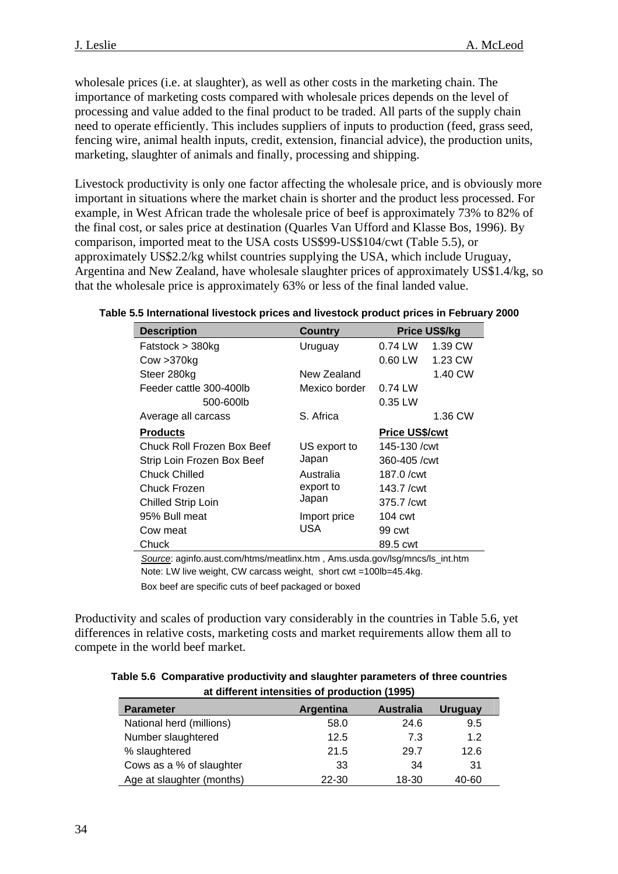wholesale prices (i.e. at slaughter), as well as other costs in the marketing chain. The importance of marketing costs compared with wholesale prices depends on the level of processing and value added to the final product to be traded. All parts of the supply chain need to operate efficiently. This includes suppliers of inputs to production (feed, grass seed, fencing wire, animal health inputs, credit, extension, financial advice), the production units, marketing, slaughter of animals and finally, processing and shipping.

Livestock productivity is only one factor affecting the wholesale price, and is obviously more important in situations where the market chain is shorter and the product less processed. For example, in West African trade the wholesale price of beef is approximately 73% to 82% of the final cost, or sales price at destination (Quarles Van Ufford and Klasse Bos, 1996). By comparison, imported meat to the USA costs US\$99-US\$104/cwt (Table 5.5), or approximately US\$2.2/kg whilst countries supplying the USA, which include Uruguay, Argentina and New Zealand, have wholesale slaughter prices of approximately US\$1.4/kg, so that the wholesale price is approximately 63% or less of the final landed value.

| Table 5.5 International livestock prices and livestock product prices in February 2000 |  |
|----------------------------------------------------------------------------------------|--|
|----------------------------------------------------------------------------------------|--|

| <b>Description</b>         | Country       |                        | <b>Price US\$/kg</b> |
|----------------------------|---------------|------------------------|----------------------|
| Fatstock > 380kg           | Uruguay       | 0.74 LW                | 1.39 CW              |
| Cow > 370kg                |               | 0.60 LW                | 1.23 CW              |
| Steer 280kg                | New Zealand   |                        | 1.40 CW              |
| Feeder cattle 300-400lb    | Mexico border | $0.74$ LW              |                      |
| 500-600lb                  |               | 0.35 LW                |                      |
| Average all carcass        | S. Africa     |                        | 1.36 CW              |
| Products                   |               | <b>Price US\$/cwt</b>  |                      |
| Chuck Roll Frozen Box Beef | US export to  | 145-130 /cwt           |                      |
| Strip Loin Frozen Box Beef | Japan         | 360-405 / cwt          |                      |
| Chuck Chilled              | Australia     | $187.0 / \text{cwt}$   |                      |
| Chuck Frozen               | export to     | $143.7$ / $\text{cwt}$ |                      |
| <b>Chilled Strip Loin</b>  | Japan         | 375.7 / cwt            |                      |
| 95% Bull meat              | Import price  | 104 cwt                |                      |
| Cow meat                   | USA           | 99 cwt                 |                      |
| Chuck                      |               | 89.5 cwt               |                      |

*Source*: aginfo.aust.com/htms/meatlinx.htm , Ams.usda.gov/lsg/mncs/ls\_int.htm Note: LW live weight, CW carcass weight, short cwt =100lb=45.4kg. Box beef are specific cuts of beef packaged or boxed

Productivity and scales of production vary considerably in the countries in Table 5.6, yet differences in relative costs, marketing costs and market requirements allow them all to compete in the world beef market.

#### **Table 5.6 Comparative productivity and slaughter parameters of three countries at different intensities of production (1995)**

| <b>Parameter</b>          | Argentina | Australia | <b>Uruguay</b> |  |  |  |
|---------------------------|-----------|-----------|----------------|--|--|--|
| National herd (millions)  | 58.0      | 24.6      | 9.5            |  |  |  |
| Number slaughtered        | 12.5      | 7.3       | 1.2            |  |  |  |
| % slaughtered             | 21.5      | 29.7      | 12.6           |  |  |  |
| Cows as a % of slaughter  | 33        | 34        | 31             |  |  |  |
| Age at slaughter (months) | 22-30     | 18-30     | 40-60          |  |  |  |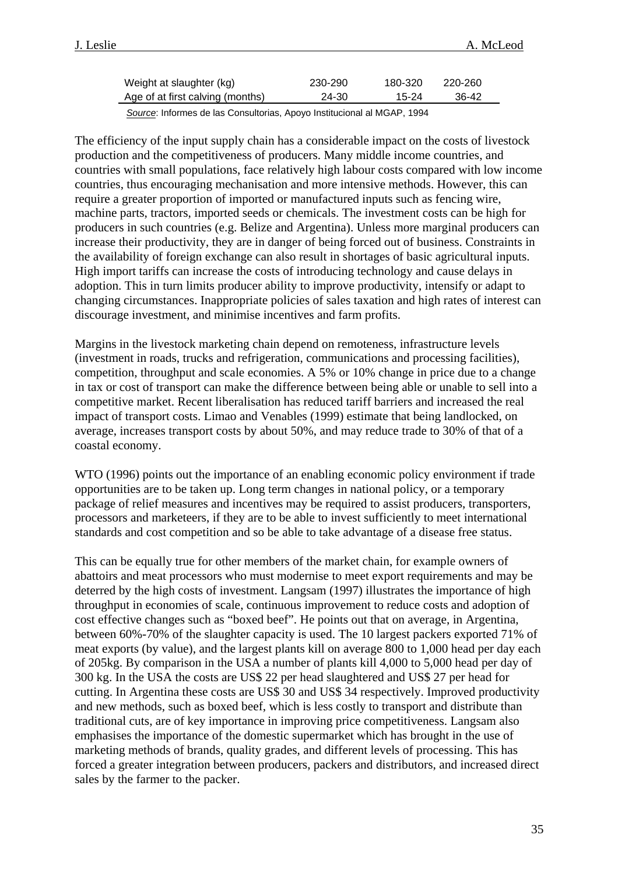| Weight at slaughter (kg)         | 230-290 | 180-320 | 220-260 |  |
|----------------------------------|---------|---------|---------|--|
| Age of at first calving (months) | 24-30   | 15-24   | 36-42   |  |

*Source*: Informes de las Consultorias, Apoyo Institucional al MGAP, 1994

The efficiency of the input supply chain has a considerable impact on the costs of livestock production and the competitiveness of producers. Many middle income countries, and countries with small populations, face relatively high labour costs compared with low income countries, thus encouraging mechanisation and more intensive methods. However, this can require a greater proportion of imported or manufactured inputs such as fencing wire, machine parts, tractors, imported seeds or chemicals. The investment costs can be high for producers in such countries (e.g. Belize and Argentina). Unless more marginal producers can increase their productivity, they are in danger of being forced out of business. Constraints in the availability of foreign exchange can also result in shortages of basic agricultural inputs. High import tariffs can increase the costs of introducing technology and cause delays in adoption. This in turn limits producer ability to improve productivity, intensify or adapt to changing circumstances. Inappropriate policies of sales taxation and high rates of interest can discourage investment, and minimise incentives and farm profits.

Margins in the livestock marketing chain depend on remoteness, infrastructure levels (investment in roads, trucks and refrigeration, communications and processing facilities), competition, throughput and scale economies. A 5% or 10% change in price due to a change in tax or cost of transport can make the difference between being able or unable to sell into a competitive market. Recent liberalisation has reduced tariff barriers and increased the real impact of transport costs. Limao and Venables (1999) estimate that being landlocked, on average, increases transport costs by about 50%, and may reduce trade to 30% of that of a coastal economy.

WTO (1996) points out the importance of an enabling economic policy environment if trade opportunities are to be taken up. Long term changes in national policy, or a temporary package of relief measures and incentives may be required to assist producers, transporters, processors and marketeers, if they are to be able to invest sufficiently to meet international standards and cost competition and so be able to take advantage of a disease free status.

This can be equally true for other members of the market chain, for example owners of abattoirs and meat processors who must modernise to meet export requirements and may be deterred by the high costs of investment. Langsam (1997) illustrates the importance of high throughput in economies of scale, continuous improvement to reduce costs and adoption of cost effective changes such as "boxed beef". He points out that on average, in Argentina, between 60%-70% of the slaughter capacity is used. The 10 largest packers exported 71% of meat exports (by value), and the largest plants kill on average 800 to 1,000 head per day each of 205kg. By comparison in the USA a number of plants kill 4,000 to 5,000 head per day of 300 kg. In the USA the costs are US\$ 22 per head slaughtered and US\$ 27 per head for cutting. In Argentina these costs are US\$ 30 and US\$ 34 respectively. Improved productivity and new methods, such as boxed beef, which is less costly to transport and distribute than traditional cuts, are of key importance in improving price competitiveness. Langsam also emphasises the importance of the domestic supermarket which has brought in the use of marketing methods of brands, quality grades, and different levels of processing. This has forced a greater integration between producers, packers and distributors, and increased direct sales by the farmer to the packer.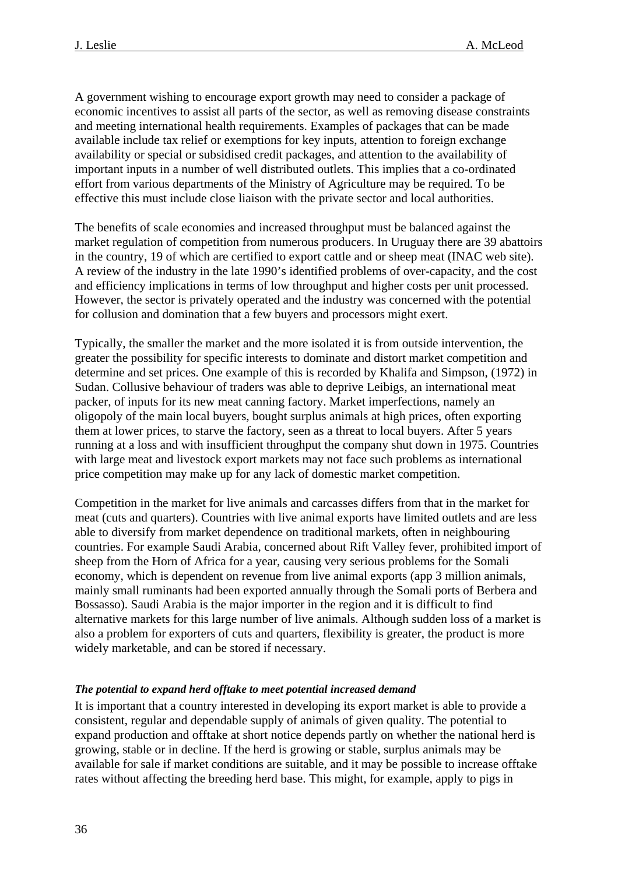<span id="page-35-0"></span>A government wishing to encourage export growth may need to consider a package of economic incentives to assist all parts of the sector, as well as removing disease constraints and meeting international health requirements. Examples of packages that can be made available include tax relief or exemptions for key inputs, attention to foreign exchange availability or special or subsidised credit packages, and attention to the availability of important inputs in a number of well distributed outlets. This implies that a co-ordinated effort from various departments of the Ministry of Agriculture may be required. To be effective this must include close liaison with the private sector and local authorities.

The benefits of scale economies and increased throughput must be balanced against the market regulation of competition from numerous producers. In Uruguay there are 39 abattoirs in the country, 19 of which are certified to export cattle and or sheep meat (INAC web site). A review of the industry in the late 1990's identified problems of over-capacity, and the cost and efficiency implications in terms of low throughput and higher costs per unit processed. However, the sector is privately operated and the industry was concerned with the potential for collusion and domination that a few buyers and processors might exert.

Typically, the smaller the market and the more isolated it is from outside intervention, the greater the possibility for specific interests to dominate and distort market competition and determine and set prices. One example of this is recorded by Khalifa and Simpson, (1972) in Sudan. Collusive behaviour of traders was able to deprive Leibigs, an international meat packer, of inputs for its new meat canning factory. Market imperfections, namely an oligopoly of the main local buyers, bought surplus animals at high prices, often exporting them at lower prices, to starve the factory, seen as a threat to local buyers. After 5 years running at a loss and with insufficient throughput the company shut down in 1975. Countries with large meat and livestock export markets may not face such problems as international price competition may make up for any lack of domestic market competition.

Competition in the market for live animals and carcasses differs from that in the market for meat (cuts and quarters). Countries with live animal exports have limited outlets and are less able to diversify from market dependence on traditional markets, often in neighbouring countries. For example Saudi Arabia, concerned about Rift Valley fever, prohibited import of sheep from the Horn of Africa for a year, causing very serious problems for the Somali economy, which is dependent on revenue from live animal exports (app 3 million animals, mainly small ruminants had been exported annually through the Somali ports of Berbera and Bossasso). Saudi Arabia is the major importer in the region and it is difficult to find alternative markets for this large number of live animals. Although sudden loss of a market is also a problem for exporters of cuts and quarters, flexibility is greater, the product is more widely marketable, and can be stored if necessary.

#### *The potential to expand herd offtake to meet potential increased demand*

It is important that a country interested in developing its export market is able to provide a consistent, regular and dependable supply of animals of given quality. The potential to expand production and offtake at short notice depends partly on whether the national herd is growing, stable or in decline. If the herd is growing or stable, surplus animals may be available for sale if market conditions are suitable, and it may be possible to increase offtake rates without affecting the breeding herd base. This might, for example, apply to pigs in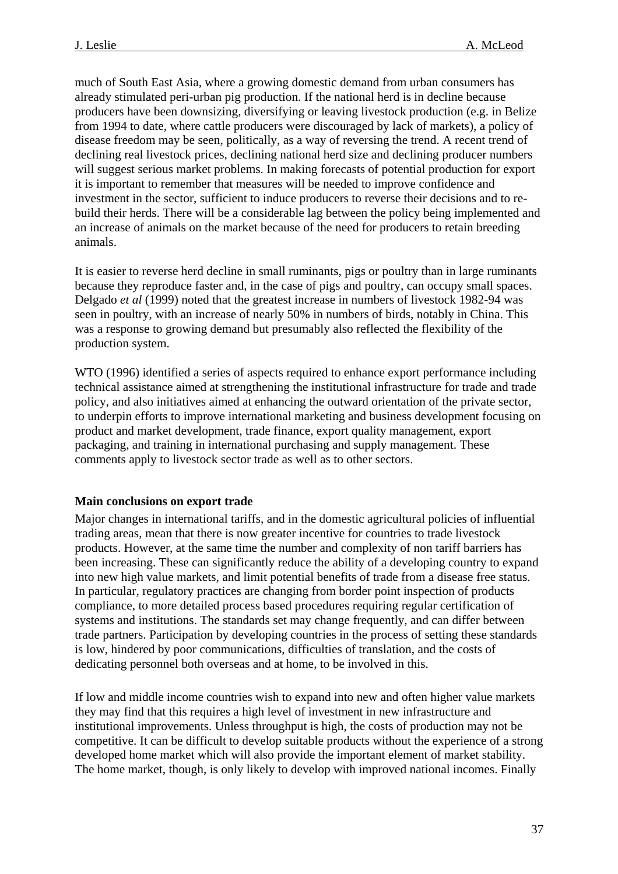<span id="page-36-0"></span>much of South East Asia, where a growing domestic demand from urban consumers has already stimulated peri-urban pig production. If the national herd is in decline because producers have been downsizing, diversifying or leaving livestock production (e.g. in Belize from 1994 to date, where cattle producers were discouraged by lack of markets), a policy of disease freedom may be seen, politically, as a way of reversing the trend. A recent trend of declining real livestock prices, declining national herd size and declining producer numbers will suggest serious market problems. In making forecasts of potential production for export it is important to remember that measures will be needed to improve confidence and investment in the sector, sufficient to induce producers to reverse their decisions and to rebuild their herds. There will be a considerable lag between the policy being implemented and an increase of animals on the market because of the need for producers to retain breeding animals.

It is easier to reverse herd decline in small ruminants, pigs or poultry than in large ruminants because they reproduce faster and, in the case of pigs and poultry, can occupy small spaces. Delgado *et al* (1999) noted that the greatest increase in numbers of livestock 1982-94 was seen in poultry, with an increase of nearly 50% in numbers of birds, notably in China. This was a response to growing demand but presumably also reflected the flexibility of the production system.

WTO (1996) identified a series of aspects required to enhance export performance including technical assistance aimed at strengthening the institutional infrastructure for trade and trade policy, and also initiatives aimed at enhancing the outward orientation of the private sector, to underpin efforts to improve international marketing and business development focusing on product and market development, trade finance, export quality management, export packaging, and training in international purchasing and supply management. These comments apply to livestock sector trade as well as to other sectors.

## **Main conclusions on export trade**

Major changes in international tariffs, and in the domestic agricultural policies of influential trading areas, mean that there is now greater incentive for countries to trade livestock products. However, at the same time the number and complexity of non tariff barriers has been increasing. These can significantly reduce the ability of a developing country to expand into new high value markets, and limit potential benefits of trade from a disease free status. In particular, regulatory practices are changing from border point inspection of products compliance, to more detailed process based procedures requiring regular certification of systems and institutions. The standards set may change frequently, and can differ between trade partners. Participation by developing countries in the process of setting these standards is low, hindered by poor communications, difficulties of translation, and the costs of dedicating personnel both overseas and at home, to be involved in this.

If low and middle income countries wish to expand into new and often higher value markets they may find that this requires a high level of investment in new infrastructure and institutional improvements. Unless throughput is high, the costs of production may not be competitive. It can be difficult to develop suitable products without the experience of a strong developed home market which will also provide the important element of market stability. The home market, though, is only likely to develop with improved national incomes. Finally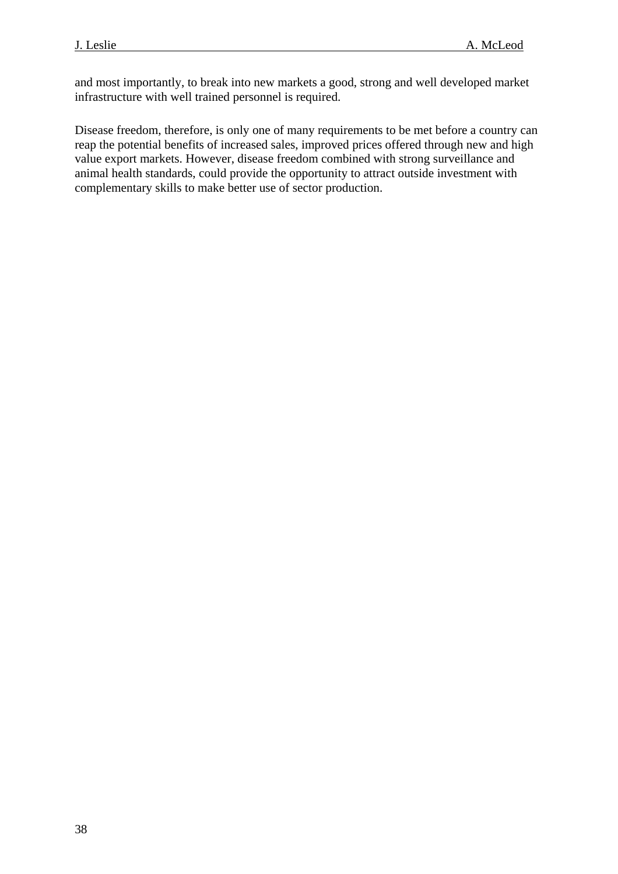and most importantly, to break into new markets a good, strong and well developed market infrastructure with well trained personnel is required.

Disease freedom, therefore, is only one of many requirements to be met before a country can reap the potential benefits of increased sales, improved prices offered through new and high value export markets. However, disease freedom combined with strong surveillance and animal health standards, could provide the opportunity to attract outside investment with complementary skills to make better use of sector production.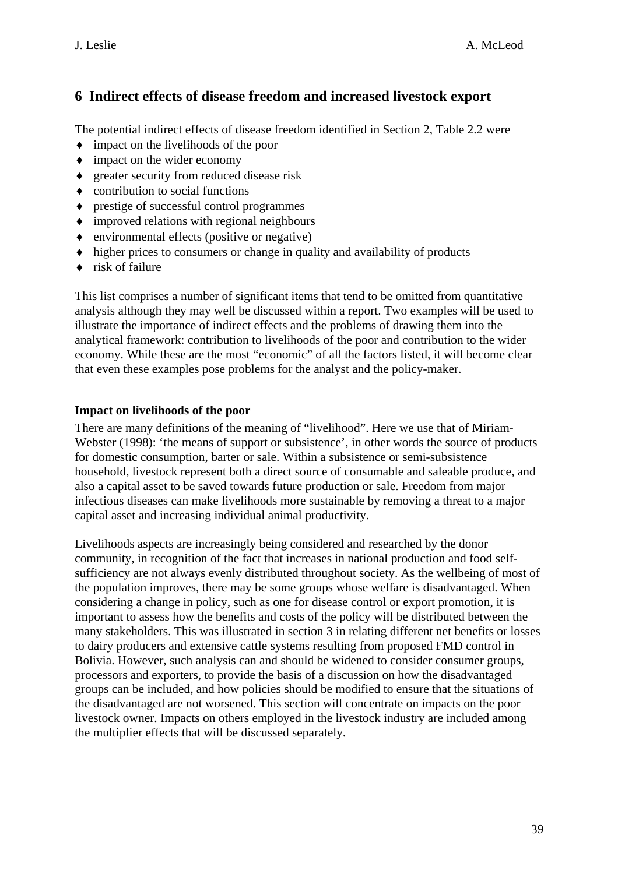## <span id="page-38-0"></span>**6 Indirect effects of disease freedom and increased livestock export**

The potential indirect effects of disease freedom identified in Section 2, Table 2.2 were

- ♦ impact on the livelihoods of the poor
- ♦ impact on the wider economy
- ♦ greater security from reduced disease risk
- $\bullet$  contribution to social functions
- ♦ prestige of successful control programmes
- ♦ improved relations with regional neighbours
- ♦ environmental effects (positive or negative)
- ♦ higher prices to consumers or change in quality and availability of products
- ♦ risk of failure

This list comprises a number of significant items that tend to be omitted from quantitative analysis although they may well be discussed within a report. Two examples will be used to illustrate the importance of indirect effects and the problems of drawing them into the analytical framework: contribution to livelihoods of the poor and contribution to the wider economy. While these are the most "economic" of all the factors listed, it will become clear that even these examples pose problems for the analyst and the policy-maker.

## **Impact on livelihoods of the poor**

There are many definitions of the meaning of "livelihood". Here we use that of Miriam-Webster (1998): 'the means of support or subsistence', in other words the source of products for domestic consumption, barter or sale. Within a subsistence or semi-subsistence household, livestock represent both a direct source of consumable and saleable produce, and also a capital asset to be saved towards future production or sale. Freedom from major infectious diseases can make livelihoods more sustainable by removing a threat to a major capital asset and increasing individual animal productivity.

Livelihoods aspects are increasingly being considered and researched by the donor community, in recognition of the fact that increases in national production and food selfsufficiency are not always evenly distributed throughout society. As the wellbeing of most of the population improves, there may be some groups whose welfare is disadvantaged. When considering a change in policy, such as one for disease control or export promotion, it is important to assess how the benefits and costs of the policy will be distributed between the many stakeholders. This was illustrated in section 3 in relating different net benefits or losses to dairy producers and extensive cattle systems resulting from proposed FMD control in Bolivia. However, such analysis can and should be widened to consider consumer groups, processors and exporters, to provide the basis of a discussion on how the disadvantaged groups can be included, and how policies should be modified to ensure that the situations of the disadvantaged are not worsened. This section will concentrate on impacts on the poor livestock owner. Impacts on others employed in the livestock industry are included among the multiplier effects that will be discussed separately.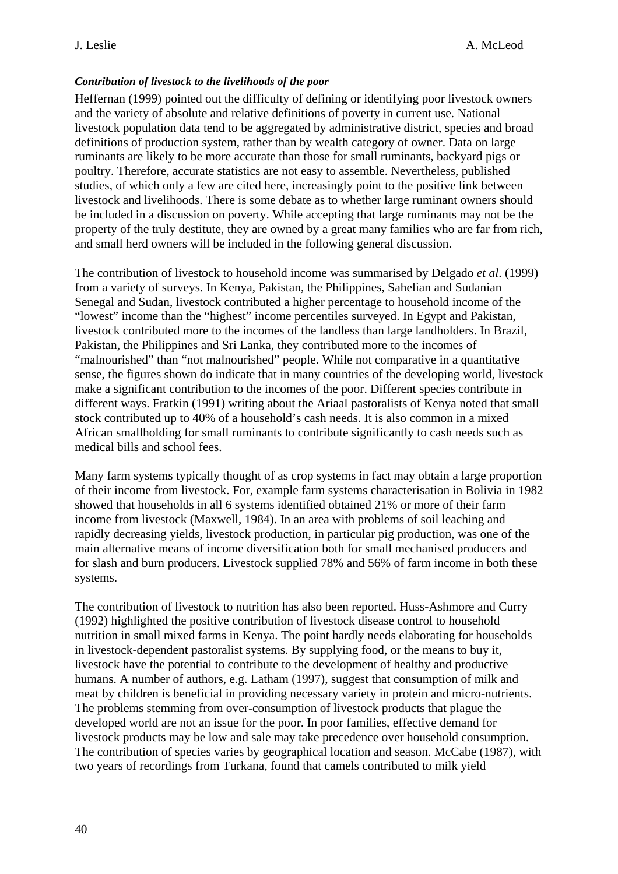### <span id="page-39-0"></span>*Contribution of livestock to the livelihoods of the poor*

Heffernan (1999) pointed out the difficulty of defining or identifying poor livestock owners and the variety of absolute and relative definitions of poverty in current use. National livestock population data tend to be aggregated by administrative district, species and broad definitions of production system, rather than by wealth category of owner. Data on large ruminants are likely to be more accurate than those for small ruminants, backyard pigs or poultry. Therefore, accurate statistics are not easy to assemble. Nevertheless, published studies, of which only a few are cited here, increasingly point to the positive link between livestock and livelihoods. There is some debate as to whether large ruminant owners should be included in a discussion on poverty. While accepting that large ruminants may not be the property of the truly destitute, they are owned by a great many families who are far from rich, and small herd owners will be included in the following general discussion.

The contribution of livestock to household income was summarised by Delgado *et al*. (1999) from a variety of surveys. In Kenya, Pakistan, the Philippines, Sahelian and Sudanian Senegal and Sudan, livestock contributed a higher percentage to household income of the "lowest" income than the "highest" income percentiles surveyed. In Egypt and Pakistan, livestock contributed more to the incomes of the landless than large landholders. In Brazil, Pakistan, the Philippines and Sri Lanka, they contributed more to the incomes of "malnourished" than "not malnourished" people. While not comparative in a quantitative sense, the figures shown do indicate that in many countries of the developing world, livestock make a significant contribution to the incomes of the poor. Different species contribute in different ways. Fratkin (1991) writing about the Ariaal pastoralists of Kenya noted that small stock contributed up to 40% of a household's cash needs. It is also common in a mixed African smallholding for small ruminants to contribute significantly to cash needs such as medical bills and school fees.

Many farm systems typically thought of as crop systems in fact may obtain a large proportion of their income from livestock. For, example farm systems characterisation in Bolivia in 1982 showed that households in all 6 systems identified obtained 21% or more of their farm income from livestock (Maxwell, 1984). In an area with problems of soil leaching and rapidly decreasing yields, livestock production, in particular pig production, was one of the main alternative means of income diversification both for small mechanised producers and for slash and burn producers. Livestock supplied 78% and 56% of farm income in both these systems.

The contribution of livestock to nutrition has also been reported. Huss-Ashmore and Curry (1992) highlighted the positive contribution of livestock disease control to household nutrition in small mixed farms in Kenya. The point hardly needs elaborating for households in livestock-dependent pastoralist systems. By supplying food, or the means to buy it, livestock have the potential to contribute to the development of healthy and productive humans. A number of authors, e.g. Latham (1997), suggest that consumption of milk and meat by children is beneficial in providing necessary variety in protein and micro-nutrients. The problems stemming from over-consumption of livestock products that plague the developed world are not an issue for the poor. In poor families, effective demand for livestock products may be low and sale may take precedence over household consumption. The contribution of species varies by geographical location and season. McCabe (1987), with two years of recordings from Turkana, found that camels contributed to milk yield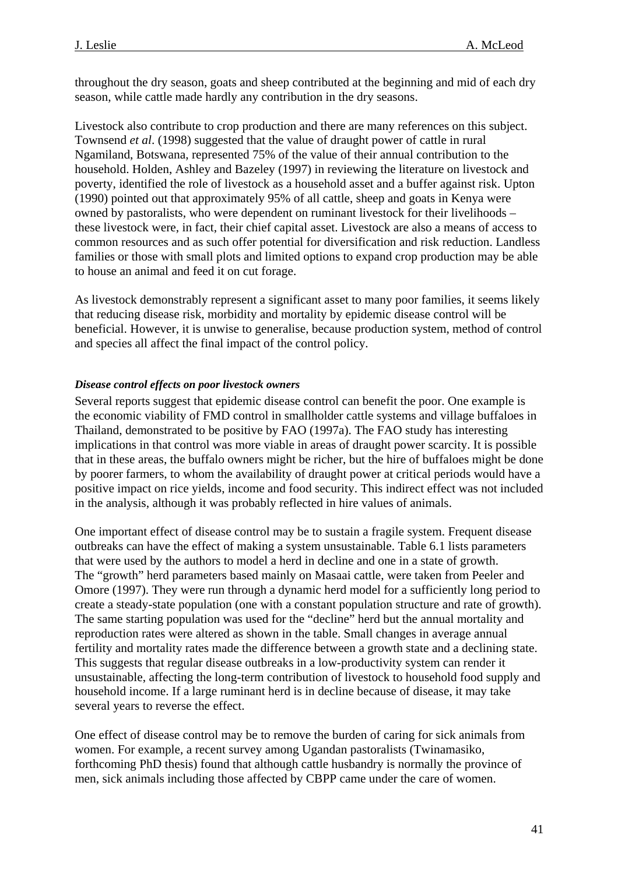<span id="page-40-0"></span>throughout the dry season, goats and sheep contributed at the beginning and mid of each dry season, while cattle made hardly any contribution in the dry seasons.

Livestock also contribute to crop production and there are many references on this subject. Townsend *et al*. (1998) suggested that the value of draught power of cattle in rural Ngamiland, Botswana, represented 75% of the value of their annual contribution to the household. Holden, Ashley and Bazeley (1997) in reviewing the literature on livestock and poverty, identified the role of livestock as a household asset and a buffer against risk. Upton (1990) pointed out that approximately 95% of all cattle, sheep and goats in Kenya were owned by pastoralists, who were dependent on ruminant livestock for their livelihoods – these livestock were, in fact, their chief capital asset. Livestock are also a means of access to common resources and as such offer potential for diversification and risk reduction. Landless families or those with small plots and limited options to expand crop production may be able to house an animal and feed it on cut forage.

As livestock demonstrably represent a significant asset to many poor families, it seems likely that reducing disease risk, morbidity and mortality by epidemic disease control will be beneficial. However, it is unwise to generalise, because production system, method of control and species all affect the final impact of the control policy.

#### *Disease control effects on poor livestock owners*

Several reports suggest that epidemic disease control can benefit the poor. One example is the economic viability of FMD control in smallholder cattle systems and village buffaloes in Thailand, demonstrated to be positive by FAO (1997a). The FAO study has interesting implications in that control was more viable in areas of draught power scarcity. It is possible that in these areas, the buffalo owners might be richer, but the hire of buffaloes might be done by poorer farmers, to whom the availability of draught power at critical periods would have a positive impact on rice yields, income and food security. This indirect effect was not included in the analysis, although it was probably reflected in hire values of animals.

One important effect of disease control may be to sustain a fragile system. Frequent disease outbreaks can have the effect of making a system unsustainable. Table 6.1 lists parameters that were used by the authors to model a herd in decline and one in a state of growth. The "growth" herd parameters based mainly on Masaai cattle, were taken from Peeler and Omore (1997). They were run through a dynamic herd model for a sufficiently long period to create a steady-state population (one with a constant population structure and rate of growth). The same starting population was used for the "decline" herd but the annual mortality and reproduction rates were altered as shown in the table. Small changes in average annual fertility and mortality rates made the difference between a growth state and a declining state. This suggests that regular disease outbreaks in a low-productivity system can render it unsustainable, affecting the long-term contribution of livestock to household food supply and household income. If a large ruminant herd is in decline because of disease, it may take several years to reverse the effect.

One effect of disease control may be to remove the burden of caring for sick animals from women. For example, a recent survey among Ugandan pastoralists (Twinamasiko, forthcoming PhD thesis) found that although cattle husbandry is normally the province of men, sick animals including those affected by CBPP came under the care of women.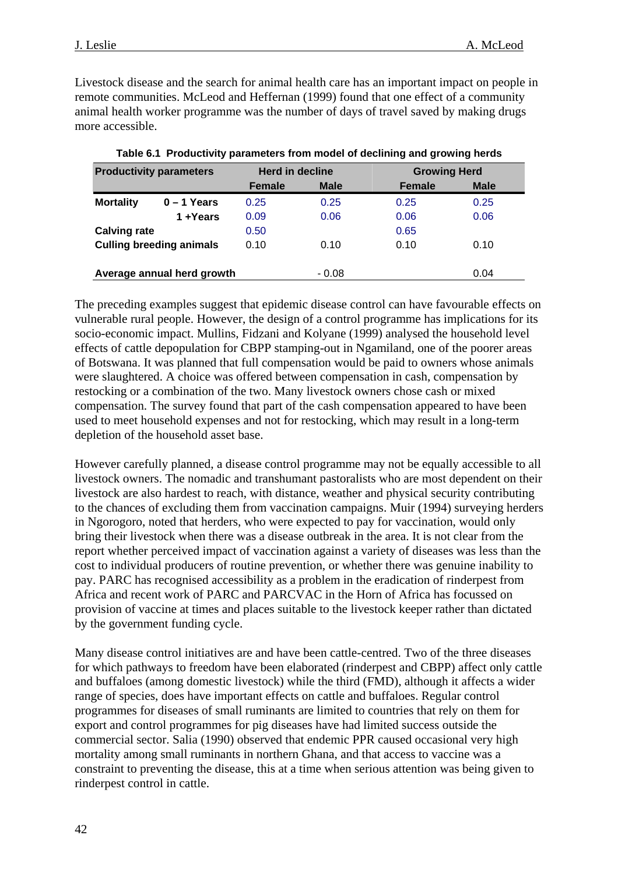Livestock disease and the search for animal health care has an important impact on people in remote communities. McLeod and Heffernan (1999) found that one effect of a community animal health worker programme was the number of days of travel saved by making drugs more accessible.

| <b>Productivity parameters</b> |                                 |               | Herd in decline |               | <b>Growing Herd</b> |  |  |
|--------------------------------|---------------------------------|---------------|-----------------|---------------|---------------------|--|--|
|                                |                                 | <b>Female</b> | <b>Male</b>     | <b>Female</b> | <b>Male</b>         |  |  |
| <b>Mortality</b>               | $0 - 1$ Years                   | 0.25          | 0.25            | 0.25          | 0.25                |  |  |
|                                | 1+Years                         | 0.09          | 0.06            | 0.06          | 0.06                |  |  |
| <b>Calving rate</b>            |                                 | 0.50          |                 | 0.65          |                     |  |  |
|                                | <b>Culling breeding animals</b> | 0.10          | 0.10            | 0.10          | 0.10                |  |  |
|                                | Average annual herd growth      |               | - 0.08          |               | 0.04                |  |  |

**Table 6.1 Productivity parameters from model of declining and growing herds** 

The preceding examples suggest that epidemic disease control can have favourable effects on vulnerable rural people. However, the design of a control programme has implications for its socio-economic impact. Mullins, Fidzani and Kolyane (1999) analysed the household level effects of cattle depopulation for CBPP stamping-out in Ngamiland, one of the poorer areas of Botswana. It was planned that full compensation would be paid to owners whose animals were slaughtered. A choice was offered between compensation in cash, compensation by restocking or a combination of the two. Many livestock owners chose cash or mixed compensation. The survey found that part of the cash compensation appeared to have been used to meet household expenses and not for restocking, which may result in a long-term depletion of the household asset base.

However carefully planned, a disease control programme may not be equally accessible to all livestock owners. The nomadic and transhumant pastoralists who are most dependent on their livestock are also hardest to reach, with distance, weather and physical security contributing to the chances of excluding them from vaccination campaigns. Muir (1994) surveying herders in Ngorogoro, noted that herders, who were expected to pay for vaccination, would only bring their livestock when there was a disease outbreak in the area. It is not clear from the report whether perceived impact of vaccination against a variety of diseases was less than the cost to individual producers of routine prevention, or whether there was genuine inability to pay. PARC has recognised accessibility as a problem in the eradication of rinderpest from Africa and recent work of PARC and PARCVAC in the Horn of Africa has focussed on provision of vaccine at times and places suitable to the livestock keeper rather than dictated by the government funding cycle.

Many disease control initiatives are and have been cattle-centred. Two of the three diseases for which pathways to freedom have been elaborated (rinderpest and CBPP) affect only cattle and buffaloes (among domestic livestock) while the third (FMD), although it affects a wider range of species, does have important effects on cattle and buffaloes. Regular control programmes for diseases of small ruminants are limited to countries that rely on them for export and control programmes for pig diseases have had limited success outside the commercial sector. Salia (1990) observed that endemic PPR caused occasional very high mortality among small ruminants in northern Ghana, and that access to vaccine was a constraint to preventing the disease, this at a time when serious attention was being given to rinderpest control in cattle.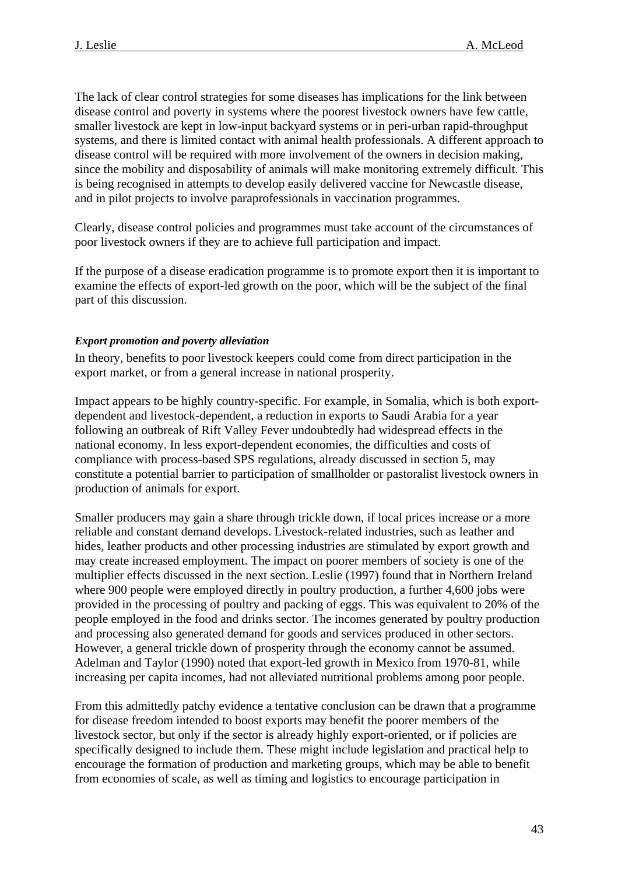<span id="page-42-0"></span>The lack of clear control strategies for some diseases has implications for the link between disease control and poverty in systems where the poorest livestock owners have few cattle, smaller livestock are kept in low-input backyard systems or in peri-urban rapid-throughput systems, and there is limited contact with animal health professionals. A different approach to disease control will be required with more involvement of the owners in decision making, since the mobility and disposability of animals will make monitoring extremely difficult. This is being recognised in attempts to develop easily delivered vaccine for Newcastle disease, and in pilot projects to involve paraprofessionals in vaccination programmes.

Clearly, disease control policies and programmes must take account of the circumstances of poor livestock owners if they are to achieve full participation and impact.

If the purpose of a disease eradication programme is to promote export then it is important to examine the effects of export-led growth on the poor, which will be the subject of the final part of this discussion.

### *Export promotion and poverty alleviation*

In theory, benefits to poor livestock keepers could come from direct participation in the export market, or from a general increase in national prosperity.

Impact appears to be highly country-specific. For example, in Somalia, which is both exportdependent and livestock-dependent, a reduction in exports to Saudi Arabia for a year following an outbreak of Rift Valley Fever undoubtedly had widespread effects in the national economy. In less export-dependent economies, the difficulties and costs of compliance with process-based SPS regulations, already discussed in section 5, may constitute a potential barrier to participation of smallholder or pastoralist livestock owners in production of animals for export.

Smaller producers may gain a share through trickle down, if local prices increase or a more reliable and constant demand develops. Livestock-related industries, such as leather and hides, leather products and other processing industries are stimulated by export growth and may create increased employment. The impact on poorer members of society is one of the multiplier effects discussed in the next section. Leslie (1997) found that in Northern Ireland where 900 people were employed directly in poultry production, a further 4,600 jobs were provided in the processing of poultry and packing of eggs. This was equivalent to 20% of the people employed in the food and drinks sector. The incomes generated by poultry production and processing also generated demand for goods and services produced in other sectors. However, a general trickle down of prosperity through the economy cannot be assumed. Adelman and Taylor (1990) noted that export-led growth in Mexico from 1970-81, while increasing per capita incomes, had not alleviated nutritional problems among poor people.

From this admittedly patchy evidence a tentative conclusion can be drawn that a programme for disease freedom intended to boost exports may benefit the poorer members of the livestock sector, but only if the sector is already highly export-oriented, or if policies are specifically designed to include them. These might include legislation and practical help to encourage the formation of production and marketing groups, which may be able to benefit from economies of scale, as well as timing and logistics to encourage participation in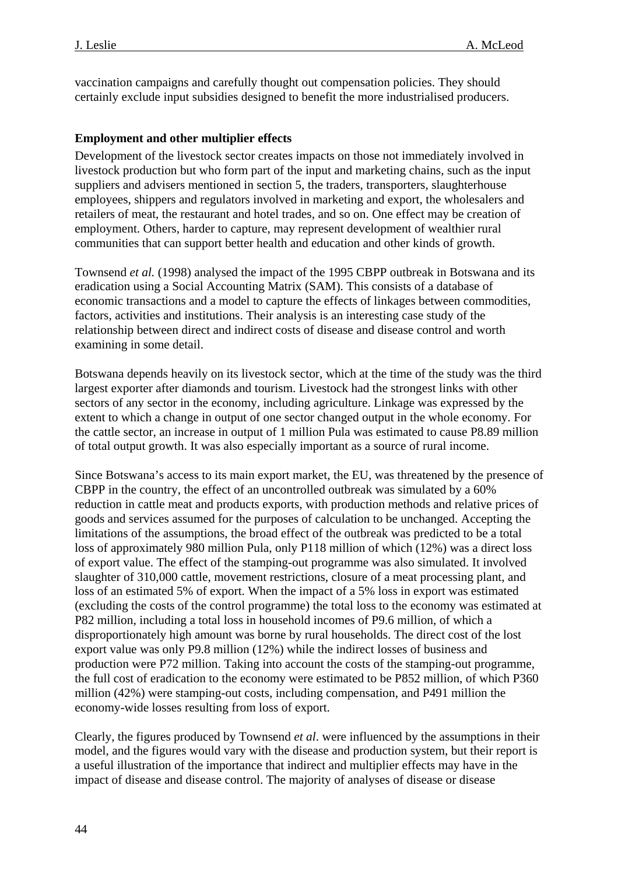<span id="page-43-0"></span>vaccination campaigns and carefully thought out compensation policies. They should certainly exclude input subsidies designed to benefit the more industrialised producers.

## **Employment and other multiplier effects**

Development of the livestock sector creates impacts on those not immediately involved in livestock production but who form part of the input and marketing chains, such as the input suppliers and advisers mentioned in section 5, the traders, transporters, slaughterhouse employees, shippers and regulators involved in marketing and export, the wholesalers and retailers of meat, the restaurant and hotel trades, and so on. One effect may be creation of employment. Others, harder to capture, may represent development of wealthier rural communities that can support better health and education and other kinds of growth.

Townsend *et al.* (1998) analysed the impact of the 1995 CBPP outbreak in Botswana and its eradication using a Social Accounting Matrix (SAM). This consists of a database of economic transactions and a model to capture the effects of linkages between commodities, factors, activities and institutions. Their analysis is an interesting case study of the relationship between direct and indirect costs of disease and disease control and worth examining in some detail.

Botswana depends heavily on its livestock sector, which at the time of the study was the third largest exporter after diamonds and tourism. Livestock had the strongest links with other sectors of any sector in the economy, including agriculture. Linkage was expressed by the extent to which a change in output of one sector changed output in the whole economy. For the cattle sector, an increase in output of 1 million Pula was estimated to cause P8.89 million of total output growth. It was also especially important as a source of rural income.

Since Botswana's access to its main export market, the EU, was threatened by the presence of CBPP in the country, the effect of an uncontrolled outbreak was simulated by a 60% reduction in cattle meat and products exports, with production methods and relative prices of goods and services assumed for the purposes of calculation to be unchanged. Accepting the limitations of the assumptions, the broad effect of the outbreak was predicted to be a total loss of approximately 980 million Pula, only P118 million of which (12%) was a direct loss of export value. The effect of the stamping-out programme was also simulated. It involved slaughter of 310,000 cattle, movement restrictions, closure of a meat processing plant, and loss of an estimated 5% of export. When the impact of a 5% loss in export was estimated (excluding the costs of the control programme) the total loss to the economy was estimated at P82 million, including a total loss in household incomes of P9.6 million, of which a disproportionately high amount was borne by rural households. The direct cost of the lost export value was only P9.8 million (12%) while the indirect losses of business and production were P72 million. Taking into account the costs of the stamping-out programme, the full cost of eradication to the economy were estimated to be P852 million, of which P360 million (42%) were stamping-out costs, including compensation, and P491 million the economy-wide losses resulting from loss of export.

Clearly, the figures produced by Townsend *et al*. were influenced by the assumptions in their model, and the figures would vary with the disease and production system, but their report is a useful illustration of the importance that indirect and multiplier effects may have in the impact of disease and disease control. The majority of analyses of disease or disease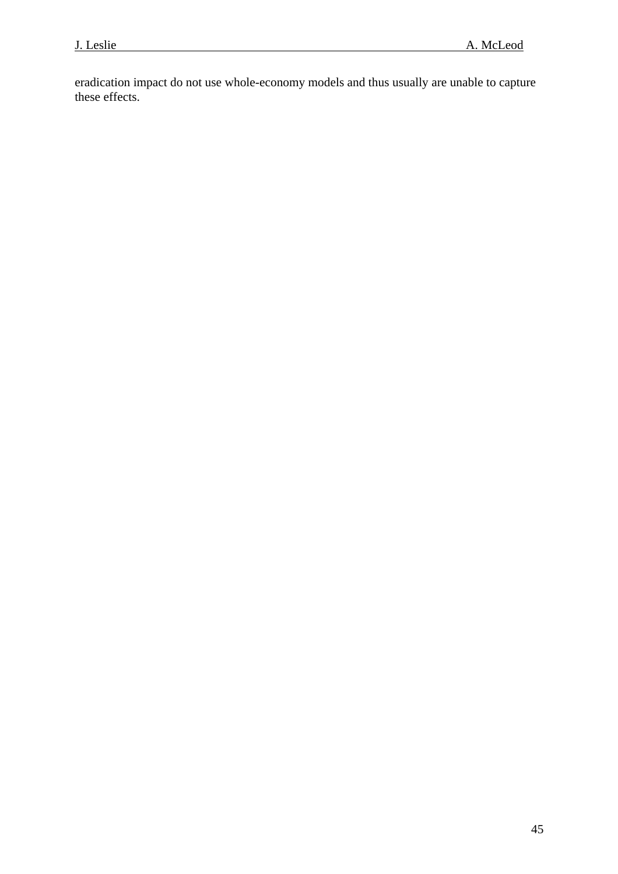eradication impact do not use whole-economy models and thus usually are unable to capture these effects.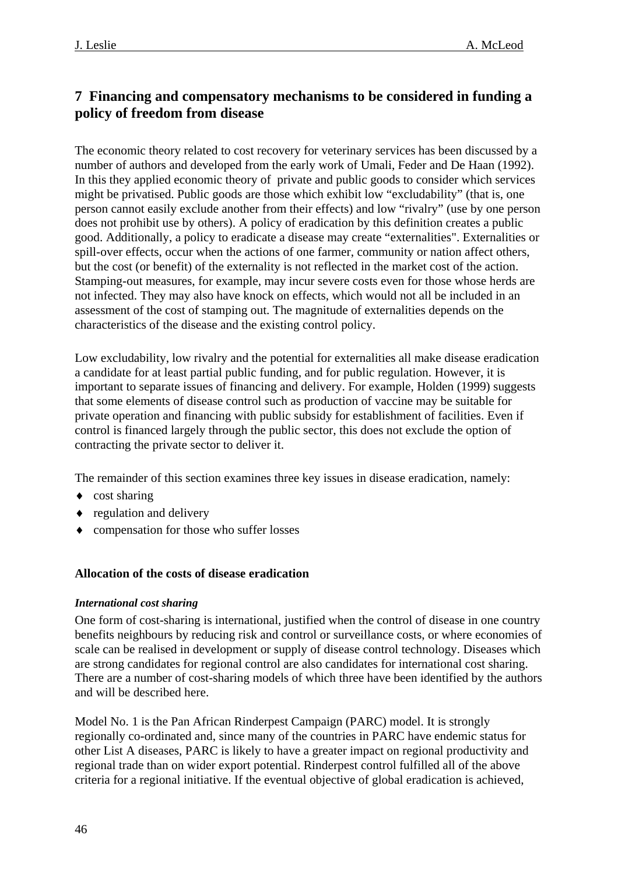## <span id="page-45-0"></span>**7 Financing and compensatory mechanisms to be considered in funding a policy of freedom from disease**

The economic theory related to cost recovery for veterinary services has been discussed by a number of authors and developed from the early work of Umali, Feder and De Haan (1992). In this they applied economic theory of private and public goods to consider which services might be privatised. Public goods are those which exhibit low "excludability" (that is, one person cannot easily exclude another from their effects) and low "rivalry" (use by one person does not prohibit use by others). A policy of eradication by this definition creates a public good. Additionally, a policy to eradicate a disease may create "externalities". Externalities or spill-over effects, occur when the actions of one farmer, community or nation affect others, but the cost (or benefit) of the externality is not reflected in the market cost of the action. Stamping-out measures, for example, may incur severe costs even for those whose herds are not infected. They may also have knock on effects, which would not all be included in an assessment of the cost of stamping out. The magnitude of externalities depends on the characteristics of the disease and the existing control policy.

Low excludability, low rivalry and the potential for externalities all make disease eradication a candidate for at least partial public funding, and for public regulation. However, it is important to separate issues of financing and delivery. For example, Holden (1999) suggests that some elements of disease control such as production of vaccine may be suitable for private operation and financing with public subsidy for establishment of facilities. Even if control is financed largely through the public sector, this does not exclude the option of contracting the private sector to deliver it.

The remainder of this section examines three key issues in disease eradication, namely:

- $\bullet$  cost sharing
- ♦ regulation and delivery
- ♦ compensation for those who suffer losses

#### **Allocation of the costs of disease eradication**

#### *International cost sharing*

One form of cost-sharing is international, justified when the control of disease in one country benefits neighbours by reducing risk and control or surveillance costs, or where economies of scale can be realised in development or supply of disease control technology. Diseases which are strong candidates for regional control are also candidates for international cost sharing. There are a number of cost-sharing models of which three have been identified by the authors and will be described here.

Model No. 1 is the Pan African Rinderpest Campaign (PARC) model. It is strongly regionally co-ordinated and, since many of the countries in PARC have endemic status for other List A diseases, PARC is likely to have a greater impact on regional productivity and regional trade than on wider export potential. Rinderpest control fulfilled all of the above criteria for a regional initiative. If the eventual objective of global eradication is achieved,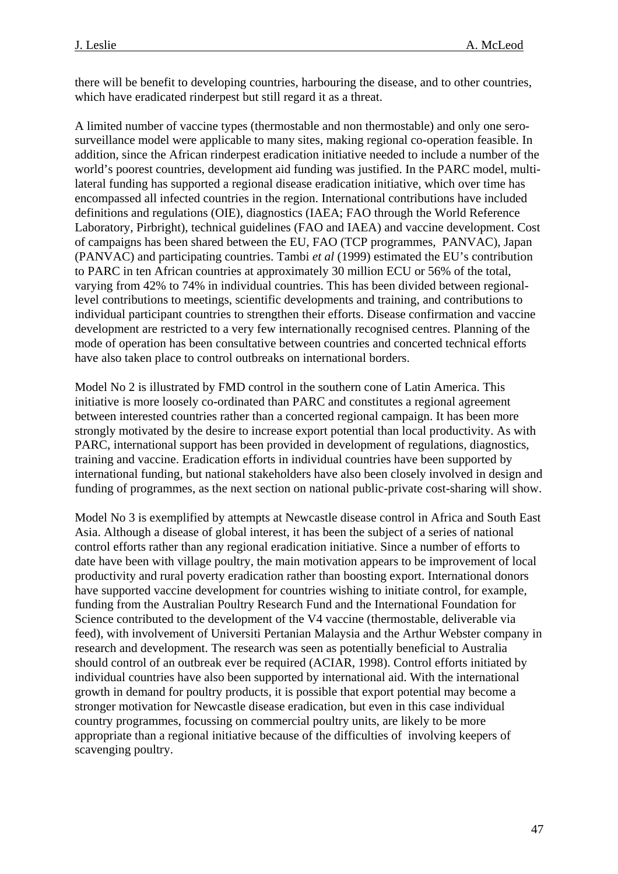there will be benefit to developing countries, harbouring the disease, and to other countries, which have eradicated rinderpest but still regard it as a threat.

A limited number of vaccine types (thermostable and non thermostable) and only one serosurveillance model were applicable to many sites, making regional co-operation feasible. In addition, since the African rinderpest eradication initiative needed to include a number of the world's poorest countries, development aid funding was justified. In the PARC model, multilateral funding has supported a regional disease eradication initiative, which over time has encompassed all infected countries in the region. International contributions have included definitions and regulations (OIE), diagnostics (IAEA; FAO through the World Reference Laboratory, Pirbright), technical guidelines (FAO and IAEA) and vaccine development. Cost of campaigns has been shared between the EU, FAO (TCP programmes, PANVAC), Japan (PANVAC) and participating countries. Tambi *et al* (1999) estimated the EU's contribution to PARC in ten African countries at approximately 30 million ECU or 56% of the total, varying from 42% to 74% in individual countries. This has been divided between regionallevel contributions to meetings, scientific developments and training, and contributions to individual participant countries to strengthen their efforts. Disease confirmation and vaccine development are restricted to a very few internationally recognised centres. Planning of the mode of operation has been consultative between countries and concerted technical efforts have also taken place to control outbreaks on international borders.

Model No 2 is illustrated by FMD control in the southern cone of Latin America. This initiative is more loosely co-ordinated than PARC and constitutes a regional agreement between interested countries rather than a concerted regional campaign. It has been more strongly motivated by the desire to increase export potential than local productivity. As with PARC, international support has been provided in development of regulations, diagnostics, training and vaccine. Eradication efforts in individual countries have been supported by international funding, but national stakeholders have also been closely involved in design and funding of programmes, as the next section on national public-private cost-sharing will show.

Model No 3 is exemplified by attempts at Newcastle disease control in Africa and South East Asia. Although a disease of global interest, it has been the subject of a series of national control efforts rather than any regional eradication initiative. Since a number of efforts to date have been with village poultry, the main motivation appears to be improvement of local productivity and rural poverty eradication rather than boosting export. International donors have supported vaccine development for countries wishing to initiate control, for example, funding from the Australian Poultry Research Fund and the International Foundation for Science contributed to the development of the V4 vaccine (thermostable, deliverable via feed), with involvement of Universiti Pertanian Malaysia and the Arthur Webster company in research and development. The research was seen as potentially beneficial to Australia should control of an outbreak ever be required (ACIAR, 1998). Control efforts initiated by individual countries have also been supported by international aid. With the international growth in demand for poultry products, it is possible that export potential may become a stronger motivation for Newcastle disease eradication, but even in this case individual country programmes, focussing on commercial poultry units, are likely to be more appropriate than a regional initiative because of the difficulties of involving keepers of scavenging poultry.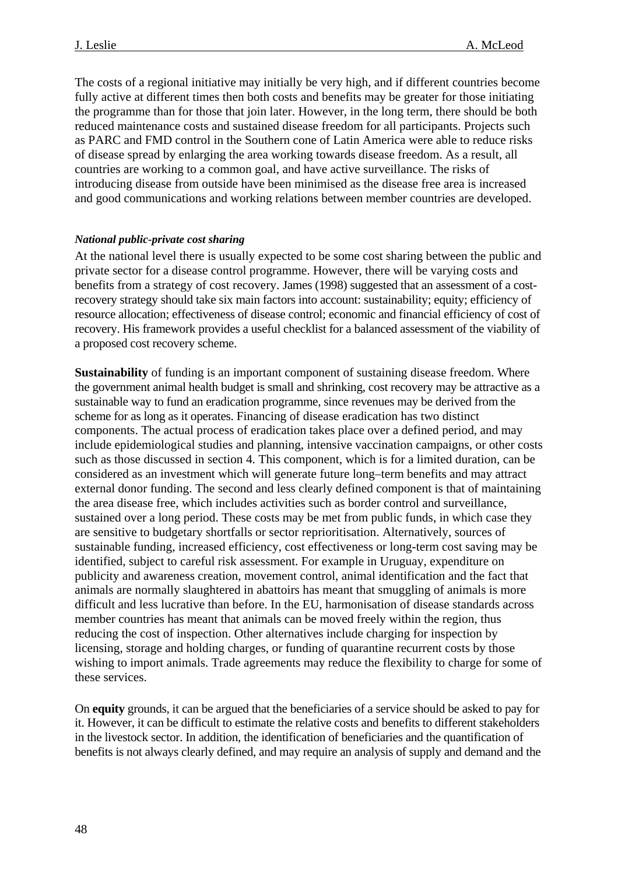<span id="page-47-0"></span>The costs of a regional initiative may initially be very high, and if different countries become fully active at different times then both costs and benefits may be greater for those initiating the programme than for those that join later. However, in the long term, there should be both reduced maintenance costs and sustained disease freedom for all participants. Projects such as PARC and FMD control in the Southern cone of Latin America were able to reduce risks of disease spread by enlarging the area working towards disease freedom. As a result, all countries are working to a common goal, and have active surveillance. The risks of introducing disease from outside have been minimised as the disease free area is increased and good communications and working relations between member countries are developed.

#### *National public-private cost sharing*

At the national level there is usually expected to be some cost sharing between the public and private sector for a disease control programme. However, there will be varying costs and benefits from a strategy of cost recovery. James (1998) suggested that an assessment of a costrecovery strategy should take six main factors into account: sustainability; equity; efficiency of resource allocation; effectiveness of disease control; economic and financial efficiency of cost of recovery. His framework provides a useful checklist for a balanced assessment of the viability of a proposed cost recovery scheme.

**Sustainability** of funding is an important component of sustaining disease freedom. Where the government animal health budget is small and shrinking, cost recovery may be attractive as a sustainable way to fund an eradication programme, since revenues may be derived from the scheme for as long as it operates. Financing of disease eradication has two distinct components. The actual process of eradication takes place over a defined period, and may include epidemiological studies and planning, intensive vaccination campaigns, or other costs such as those discussed in section 4. This component, which is for a limited duration, can be considered as an investment which will generate future long–term benefits and may attract external donor funding. The second and less clearly defined component is that of maintaining the area disease free, which includes activities such as border control and surveillance, sustained over a long period. These costs may be met from public funds, in which case they are sensitive to budgetary shortfalls or sector reprioritisation. Alternatively, sources of sustainable funding, increased efficiency, cost effectiveness or long-term cost saving may be identified, subject to careful risk assessment. For example in Uruguay, expenditure on publicity and awareness creation, movement control, animal identification and the fact that animals are normally slaughtered in abattoirs has meant that smuggling of animals is more difficult and less lucrative than before. In the EU, harmonisation of disease standards across member countries has meant that animals can be moved freely within the region, thus reducing the cost of inspection. Other alternatives include charging for inspection by licensing, storage and holding charges, or funding of quarantine recurrent costs by those wishing to import animals. Trade agreements may reduce the flexibility to charge for some of these services.

On **equity** grounds, it can be argued that the beneficiaries of a service should be asked to pay for it. However, it can be difficult to estimate the relative costs and benefits to different stakeholders in the livestock sector. In addition, the identification of beneficiaries and the quantification of benefits is not always clearly defined, and may require an analysis of supply and demand and the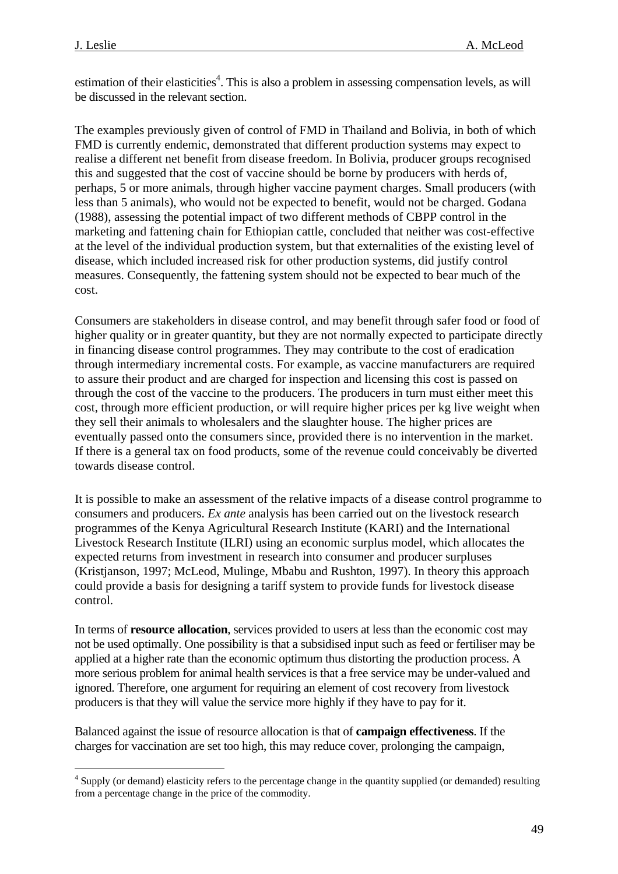$\overline{a}$ 

estimation of their elasticities<sup>[4](#page-48-0)</sup>. This is also a problem in assessing compensation levels, as will be discussed in the relevant section.

The examples previously given of control of FMD in Thailand and Bolivia, in both of which FMD is currently endemic, demonstrated that different production systems may expect to realise a different net benefit from disease freedom. In Bolivia, producer groups recognised this and suggested that the cost of vaccine should be borne by producers with herds of, perhaps, 5 or more animals, through higher vaccine payment charges. Small producers (with less than 5 animals), who would not be expected to benefit, would not be charged. Godana (1988), assessing the potential impact of two different methods of CBPP control in the marketing and fattening chain for Ethiopian cattle, concluded that neither was cost-effective at the level of the individual production system, but that externalities of the existing level of disease, which included increased risk for other production systems, did justify control measures. Consequently, the fattening system should not be expected to bear much of the cost.

Consumers are stakeholders in disease control, and may benefit through safer food or food of higher quality or in greater quantity, but they are not normally expected to participate directly in financing disease control programmes. They may contribute to the cost of eradication through intermediary incremental costs. For example, as vaccine manufacturers are required to assure their product and are charged for inspection and licensing this cost is passed on through the cost of the vaccine to the producers. The producers in turn must either meet this cost, through more efficient production, or will require higher prices per kg live weight when they sell their animals to wholesalers and the slaughter house. The higher prices are eventually passed onto the consumers since, provided there is no intervention in the market. If there is a general tax on food products, some of the revenue could conceivably be diverted towards disease control.

It is possible to make an assessment of the relative impacts of a disease control programme to consumers and producers. *Ex ante* analysis has been carried out on the livestock research programmes of the Kenya Agricultural Research Institute (KARI) and the International Livestock Research Institute (ILRI) using an economic surplus model, which allocates the expected returns from investment in research into consumer and producer surpluses (Kristjanson, 1997; McLeod, Mulinge, Mbabu and Rushton, 1997). In theory this approach could provide a basis for designing a tariff system to provide funds for livestock disease control.

In terms of **resource allocation**, services provided to users at less than the economic cost may not be used optimally. One possibility is that a subsidised input such as feed or fertiliser may be applied at a higher rate than the economic optimum thus distorting the production process. A more serious problem for animal health services is that a free service may be under-valued and ignored. Therefore, one argument for requiring an element of cost recovery from livestock producers is that they will value the service more highly if they have to pay for it.

Balanced against the issue of resource allocation is that of **campaign effectiveness**. If the charges for vaccination are set too high, this may reduce cover, prolonging the campaign,

<span id="page-48-0"></span><sup>&</sup>lt;sup>4</sup> Supply (or demand) elasticity refers to the percentage change in the quantity supplied (or demanded) resulting from a percentage change in the price of the commodity.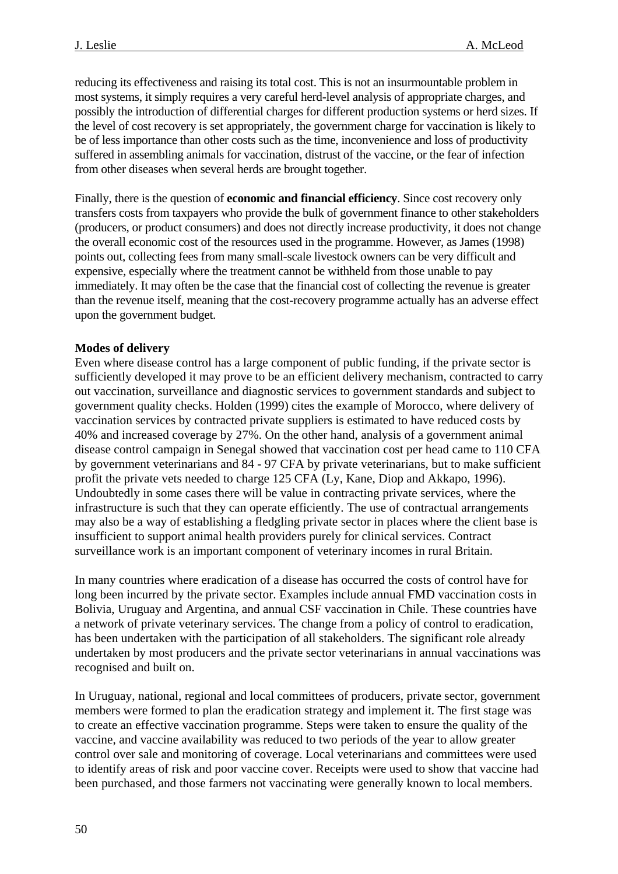reducing its effectiveness and raising its total cost. This is not an insurmountable problem in most systems, it simply requires a very careful herd-level analysis of appropriate charges, and possibly the introduction of differential charges for different production systems or herd sizes. If the level of cost recovery is set appropriately, the government charge for vaccination is likely to be of less importance than other costs such as the time, inconvenience and loss of productivity suffered in assembling animals for vaccination, distrust of the vaccine, or the fear of infection from other diseases when several herds are brought together.

Finally, there is the question of **economic and financial efficiency**. Since cost recovery only transfers costs from taxpayers who provide the bulk of government finance to other stakeholders (producers, or product consumers) and does not directly increase productivity, it does not change the overall economic cost of the resources used in the programme. However, as James (1998) points out, collecting fees from many small-scale livestock owners can be very difficult and expensive, especially where the treatment cannot be withheld from those unable to pay immediately. It may often be the case that the financial cost of collecting the revenue is greater than the revenue itself, meaning that the cost-recovery programme actually has an adverse effect upon the government budget.

### **Modes of delivery**

Even where disease control has a large component of public funding, if the private sector is sufficiently developed it may prove to be an efficient delivery mechanism, contracted to carry out vaccination, surveillance and diagnostic services to government standards and subject to government quality checks. Holden (1999) cites the example of Morocco, where delivery of vaccination services by contracted private suppliers is estimated to have reduced costs by 40% and increased coverage by 27%. On the other hand, analysis of a government animal disease control campaign in Senegal showed that vaccination cost per head came to 110 CFA by government veterinarians and 84 - 97 CFA by private veterinarians, but to make sufficient profit the private vets needed to charge 125 CFA (Ly, Kane, Diop and Akkapo, 1996). Undoubtedly in some cases there will be value in contracting private services, where the infrastructure is such that they can operate efficiently. The use of contractual arrangements may also be a way of establishing a fledgling private sector in places where the client base is insufficient to support animal health providers purely for clinical services. Contract surveillance work is an important component of veterinary incomes in rural Britain.

In many countries where eradication of a disease has occurred the costs of control have for long been incurred by the private sector. Examples include annual FMD vaccination costs in Bolivia, Uruguay and Argentina, and annual CSF vaccination in Chile. These countries have a network of private veterinary services. The change from a policy of control to eradication, has been undertaken with the participation of all stakeholders. The significant role already undertaken by most producers and the private sector veterinarians in annual vaccinations was recognised and built on.

In Uruguay, national, regional and local committees of producers, private sector, government members were formed to plan the eradication strategy and implement it. The first stage was to create an effective vaccination programme. Steps were taken to ensure the quality of the vaccine, and vaccine availability was reduced to two periods of the year to allow greater control over sale and monitoring of coverage. Local veterinarians and committees were used to identify areas of risk and poor vaccine cover. Receipts were used to show that vaccine had been purchased, and those farmers not vaccinating were generally known to local members.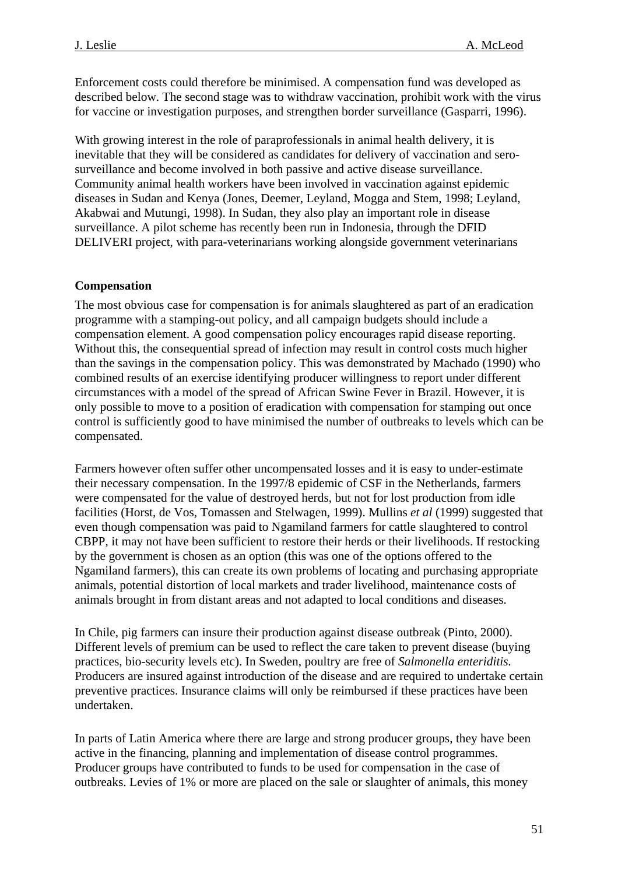<span id="page-50-0"></span>Enforcement costs could therefore be minimised. A compensation fund was developed as described below. The second stage was to withdraw vaccination, prohibit work with the virus for vaccine or investigation purposes, and strengthen border surveillance (Gasparri, 1996).

With growing interest in the role of paraprofessionals in animal health delivery, it is inevitable that they will be considered as candidates for delivery of vaccination and serosurveillance and become involved in both passive and active disease surveillance. Community animal health workers have been involved in vaccination against epidemic diseases in Sudan and Kenya (Jones, Deemer, Leyland, Mogga and Stem, 1998; Leyland, Akabwai and Mutungi, 1998). In Sudan, they also play an important role in disease surveillance. A pilot scheme has recently been run in Indonesia, through the DFID DELIVERI project, with para-veterinarians working alongside government veterinarians

#### **Compensation**

The most obvious case for compensation is for animals slaughtered as part of an eradication programme with a stamping-out policy, and all campaign budgets should include a compensation element. A good compensation policy encourages rapid disease reporting. Without this, the consequential spread of infection may result in control costs much higher than the savings in the compensation policy. This was demonstrated by Machado (1990) who combined results of an exercise identifying producer willingness to report under different circumstances with a model of the spread of African Swine Fever in Brazil. However, it is only possible to move to a position of eradication with compensation for stamping out once control is sufficiently good to have minimised the number of outbreaks to levels which can be compensated.

Farmers however often suffer other uncompensated losses and it is easy to under-estimate their necessary compensation. In the 1997/8 epidemic of CSF in the Netherlands, farmers were compensated for the value of destroyed herds, but not for lost production from idle facilities (Horst, de Vos, Tomassen and Stelwagen, 1999). Mullins *et al* (1999) suggested that even though compensation was paid to Ngamiland farmers for cattle slaughtered to control CBPP, it may not have been sufficient to restore their herds or their livelihoods. If restocking by the government is chosen as an option (this was one of the options offered to the Ngamiland farmers), this can create its own problems of locating and purchasing appropriate animals, potential distortion of local markets and trader livelihood, maintenance costs of animals brought in from distant areas and not adapted to local conditions and diseases.

In Chile, pig farmers can insure their production against disease outbreak (Pinto, 2000). Different levels of premium can be used to reflect the care taken to prevent disease (buying practices, bio-security levels etc). In Sweden, poultry are free of *Salmonella enteriditis.* Producers are insured against introduction of the disease and are required to undertake certain preventive practices. Insurance claims will only be reimbursed if these practices have been undertaken.

In parts of Latin America where there are large and strong producer groups, they have been active in the financing, planning and implementation of disease control programmes. Producer groups have contributed to funds to be used for compensation in the case of outbreaks. Levies of 1% or more are placed on the sale or slaughter of animals, this money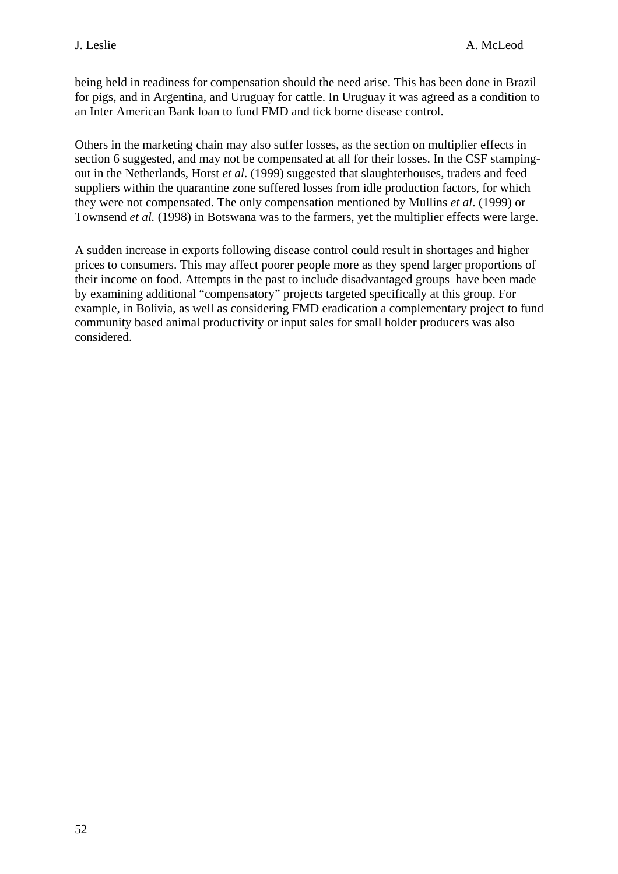being held in readiness for compensation should the need arise. This has been done in Brazil for pigs, and in Argentina, and Uruguay for cattle. In Uruguay it was agreed as a condition to an Inter American Bank loan to fund FMD and tick borne disease control.

Others in the marketing chain may also suffer losses, as the section on multiplier effects in section 6 suggested, and may not be compensated at all for their losses. In the CSF stampingout in the Netherlands, Horst *et al*. (1999) suggested that slaughterhouses, traders and feed suppliers within the quarantine zone suffered losses from idle production factors, for which they were not compensated. The only compensation mentioned by Mullins *et al*. (1999) or Townsend *et al.* (1998) in Botswana was to the farmers, yet the multiplier effects were large.

A sudden increase in exports following disease control could result in shortages and higher prices to consumers. This may affect poorer people more as they spend larger proportions of their income on food. Attempts in the past to include disadvantaged groups have been made by examining additional "compensatory" projects targeted specifically at this group. For example, in Bolivia, as well as considering FMD eradication a complementary project to fund community based animal productivity or input sales for small holder producers was also considered.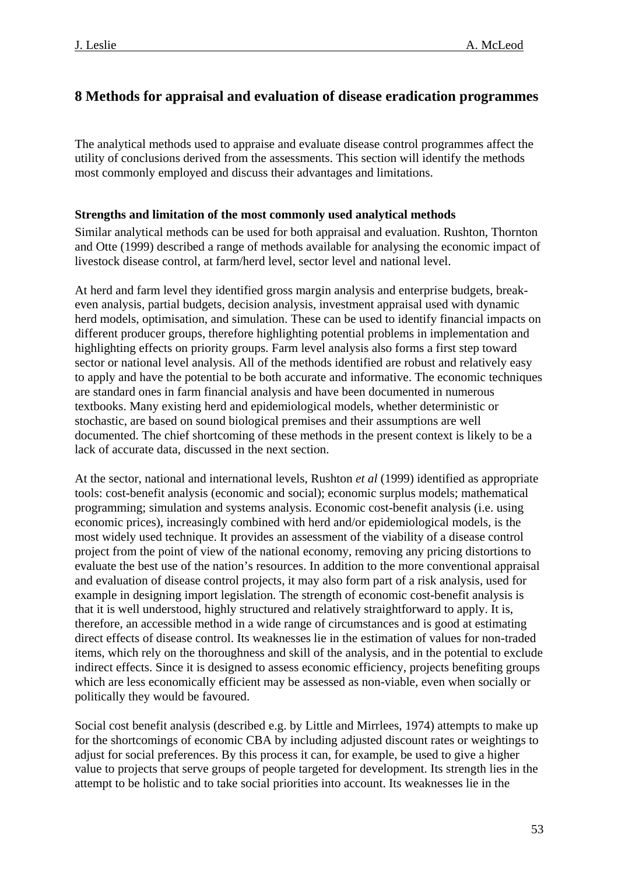## <span id="page-52-0"></span>**8 Methods for appraisal and evaluation of disease eradication programmes**

The analytical methods used to appraise and evaluate disease control programmes affect the utility of conclusions derived from the assessments. This section will identify the methods most commonly employed and discuss their advantages and limitations.

### **Strengths and limitation of the most commonly used analytical methods**

Similar analytical methods can be used for both appraisal and evaluation. Rushton, Thornton and Otte (1999) described a range of methods available for analysing the economic impact of livestock disease control, at farm/herd level, sector level and national level.

At herd and farm level they identified gross margin analysis and enterprise budgets, breakeven analysis, partial budgets, decision analysis, investment appraisal used with dynamic herd models, optimisation, and simulation. These can be used to identify financial impacts on different producer groups, therefore highlighting potential problems in implementation and highlighting effects on priority groups. Farm level analysis also forms a first step toward sector or national level analysis. All of the methods identified are robust and relatively easy to apply and have the potential to be both accurate and informative. The economic techniques are standard ones in farm financial analysis and have been documented in numerous textbooks. Many existing herd and epidemiological models, whether deterministic or stochastic, are based on sound biological premises and their assumptions are well documented. The chief shortcoming of these methods in the present context is likely to be a lack of accurate data, discussed in the next section.

At the sector, national and international levels, Rushton *et al* (1999) identified as appropriate tools: cost-benefit analysis (economic and social); economic surplus models; mathematical programming; simulation and systems analysis. Economic cost-benefit analysis (i.e. using economic prices), increasingly combined with herd and/or epidemiological models, is the most widely used technique. It provides an assessment of the viability of a disease control project from the point of view of the national economy, removing any pricing distortions to evaluate the best use of the nation's resources. In addition to the more conventional appraisal and evaluation of disease control projects, it may also form part of a risk analysis, used for example in designing import legislation. The strength of economic cost-benefit analysis is that it is well understood, highly structured and relatively straightforward to apply. It is, therefore, an accessible method in a wide range of circumstances and is good at estimating direct effects of disease control. Its weaknesses lie in the estimation of values for non-traded items, which rely on the thoroughness and skill of the analysis, and in the potential to exclude indirect effects. Since it is designed to assess economic efficiency, projects benefiting groups which are less economically efficient may be assessed as non-viable, even when socially or politically they would be favoured.

Social cost benefit analysis (described e.g. by Little and Mirrlees, 1974) attempts to make up for the shortcomings of economic CBA by including adjusted discount rates or weightings to adjust for social preferences. By this process it can, for example, be used to give a higher value to projects that serve groups of people targeted for development. Its strength lies in the attempt to be holistic and to take social priorities into account. Its weaknesses lie in the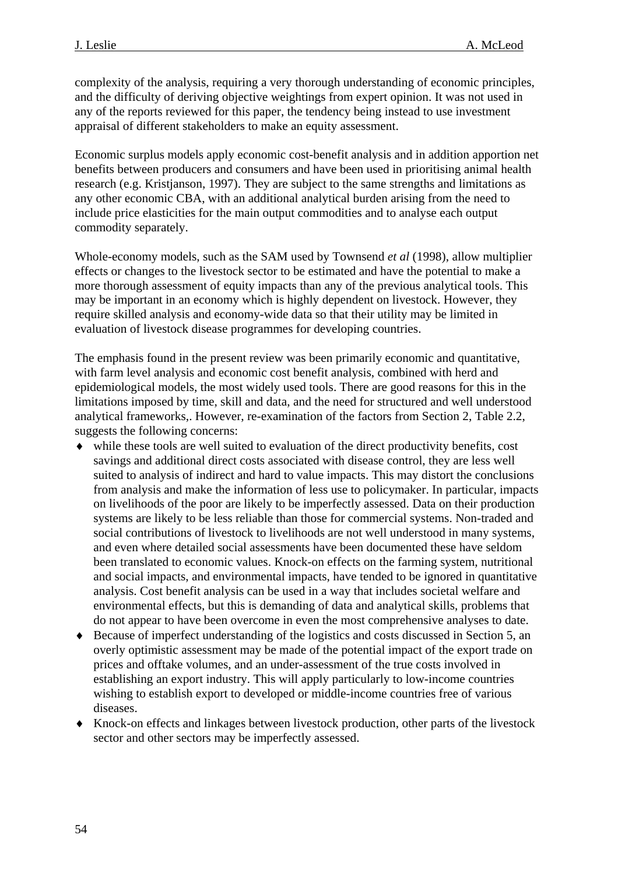complexity of the analysis, requiring a very thorough understanding of economic principles, and the difficulty of deriving objective weightings from expert opinion. It was not used in any of the reports reviewed for this paper, the tendency being instead to use investment appraisal of different stakeholders to make an equity assessment.

Economic surplus models apply economic cost-benefit analysis and in addition apportion net benefits between producers and consumers and have been used in prioritising animal health research (e.g. Kristjanson, 1997). They are subject to the same strengths and limitations as any other economic CBA, with an additional analytical burden arising from the need to include price elasticities for the main output commodities and to analyse each output commodity separately.

Whole-economy models, such as the SAM used by Townsend *et al* (1998), allow multiplier effects or changes to the livestock sector to be estimated and have the potential to make a more thorough assessment of equity impacts than any of the previous analytical tools. This may be important in an economy which is highly dependent on livestock. However, they require skilled analysis and economy-wide data so that their utility may be limited in evaluation of livestock disease programmes for developing countries.

The emphasis found in the present review was been primarily economic and quantitative, with farm level analysis and economic cost benefit analysis, combined with herd and epidemiological models, the most widely used tools. There are good reasons for this in the limitations imposed by time, skill and data, and the need for structured and well understood analytical frameworks,. However, re-examination of the factors from Section 2, Table 2.2, suggests the following concerns:

- ♦ while these tools are well suited to evaluation of the direct productivity benefits, cost savings and additional direct costs associated with disease control, they are less well suited to analysis of indirect and hard to value impacts. This may distort the conclusions from analysis and make the information of less use to policymaker. In particular, impacts on livelihoods of the poor are likely to be imperfectly assessed. Data on their production systems are likely to be less reliable than those for commercial systems. Non-traded and social contributions of livestock to livelihoods are not well understood in many systems, and even where detailed social assessments have been documented these have seldom been translated to economic values. Knock-on effects on the farming system, nutritional and social impacts, and environmental impacts, have tended to be ignored in quantitative analysis. Cost benefit analysis can be used in a way that includes societal welfare and environmental effects, but this is demanding of data and analytical skills, problems that do not appear to have been overcome in even the most comprehensive analyses to date.
- ♦ Because of imperfect understanding of the logistics and costs discussed in Section 5, an overly optimistic assessment may be made of the potential impact of the export trade on prices and offtake volumes, and an under-assessment of the true costs involved in establishing an export industry. This will apply particularly to low-income countries wishing to establish export to developed or middle-income countries free of various diseases.
- ♦ Knock-on effects and linkages between livestock production, other parts of the livestock sector and other sectors may be imperfectly assessed.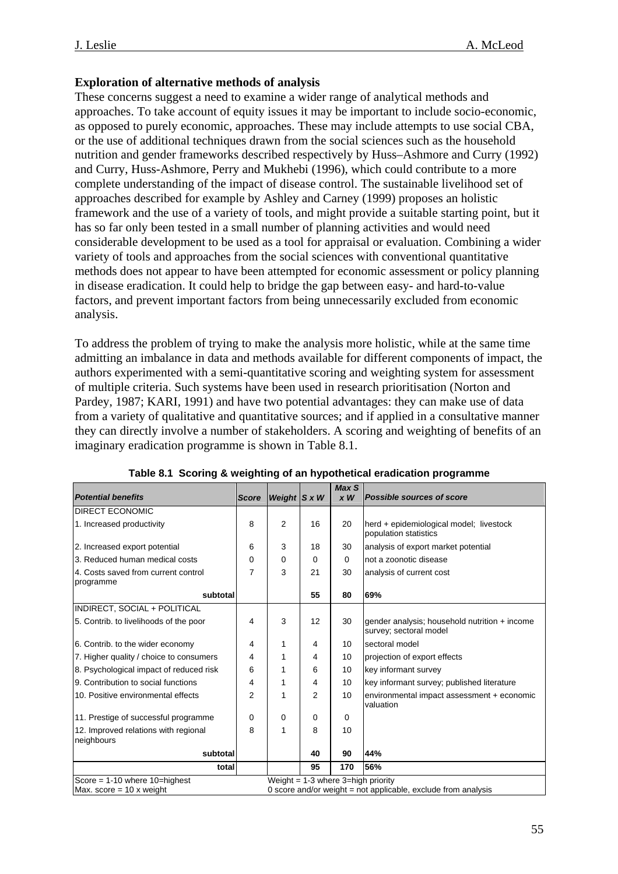## **Exploration of alternative methods of analysis**

These concerns suggest a need to examine a wider range of analytical methods and approaches. To take account of equity issues it may be important to include socio-economic, as opposed to purely economic, approaches. These may include attempts to use social CBA, or the use of additional techniques drawn from the social sciences such as the household nutrition and gender frameworks described respectively by Huss–Ashmore and Curry (1992) and Curry, Huss-Ashmore, Perry and Mukhebi (1996), which could contribute to a more complete understanding of the impact of disease control. The sustainable livelihood set of approaches described for example by Ashley and Carney (1999) proposes an holistic framework and the use of a variety of tools, and might provide a suitable starting point, but it has so far only been tested in a small number of planning activities and would need considerable development to be used as a tool for appraisal or evaluation. Combining a wider variety of tools and approaches from the social sciences with conventional quantitative methods does not appear to have been attempted for economic assessment or policy planning in disease eradication. It could help to bridge the gap between easy- and hard-to-value factors, and prevent important factors from being unnecessarily excluded from economic analysis.

To address the problem of trying to make the analysis more holistic, while at the same time admitting an imbalance in data and methods available for different components of impact, the authors experimented with a semi-quantitative scoring and weighting system for assessment of multiple criteria. Such systems have been used in research prioritisation (Norton and Pardey, 1987; KARI, 1991) and have two potential advantages: they can make use of data from a variety of qualitative and quantitative sources; and if applied in a consultative manner they can directly involve a number of stakeholders. A scoring and weighting of benefits of an imaginary eradication programme is shown in Table 8.1.

| <b>Potential benefits</b>                          | <b>Score</b> | Weight $ S x W$ |    | Max S<br>$x \, W$                                             | <b>Possible sources of score</b>                                        |
|----------------------------------------------------|--------------|-----------------|----|---------------------------------------------------------------|-------------------------------------------------------------------------|
| <b>DIRECT ECONOMIC</b>                             |              |                 |    |                                                               |                                                                         |
| 1. Increased productivity                          | 8            | $\overline{2}$  | 16 | 20                                                            | herd + epidemiological model; livestock<br>population statistics        |
| 2. Increased export potential                      | 6            | 3               | 18 | 30                                                            | analysis of export market potential                                     |
| 3. Reduced human medical costs                     | 0            | 0               | 0  | 0                                                             | not a zoonotic disease                                                  |
| 4. Costs saved from current control<br>programme   | 7            | 3               | 21 | 30                                                            | analysis of current cost                                                |
| subtotal                                           |              |                 | 55 | 80                                                            | 69%                                                                     |
| INDIRECT, SOCIAL + POLITICAL                       |              |                 |    |                                                               |                                                                         |
| 5. Contrib. to livelihoods of the poor             | 4            | 3               | 12 | 30                                                            | gender analysis; household nutrition + income<br>survey; sectoral model |
| 6. Contrib. to the wider economy                   | 4            | 1               | 4  | 10                                                            | sectoral model                                                          |
| 7. Higher quality / choice to consumers            | 4            | 1               | 4  | 10                                                            | projection of export effects                                            |
| 8. Psychological impact of reduced risk            | 6            | 1               | 6  | 10                                                            | key informant survey                                                    |
| 9. Contribution to social functions                | 4            | 1               | 4  | 10                                                            | key informant survey; published literature                              |
| 10. Positive environmental effects                 | 2            | 1               | 2  | 10                                                            | environmental impact assessment + economic<br>valuation                 |
| 11. Prestige of successful programme               | 0            | 0               | 0  | 0                                                             |                                                                         |
| 12. Improved relations with regional<br>neighbours | 8            | 1               | 8  | 10                                                            |                                                                         |
| subtotal                                           |              |                 | 40 | 90                                                            | 44%                                                                     |
| total                                              |              |                 | 95 | 170                                                           | 56%                                                                     |
| Score = $1-10$ where $10=$ highest                 |              |                 |    | Weight = $1-3$ where $3=$ high priority                       |                                                                         |
| Max. score = $10 \times$ weight                    |              |                 |    | 0 score and/or weight = not applicable, exclude from analysis |                                                                         |

**Table 8.1 Scoring & weighting of an hypothetical eradication programme**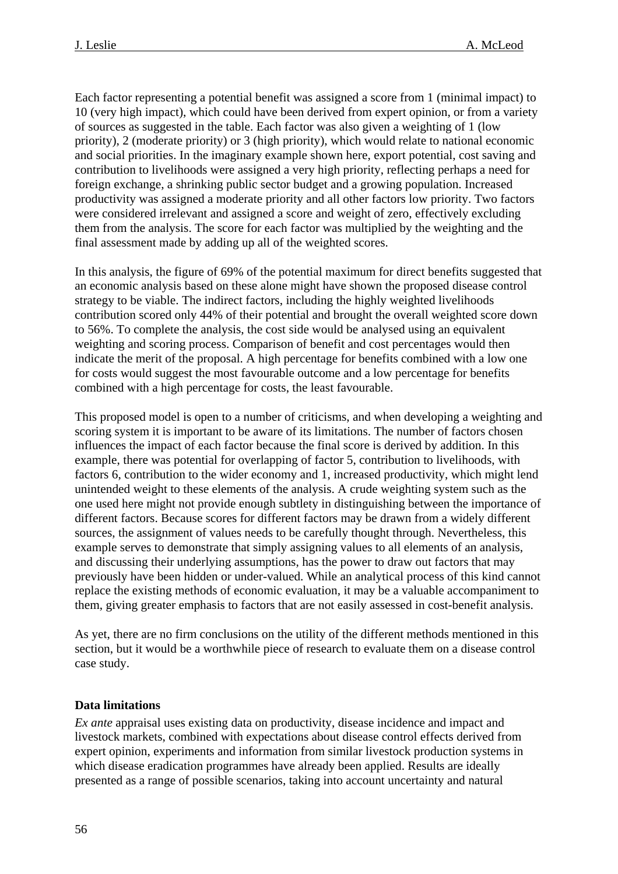<span id="page-55-0"></span>Each factor representing a potential benefit was assigned a score from 1 (minimal impact) to 10 (very high impact), which could have been derived from expert opinion, or from a variety of sources as suggested in the table. Each factor was also given a weighting of 1 (low priority), 2 (moderate priority) or 3 (high priority), which would relate to national economic and social priorities. In the imaginary example shown here, export potential, cost saving and contribution to livelihoods were assigned a very high priority, reflecting perhaps a need for foreign exchange, a shrinking public sector budget and a growing population. Increased productivity was assigned a moderate priority and all other factors low priority. Two factors were considered irrelevant and assigned a score and weight of zero, effectively excluding them from the analysis. The score for each factor was multiplied by the weighting and the final assessment made by adding up all of the weighted scores.

In this analysis, the figure of 69% of the potential maximum for direct benefits suggested that an economic analysis based on these alone might have shown the proposed disease control strategy to be viable. The indirect factors, including the highly weighted livelihoods contribution scored only 44% of their potential and brought the overall weighted score down to 56%. To complete the analysis, the cost side would be analysed using an equivalent weighting and scoring process. Comparison of benefit and cost percentages would then indicate the merit of the proposal. A high percentage for benefits combined with a low one for costs would suggest the most favourable outcome and a low percentage for benefits combined with a high percentage for costs, the least favourable.

This proposed model is open to a number of criticisms, and when developing a weighting and scoring system it is important to be aware of its limitations. The number of factors chosen influences the impact of each factor because the final score is derived by addition. In this example, there was potential for overlapping of factor 5, contribution to livelihoods, with factors 6, contribution to the wider economy and 1, increased productivity, which might lend unintended weight to these elements of the analysis. A crude weighting system such as the one used here might not provide enough subtlety in distinguishing between the importance of different factors. Because scores for different factors may be drawn from a widely different sources, the assignment of values needs to be carefully thought through. Nevertheless, this example serves to demonstrate that simply assigning values to all elements of an analysis, and discussing their underlying assumptions, has the power to draw out factors that may previously have been hidden or under-valued. While an analytical process of this kind cannot replace the existing methods of economic evaluation, it may be a valuable accompaniment to them, giving greater emphasis to factors that are not easily assessed in cost-benefit analysis.

As yet, there are no firm conclusions on the utility of the different methods mentioned in this section, but it would be a worthwhile piece of research to evaluate them on a disease control case study.

#### **Data limitations**

*Ex ante* appraisal uses existing data on productivity, disease incidence and impact and livestock markets, combined with expectations about disease control effects derived from expert opinion, experiments and information from similar livestock production systems in which disease eradication programmes have already been applied. Results are ideally presented as a range of possible scenarios, taking into account uncertainty and natural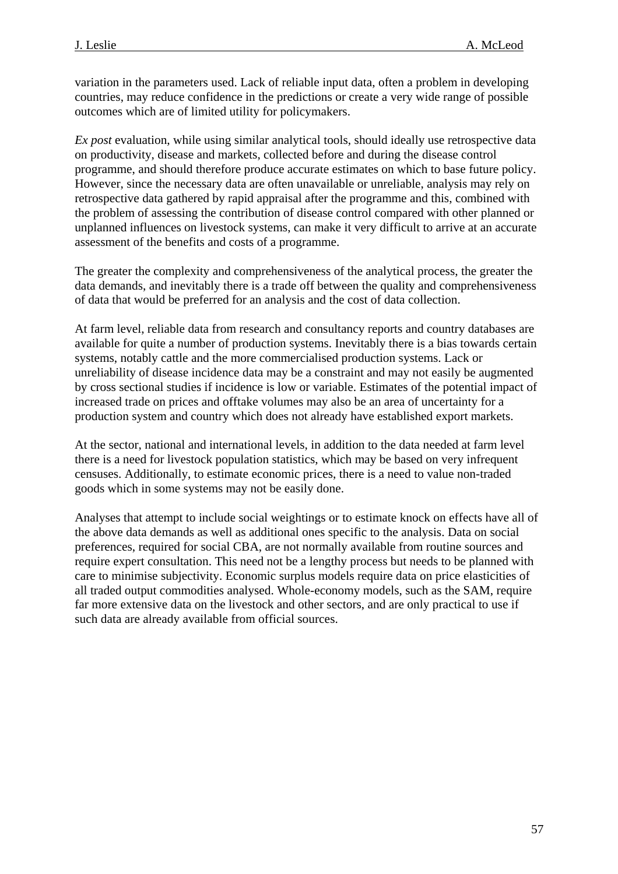variation in the parameters used. Lack of reliable input data, often a problem in developing countries, may reduce confidence in the predictions or create a very wide range of possible outcomes which are of limited utility for policymakers.

*Ex post* evaluation, while using similar analytical tools, should ideally use retrospective data on productivity, disease and markets, collected before and during the disease control programme, and should therefore produce accurate estimates on which to base future policy. However, since the necessary data are often unavailable or unreliable, analysis may rely on retrospective data gathered by rapid appraisal after the programme and this, combined with the problem of assessing the contribution of disease control compared with other planned or unplanned influences on livestock systems, can make it very difficult to arrive at an accurate assessment of the benefits and costs of a programme.

The greater the complexity and comprehensiveness of the analytical process, the greater the data demands, and inevitably there is a trade off between the quality and comprehensiveness of data that would be preferred for an analysis and the cost of data collection.

At farm level, reliable data from research and consultancy reports and country databases are available for quite a number of production systems. Inevitably there is a bias towards certain systems, notably cattle and the more commercialised production systems. Lack or unreliability of disease incidence data may be a constraint and may not easily be augmented by cross sectional studies if incidence is low or variable. Estimates of the potential impact of increased trade on prices and offtake volumes may also be an area of uncertainty for a production system and country which does not already have established export markets.

At the sector, national and international levels, in addition to the data needed at farm level there is a need for livestock population statistics, which may be based on very infrequent censuses. Additionally, to estimate economic prices, there is a need to value non-traded goods which in some systems may not be easily done.

Analyses that attempt to include social weightings or to estimate knock on effects have all of the above data demands as well as additional ones specific to the analysis. Data on social preferences, required for social CBA, are not normally available from routine sources and require expert consultation. This need not be a lengthy process but needs to be planned with care to minimise subjectivity. Economic surplus models require data on price elasticities of all traded output commodities analysed. Whole-economy models, such as the SAM, require far more extensive data on the livestock and other sectors, and are only practical to use if such data are already available from official sources.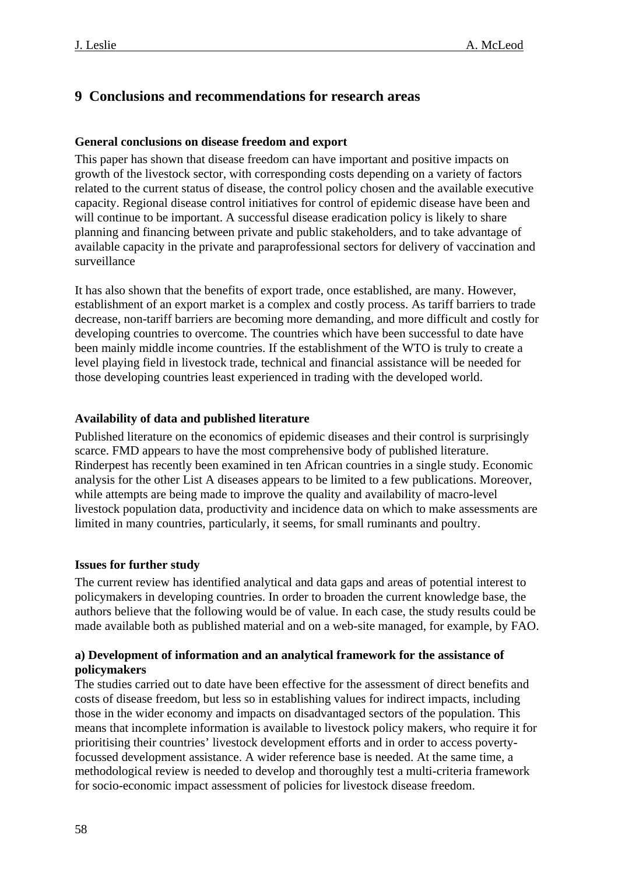## <span id="page-57-0"></span>**9 Conclusions and recommendations for research areas**

### **General conclusions on disease freedom and export**

This paper has shown that disease freedom can have important and positive impacts on growth of the livestock sector, with corresponding costs depending on a variety of factors related to the current status of disease, the control policy chosen and the available executive capacity. Regional disease control initiatives for control of epidemic disease have been and will continue to be important. A successful disease eradication policy is likely to share planning and financing between private and public stakeholders, and to take advantage of available capacity in the private and paraprofessional sectors for delivery of vaccination and surveillance

It has also shown that the benefits of export trade, once established, are many. However, establishment of an export market is a complex and costly process. As tariff barriers to trade decrease, non-tariff barriers are becoming more demanding, and more difficult and costly for developing countries to overcome. The countries which have been successful to date have been mainly middle income countries. If the establishment of the WTO is truly to create a level playing field in livestock trade, technical and financial assistance will be needed for those developing countries least experienced in trading with the developed world.

### **Availability of data and published literature**

Published literature on the economics of epidemic diseases and their control is surprisingly scarce. FMD appears to have the most comprehensive body of published literature. Rinderpest has recently been examined in ten African countries in a single study. Economic analysis for the other List A diseases appears to be limited to a few publications. Moreover, while attempts are being made to improve the quality and availability of macro-level livestock population data, productivity and incidence data on which to make assessments are limited in many countries, particularly, it seems, for small ruminants and poultry.

#### **Issues for further study**

The current review has identified analytical and data gaps and areas of potential interest to policymakers in developing countries. In order to broaden the current knowledge base, the authors believe that the following would be of value. In each case, the study results could be made available both as published material and on a web-site managed, for example, by FAO.

### **a) Development of information and an analytical framework for the assistance of policymakers**

The studies carried out to date have been effective for the assessment of direct benefits and costs of disease freedom, but less so in establishing values for indirect impacts, including those in the wider economy and impacts on disadvantaged sectors of the population. This means that incomplete information is available to livestock policy makers, who require it for prioritising their countries' livestock development efforts and in order to access povertyfocussed development assistance. A wider reference base is needed. At the same time, a methodological review is needed to develop and thoroughly test a multi-criteria framework for socio-economic impact assessment of policies for livestock disease freedom.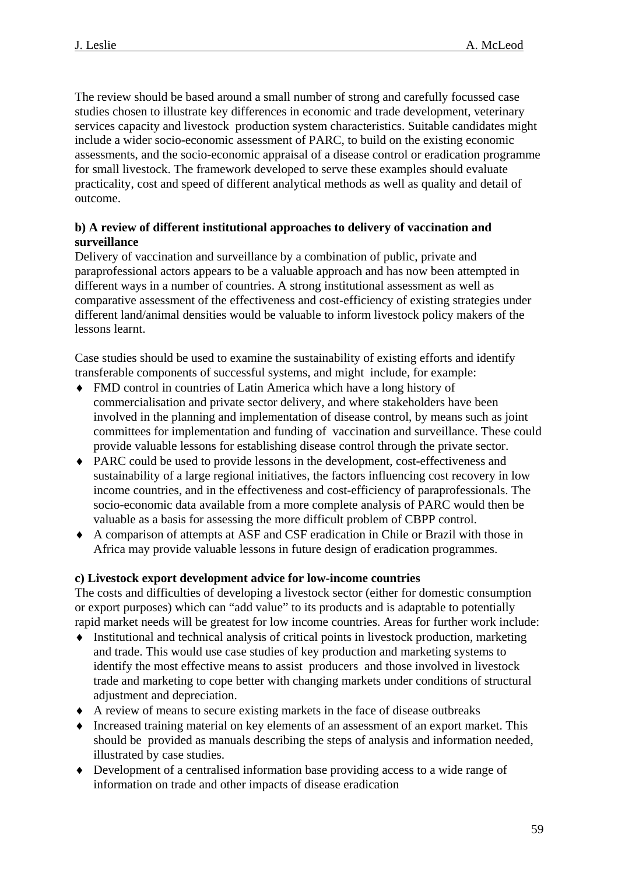The review should be based around a small number of strong and carefully focussed case studies chosen to illustrate key differences in economic and trade development, veterinary services capacity and livestock production system characteristics. Suitable candidates might include a wider socio-economic assessment of PARC, to build on the existing economic assessments, and the socio-economic appraisal of a disease control or eradication programme for small livestock. The framework developed to serve these examples should evaluate practicality, cost and speed of different analytical methods as well as quality and detail of outcome.

## **b) A review of different institutional approaches to delivery of vaccination and surveillance**

Delivery of vaccination and surveillance by a combination of public, private and paraprofessional actors appears to be a valuable approach and has now been attempted in different ways in a number of countries. A strong institutional assessment as well as comparative assessment of the effectiveness and cost-efficiency of existing strategies under different land/animal densities would be valuable to inform livestock policy makers of the lessons learnt.

Case studies should be used to examine the sustainability of existing efforts and identify transferable components of successful systems, and might include, for example:

- ♦ FMD control in countries of Latin America which have a long history of commercialisation and private sector delivery, and where stakeholders have been involved in the planning and implementation of disease control, by means such as joint committees for implementation and funding of vaccination and surveillance. These could provide valuable lessons for establishing disease control through the private sector.
- ♦ PARC could be used to provide lessons in the development, cost-effectiveness and sustainability of a large regional initiatives, the factors influencing cost recovery in low income countries, and in the effectiveness and cost-efficiency of paraprofessionals. The socio-economic data available from a more complete analysis of PARC would then be valuable as a basis for assessing the more difficult problem of CBPP control.
- ♦ A comparison of attempts at ASF and CSF eradication in Chile or Brazil with those in Africa may provide valuable lessons in future design of eradication programmes.

## **c) Livestock export development advice for low-income countries**

The costs and difficulties of developing a livestock sector (either for domestic consumption or export purposes) which can "add value" to its products and is adaptable to potentially rapid market needs will be greatest for low income countries. Areas for further work include:

- ♦ Institutional and technical analysis of critical points in livestock production, marketing and trade. This would use case studies of key production and marketing systems to identify the most effective means to assist producers and those involved in livestock trade and marketing to cope better with changing markets under conditions of structural adjustment and depreciation.
- ♦ A review of means to secure existing markets in the face of disease outbreaks
- ♦ Increased training material on key elements of an assessment of an export market. This should be provided as manuals describing the steps of analysis and information needed, illustrated by case studies.
- ♦ Development of a centralised information base providing access to a wide range of information on trade and other impacts of disease eradication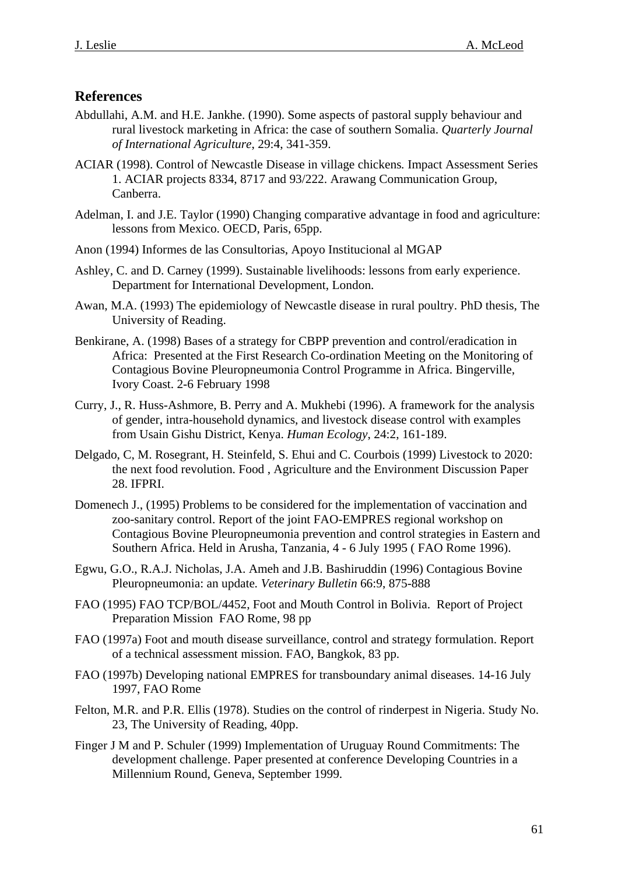## <span id="page-60-0"></span>**References**

- Abdullahi, A.M. and H.E. Jankhe. (1990). Some aspects of pastoral supply behaviour and rural livestock marketing in Africa: the case of southern Somalia. *Quarterly Journal of International Agriculture*, 29:4, 341-359.
- ACIAR (1998). Control of Newcastle Disease in village chickens*.* Impact Assessment Series 1. ACIAR projects 8334, 8717 and 93/222. Arawang Communication Group, Canberra.
- Adelman, I. and J.E. Taylor (1990) Changing comparative advantage in food and agriculture: lessons from Mexico. OECD, Paris, 65pp.
- Anon (1994) Informes de las Consultorias, Apoyo Institucional al MGAP
- Ashley, C. and D. Carney (1999). Sustainable livelihoods: lessons from early experience. Department for International Development, London.
- Awan, M.A. (1993) The epidemiology of Newcastle disease in rural poultry. PhD thesis, The University of Reading.
- Benkirane, A. (1998) Bases of a strategy for CBPP prevention and control/eradication in Africa: Presented at the First Research Co-ordination Meeting on the Monitoring of Contagious Bovine Pleuropneumonia Control Programme in Africa. Bingerville, Ivory Coast. 2-6 February 1998
- Curry, J., R. Huss-Ashmore, B. Perry and A. Mukhebi (1996). A framework for the analysis of gender, intra-household dynamics, and livestock disease control with examples from Usain Gishu District, Kenya. *Human Ecology*, 24:2, 161-189.
- Delgado, C, M. Rosegrant, H. Steinfeld, S. Ehui and C. Courbois (1999) Livestock to 2020: the next food revolution. Food , Agriculture and the Environment Discussion Paper 28. IFPRI.
- Domenech J., (1995) Problems to be considered for the implementation of vaccination and zoo-sanitary control. Report of the joint FAO-EMPRES regional workshop on Contagious Bovine Pleuropneumonia prevention and control strategies in Eastern and Southern Africa. Held in Arusha, Tanzania, 4 - 6 July 1995 ( FAO Rome 1996).
- Egwu, G.O., R.A.J. Nicholas, J.A. Ameh and J.B. Bashiruddin (1996) Contagious Bovine Pleuropneumonia: an update*. Veterinary Bulletin* 66:9, 875-888
- FAO (1995) FAO TCP/BOL/4452, Foot and Mouth Control in Bolivia. Report of Project Preparation Mission FAO Rome, 98 pp
- FAO (1997a) Foot and mouth disease surveillance, control and strategy formulation. Report of a technical assessment mission. FAO, Bangkok, 83 pp.
- FAO (1997b) Developing national EMPRES for transboundary animal diseases. 14-16 July 1997, FAO Rome
- Felton, M.R. and P.R. Ellis (1978). Studies on the control of rinderpest in Nigeria. Study No. 23, The University of Reading, 40pp.
- Finger J M and P. Schuler (1999) Implementation of Uruguay Round Commitments: The development challenge. Paper presented at conference Developing Countries in a Millennium Round, Geneva, September 1999.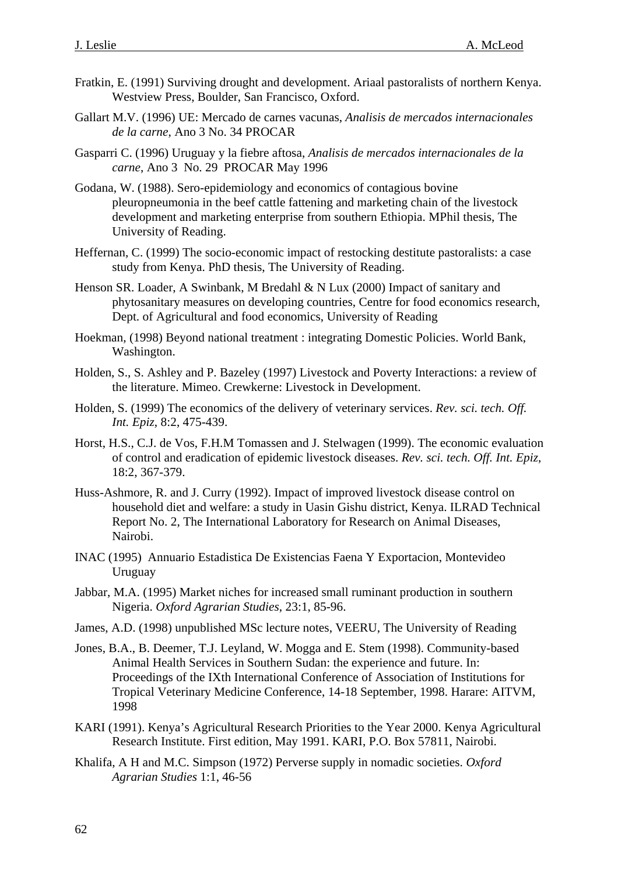- Fratkin, E. (1991) Surviving drought and development. Ariaal pastoralists of northern Kenya. Westview Press, Boulder, San Francisco, Oxford.
- Gallart M.V. (1996) UE: Mercado de carnes vacunas, *Analisis de mercados internacionales de la carne*, Ano 3 No. 34 PROCAR
- Gasparri C. (1996) Uruguay y la fiebre aftosa, *Analisis de mercados internacionales de la carne*, Ano 3 No. 29 PROCAR May 1996
- Godana, W. (1988). Sero-epidemiology and economics of contagious bovine pleuropneumonia in the beef cattle fattening and marketing chain of the livestock development and marketing enterprise from southern Ethiopia. MPhil thesis, The University of Reading.
- Heffernan, C. (1999) The socio-economic impact of restocking destitute pastoralists: a case study from Kenya. PhD thesis, The University of Reading.
- Henson SR. Loader, A Swinbank, M Bredahl & N Lux (2000) Impact of sanitary and phytosanitary measures on developing countries, Centre for food economics research, Dept. of Agricultural and food economics, University of Reading
- Hoekman, (1998) Beyond national treatment : integrating Domestic Policies. World Bank, Washington.
- Holden, S., S. Ashley and P. Bazeley (1997) Livestock and Poverty Interactions: a review of the literature. Mimeo. Crewkerne: Livestock in Development.
- Holden, S. (1999) The economics of the delivery of veterinary services. *Rev. sci. tech. Off. Int. Epiz*, 8:2, 475-439.
- Horst, H.S., C.J. de Vos, F.H.M Tomassen and J. Stelwagen (1999). The economic evaluation of control and eradication of epidemic livestock diseases. *Rev. sci. tech. Off. Int. Epiz*, 18:2, 367-379.
- Huss-Ashmore, R. and J. Curry (1992). Impact of improved livestock disease control on household diet and welfare: a study in Uasin Gishu district, Kenya. ILRAD Technical Report No. 2, The International Laboratory for Research on Animal Diseases, Nairobi.
- INAC (1995) Annuario Estadistica De Existencias Faena Y Exportacion, Montevideo Uruguay
- Jabbar, M.A. (1995) Market niches for increased small ruminant production in southern Nigeria. *Oxford Agrarian Studies*, 23:1, 85-96.
- James, A.D. (1998) unpublished MSc lecture notes, VEERU, The University of Reading
- Jones, B.A., B. Deemer, T.J. Leyland, W. Mogga and E. Stem (1998). Community-based Animal Health Services in Southern Sudan: the experience and future. In: Proceedings of the IXth International Conference of Association of Institutions for Tropical Veterinary Medicine Conference, 14-18 September, 1998. Harare: AITVM, 1998
- KARI (1991). Kenya's Agricultural Research Priorities to the Year 2000. Kenya Agricultural Research Institute. First edition, May 1991. KARI, P.O. Box 57811, Nairobi.
- Khalifa, A H and M.C. Simpson (1972) Perverse supply in nomadic societies. *Oxford Agrarian Studies* 1:1, 46-56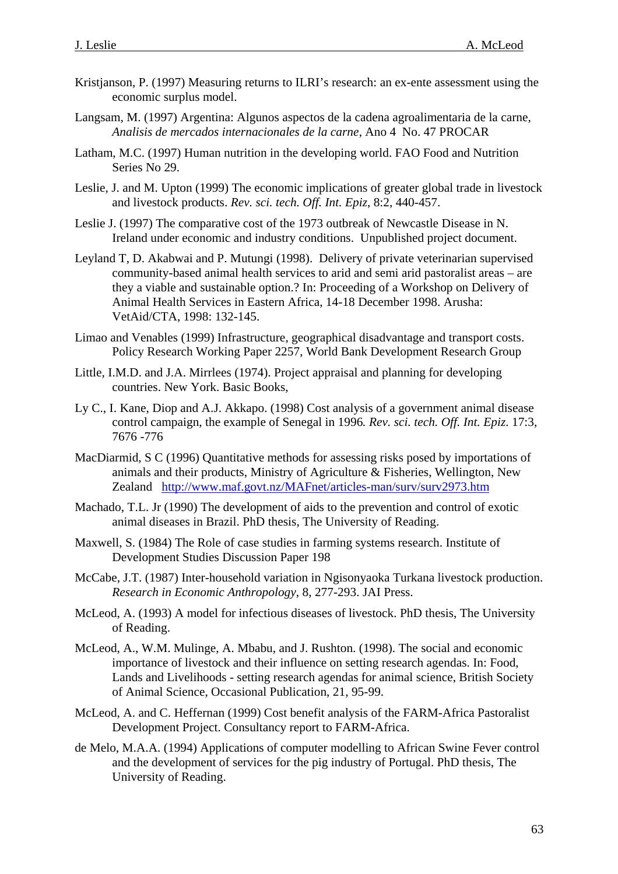- Kristjanson, P. (1997) Measuring returns to ILRI's research: an ex-ente assessment using the economic surplus model.
- Langsam, M. (1997) Argentina: Algunos aspectos de la cadena agroalimentaria de la carne, *Analisis de mercados internacionales de la carne*, Ano 4 No. 47 PROCAR
- Latham, M.C. (1997) Human nutrition in the developing world. FAO Food and Nutrition Series No 29.
- Leslie, J. and M. Upton (1999) The economic implications of greater global trade in livestock and livestock products. *Rev. sci. tech. Off. Int. Epiz*, 8:2, 440-457.
- Leslie J. (1997) The comparative cost of the 1973 outbreak of Newcastle Disease in N. Ireland under economic and industry conditions. Unpublished project document.
- Leyland T, D. Akabwai and P. Mutungi (1998). Delivery of private veterinarian supervised community-based animal health services to arid and semi arid pastoralist areas – are they a viable and sustainable option.? In: Proceeding of a Workshop on Delivery of Animal Health Services in Eastern Africa, 14-18 December 1998. Arusha: VetAid/CTA, 1998: 132-145.
- Limao and Venables (1999) Infrastructure, geographical disadvantage and transport costs. Policy Research Working Paper 2257, World Bank Development Research Group
- Little, I.M.D. and J.A. Mirrlees (1974). Project appraisal and planning for developing countries. New York. Basic Books,
- Ly C., I. Kane, Diop and A.J. Akkapo. (1998) Cost analysis of a government animal disease control campaign, the example of Senegal in 1996*. Rev. sci. tech. Off. Int. Epiz*. 17:3, 7676 -776
- MacDiarmid, S C (1996) Quantitative methods for assessing risks posed by importations of animals and their products, Ministry of Agriculture & Fisheries, Wellington, New Zealand <http://www.maf.govt.nz/MAFnet/articles-man/surv/surv2973.htm>
- Machado, T.L. Jr (1990) The development of aids to the prevention and control of exotic animal diseases in Brazil. PhD thesis, The University of Reading.
- Maxwell, S. (1984) The Role of case studies in farming systems research. Institute of Development Studies Discussion Paper 198
- McCabe, J.T. (1987) Inter-household variation in Ngisonyaoka Turkana livestock production. *Research in Economic Anthropology*, 8, 277-293. JAI Press.
- McLeod, A. (1993) A model for infectious diseases of livestock. PhD thesis, The University of Reading.
- McLeod, A., W.M. Mulinge, A. Mbabu, and J. Rushton. (1998). The social and economic importance of livestock and their influence on setting research agendas. In: Food, Lands and Livelihoods - setting research agendas for animal science, British Society of Animal Science, Occasional Publication, 21, 95-99.
- McLeod, A. and C. Heffernan (1999) Cost benefit analysis of the FARM-Africa Pastoralist Development Project. Consultancy report to FARM-Africa.
- de Melo, M.A.A. (1994) Applications of computer modelling to African Swine Fever control and the development of services for the pig industry of Portugal. PhD thesis, The University of Reading.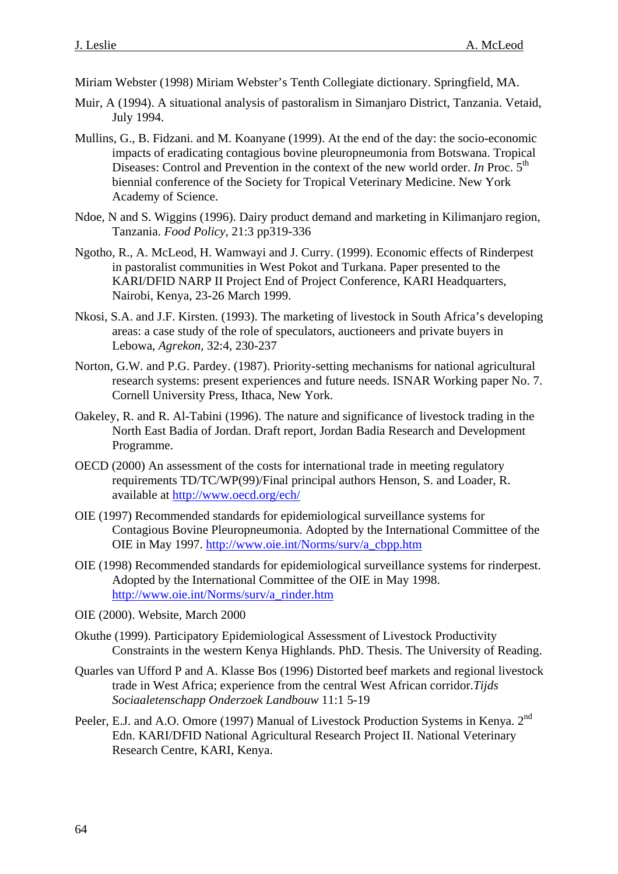Miriam Webster (1998) Miriam Webster's Tenth Collegiate dictionary. Springfield, MA.

- Muir, A (1994). A situational analysis of pastoralism in Simanjaro District, Tanzania. Vetaid, July 1994.
- Mullins, G., B. Fidzani. and M. Koanyane (1999). At the end of the day: the socio-economic impacts of eradicating contagious bovine pleuropneumonia from Botswana. Tropical Diseases: Control and Prevention in the context of the new world order. *In* Proc. 5<sup>th</sup> biennial conference of the Society for Tropical Veterinary Medicine. New York Academy of Science.
- Ndoe, N and S. Wiggins (1996). Dairy product demand and marketing in Kilimanjaro region, Tanzania. *Food Policy*, 21:3 pp319-336
- Ngotho, R., A. McLeod, H. Wamwayi and J. Curry. (1999). Economic effects of Rinderpest in pastoralist communities in West Pokot and Turkana. Paper presented to the KARI/DFID NARP II Project End of Project Conference, KARI Headquarters, Nairobi, Kenya, 23-26 March 1999.
- Nkosi, S.A. and J.F. Kirsten. (1993). The marketing of livestock in South Africa's developing areas: a case study of the role of speculators, auctioneers and private buyers in Lebowa, *Agrekon,* 32:4, 230-237
- Norton, G.W. and P.G. Pardey. (1987). Priority-setting mechanisms for national agricultural research systems: present experiences and future needs. ISNAR Working paper No. 7. Cornell University Press, Ithaca, New York.
- Oakeley, R. and R. Al-Tabini (1996). The nature and significance of livestock trading in the North East Badia of Jordan. Draft report, Jordan Badia Research and Development Programme.
- OECD (2000) An assessment of the costs for international trade in meeting regulatory requirements TD/TC/WP(99)/Final principal authors Henson, S. and Loader, R. available at<http://www.oecd.org/ech/>
- OIE (1997) Recommended standards for epidemiological surveillance systems for Contagious Bovine Pleuropneumonia. Adopted by the International Committee of the OIE in May 1997. [http://www.oie.int/Norms/surv/a\\_cbpp.htm](http://www.oie.int/Norms/surv/a_cbpp.htm)
- OIE (1998) Recommended standards for epidemiological surveillance systems for rinderpest. Adopted by the International Committee of the OIE in May 1998. [http://www.oie.int/Norms/surv/a\\_rinder.htm](http://www.oie.int/Norms/surv/a_cbpp.htm)
- OIE (2000). Website, March 2000
- Okuthe (1999). Participatory Epidemiological Assessment of Livestock Productivity Constraints in the western Kenya Highlands. PhD. Thesis. The University of Reading.
- Quarles van Ufford P and A. Klasse Bos (1996) Distorted beef markets and regional livestock trade in West Africa; experience from the central West African corridor.*Tijds Sociaaletenschapp Onderzoek Landbouw* 11:1 5-19
- Peeler, E.J. and A.O. Omore (1997) Manual of Livestock Production Systems in Kenya. 2<sup>nd</sup> Edn. KARI/DFID National Agricultural Research Project II. National Veterinary Research Centre, KARI, Kenya.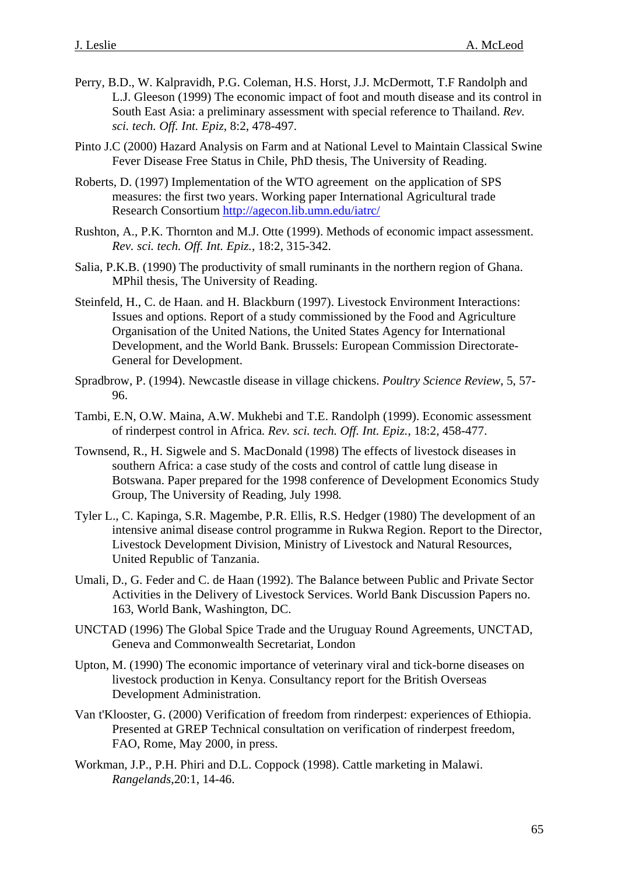- Perry, B.D., W. Kalpravidh, P.G. Coleman, H.S. Horst, J.J. McDermott, T.F Randolph and L.J. Gleeson (1999) The economic impact of foot and mouth disease and its control in South East Asia: a preliminary assessment with special reference to Thailand. *Rev. sci. tech. Off. Int. Epiz*, 8:2, 478-497.
- Pinto J.C (2000) Hazard Analysis on Farm and at National Level to Maintain Classical Swine Fever Disease Free Status in Chile, PhD thesis, The University of Reading.
- Roberts, D. (1997) Implementation of the WTO agreement on the application of SPS measures: the first two years. Working paper International Agricultural trade Research Consortium [http://agecon.lib.umn.edu/iatrc/](http://agecon.lib.umn.edu/iatrc/wp9804.pdf)
- Rushton, A., P.K. Thornton and M.J. Otte (1999). Methods of economic impact assessment. *Rev. sci. tech. Off. Int. Epiz.*, 18:2, 315-342.
- Salia, P.K.B. (1990) The productivity of small ruminants in the northern region of Ghana. MPhil thesis, The University of Reading.
- Steinfeld, H., C. de Haan. and H. Blackburn (1997). Livestock Environment Interactions: Issues and options. Report of a study commissioned by the Food and Agriculture Organisation of the United Nations, the United States Agency for International Development, and the World Bank. Brussels: European Commission Directorate-General for Development.
- Spradbrow, P. (1994). Newcastle disease in village chickens. *Poultry Science Review*, 5, 57- 96.
- Tambi, E.N, O.W. Maina, A.W. Mukhebi and T.E. Randolph (1999). Economic assessment of rinderpest control in Africa*. Rev. sci. tech. Off. Int. Epiz.*, 18:2, 458-477.
- Townsend, R., H. Sigwele and S. MacDonald (1998) The effects of livestock diseases in southern Africa: a case study of the costs and control of cattle lung disease in Botswana. Paper prepared for the 1998 conference of Development Economics Study Group, The University of Reading, July 1998*.*
- Tyler L., C. Kapinga, S.R. Magembe, P.R. Ellis, R.S. Hedger (1980) The development of an intensive animal disease control programme in Rukwa Region. Report to the Director, Livestock Development Division, Ministry of Livestock and Natural Resources, United Republic of Tanzania.
- Umali, D., G. Feder and C. de Haan (1992). The Balance between Public and Private Sector Activities in the Delivery of Livestock Services. World Bank Discussion Papers no. 163, World Bank, Washington, DC.
- UNCTAD (1996) The Global Spice Trade and the Uruguay Round Agreements, UNCTAD, Geneva and Commonwealth Secretariat, London
- Upton, M. (1990) The economic importance of veterinary viral and tick-borne diseases on livestock production in Kenya. Consultancy report for the British Overseas Development Administration.
- Van t'Klooster, G. (2000) Verification of freedom from rinderpest: experiences of Ethiopia. Presented at GREP Technical consultation on verification of rinderpest freedom, FAO, Rome, May 2000, in press.
- Workman, J.P., P.H. Phiri and D.L. Coppock (1998). Cattle marketing in Malawi. *Rangelands*,20:1, 14-46.